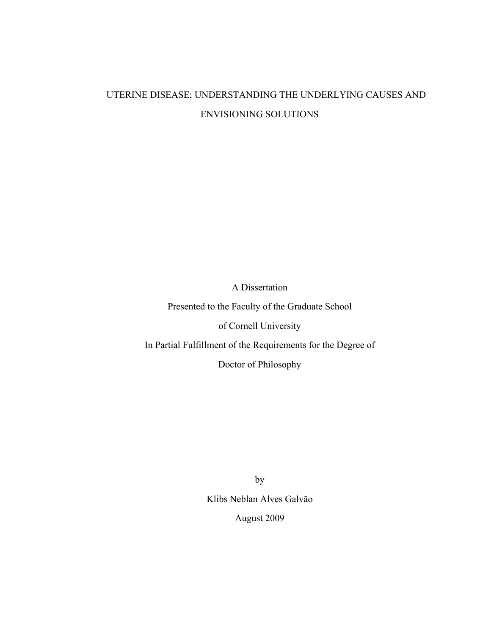# UTERINE DISEASE; UNDERSTANDING THE UNDERLYING CAUSES AND ENVISIONING SOLUTIONS

A Dissertation

Presented to the Faculty of the Graduate School

of Cornell University

In Partial Fulfillment of the Requirements for the Degree of

Doctor of Philosophy

by Klibs Neblan Alves Galvão August 2009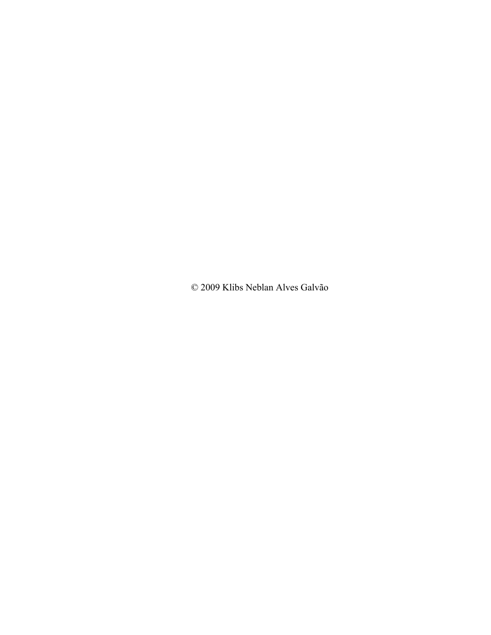© 2009 Klibs Neblan Alves Galvão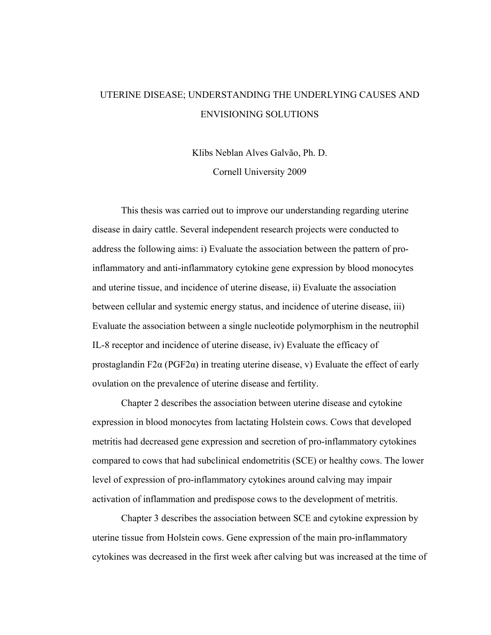# UTERINE DISEASE; UNDERSTANDING THE UNDERLYING CAUSES AND ENVISIONING SOLUTIONS

Klibs Neblan Alves Galvão, Ph. D. Cornell University 2009

This thesis was carried out to improve our understanding regarding uterine disease in dairy cattle. Several independent research projects were conducted to address the following aims: i) Evaluate the association between the pattern of proinflammatory and anti-inflammatory cytokine gene expression by blood monocytes and uterine tissue, and incidence of uterine disease, ii) Evaluate the association between cellular and systemic energy status, and incidence of uterine disease, iii) Evaluate the association between a single nucleotide polymorphism in the neutrophil IL-8 receptor and incidence of uterine disease, iv) Evaluate the efficacy of prostaglandin F2 $\alpha$  (PGF2 $\alpha$ ) in treating uterine disease, v) Evaluate the effect of early ovulation on the prevalence of uterine disease and fertility.

 Chapter 2 describes the association between uterine disease and cytokine expression in blood monocytes from lactating Holstein cows. Cows that developed metritis had decreased gene expression and secretion of pro-inflammatory cytokines compared to cows that had subclinical endometritis (SCE) or healthy cows. The lower level of expression of pro-inflammatory cytokines around calving may impair activation of inflammation and predispose cows to the development of metritis.

 Chapter 3 describes the association between SCE and cytokine expression by uterine tissue from Holstein cows. Gene expression of the main pro-inflammatory cytokines was decreased in the first week after calving but was increased at the time of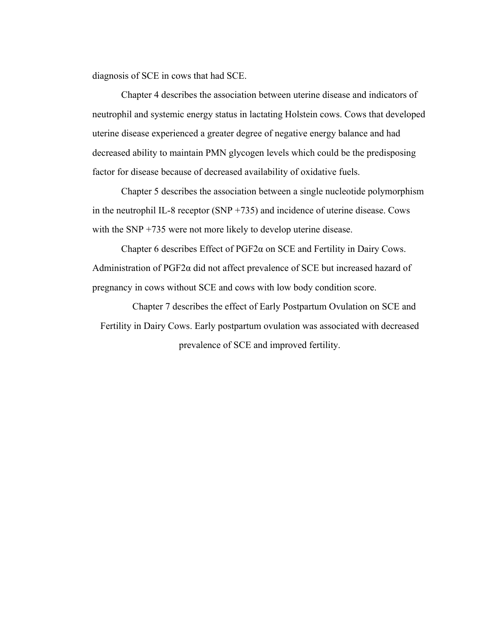diagnosis of SCE in cows that had SCE.

 Chapter 4 describes the association between uterine disease and indicators of neutrophil and systemic energy status in lactating Holstein cows. Cows that developed uterine disease experienced a greater degree of negative energy balance and had decreased ability to maintain PMN glycogen levels which could be the predisposing factor for disease because of decreased availability of oxidative fuels.

 Chapter 5 describes the association between a single nucleotide polymorphism in the neutrophil IL-8 receptor (SNP +735) and incidence of uterine disease. Cows with the SNP +735 were not more likely to develop uterine disease.

Chapter 6 describes Effect of  $PGF2\alpha$  on SCE and Fertility in Dairy Cows. Administration of PGF2α did not affect prevalence of SCE but increased hazard of pregnancy in cows without SCE and cows with low body condition score.

 Chapter 7 describes the effect of Early Postpartum Ovulation on SCE and Fertility in Dairy Cows. Early postpartum ovulation was associated with decreased prevalence of SCE and improved fertility.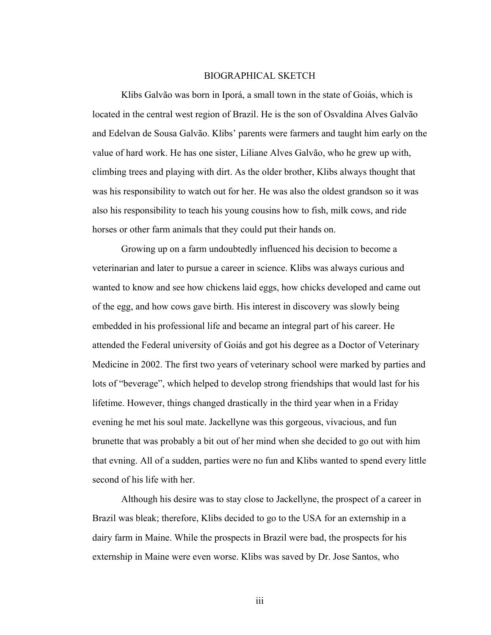#### BIOGRAPHICAL SKETCH

Klibs Galvão was born in Iporá, a small town in the state of Goiás, which is located in the central west region of Brazil. He is the son of Osvaldina Alves Galvão and Edelvan de Sousa Galvão. Klibs' parents were farmers and taught him early on the value of hard work. He has one sister, Liliane Alves Galvão, who he grew up with, climbing trees and playing with dirt. As the older brother, Klibs always thought that was his responsibility to watch out for her. He was also the oldest grandson so it was also his responsibility to teach his young cousins how to fish, milk cows, and ride horses or other farm animals that they could put their hands on.

Growing up on a farm undoubtedly influenced his decision to become a veterinarian and later to pursue a career in science. Klibs was always curious and wanted to know and see how chickens laid eggs, how chicks developed and came out of the egg, and how cows gave birth. His interest in discovery was slowly being embedded in his professional life and became an integral part of his career. He attended the Federal university of Goiás and got his degree as a Doctor of Veterinary Medicine in 2002. The first two years of veterinary school were marked by parties and lots of "beverage", which helped to develop strong friendships that would last for his lifetime. However, things changed drastically in the third year when in a Friday evening he met his soul mate. Jackellyne was this gorgeous, vivacious, and fun brunette that was probably a bit out of her mind when she decided to go out with him that evning. All of a sudden, parties were no fun and Klibs wanted to spend every little second of his life with her.

Although his desire was to stay close to Jackellyne, the prospect of a career in Brazil was bleak; therefore, Klibs decided to go to the USA for an externship in a dairy farm in Maine. While the prospects in Brazil were bad, the prospects for his externship in Maine were even worse. Klibs was saved by Dr. Jose Santos, who

iii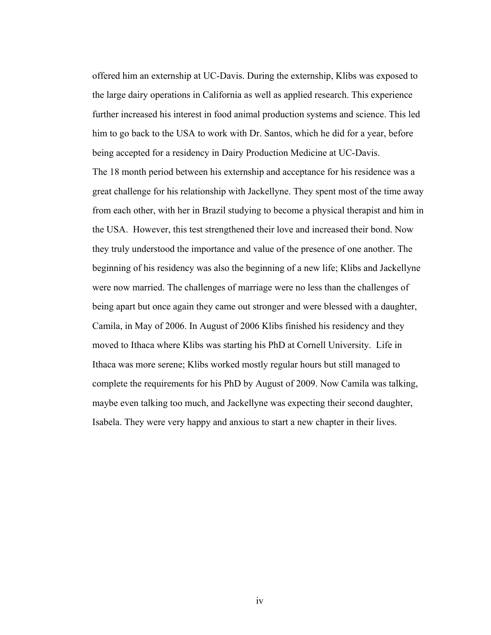offered him an externship at UC-Davis. During the externship, Klibs was exposed to the large dairy operations in California as well as applied research. This experience further increased his interest in food animal production systems and science. This led him to go back to the USA to work with Dr. Santos, which he did for a year, before being accepted for a residency in Dairy Production Medicine at UC-Davis. The 18 month period between his externship and acceptance for his residence was a great challenge for his relationship with Jackellyne. They spent most of the time away from each other, with her in Brazil studying to become a physical therapist and him in the USA. However, this test strengthened their love and increased their bond. Now they truly understood the importance and value of the presence of one another. The beginning of his residency was also the beginning of a new life; Klibs and Jackellyne were now married. The challenges of marriage were no less than the challenges of being apart but once again they came out stronger and were blessed with a daughter, Camila, in May of 2006. In August of 2006 Klibs finished his residency and they moved to Ithaca where Klibs was starting his PhD at Cornell University. Life in Ithaca was more serene; Klibs worked mostly regular hours but still managed to complete the requirements for his PhD by August of 2009. Now Camila was talking, maybe even talking too much, and Jackellyne was expecting their second daughter, Isabela. They were very happy and anxious to start a new chapter in their lives.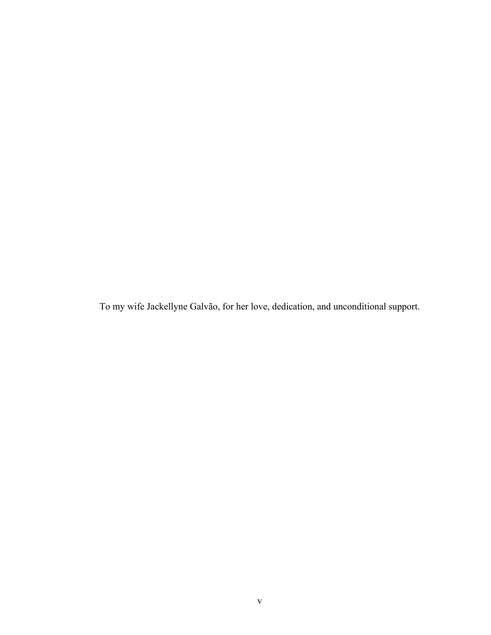To my wife Jackellyne Galvão, for her love, dedication, and unconditional support.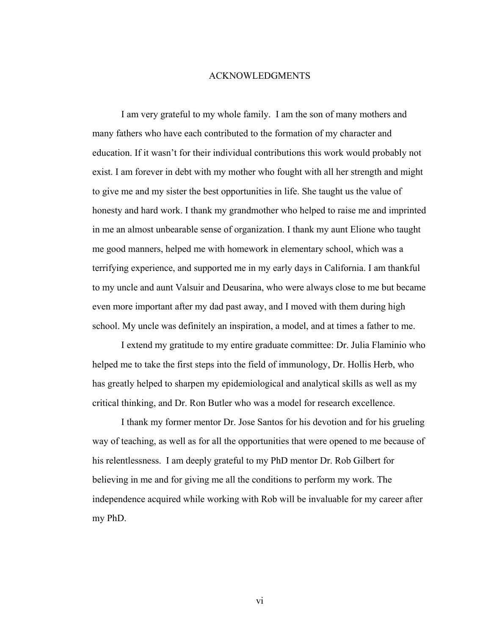### ACKNOWLEDGMENTS

I am very grateful to my whole family. I am the son of many mothers and many fathers who have each contributed to the formation of my character and education. If it wasn't for their individual contributions this work would probably not exist. I am forever in debt with my mother who fought with all her strength and might to give me and my sister the best opportunities in life. She taught us the value of honesty and hard work. I thank my grandmother who helped to raise me and imprinted in me an almost unbearable sense of organization. I thank my aunt Elione who taught me good manners, helped me with homework in elementary school, which was a terrifying experience, and supported me in my early days in California. I am thankful to my uncle and aunt Valsuir and Deusarina, who were always close to me but became even more important after my dad past away, and I moved with them during high school. My uncle was definitely an inspiration, a model, and at times a father to me.

I extend my gratitude to my entire graduate committee: Dr. Julia Flaminio who helped me to take the first steps into the field of immunology, Dr. Hollis Herb, who has greatly helped to sharpen my epidemiological and analytical skills as well as my critical thinking, and Dr. Ron Butler who was a model for research excellence.

I thank my former mentor Dr. Jose Santos for his devotion and for his grueling way of teaching, as well as for all the opportunities that were opened to me because of his relentlessness. I am deeply grateful to my PhD mentor Dr. Rob Gilbert for believing in me and for giving me all the conditions to perform my work. The independence acquired while working with Rob will be invaluable for my career after my PhD.

vi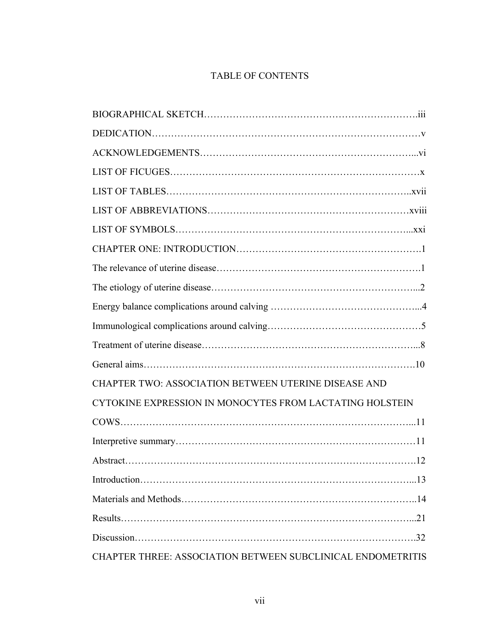# TABLE OF CONTENTS

| CHAPTER TWO: ASSOCIATION BETWEEN UTERINE DISEASE AND        |  |
|-------------------------------------------------------------|--|
| CYTOKINE EXPRESSION IN MONOCYTES FROM LACTATING HOLSTEIN    |  |
|                                                             |  |
|                                                             |  |
|                                                             |  |
|                                                             |  |
|                                                             |  |
|                                                             |  |
|                                                             |  |
| CHAPTER THREE: ASSOCIATION BETWEEN SUBCLINICAL ENDOMETRITIS |  |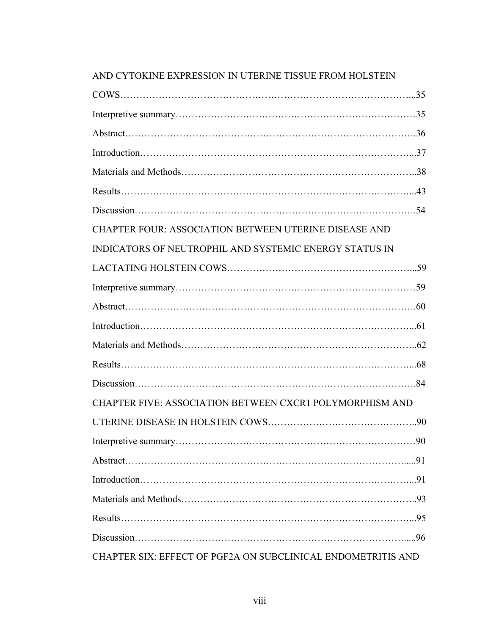| <b>CHAPTER FOUR: ASSOCIATION BETWEEN UTERINE DISEASE AND</b>    |  |
|-----------------------------------------------------------------|--|
| INDICATORS OF NEUTROPHIL AND SYSTEMIC ENERGY STATUS IN          |  |
|                                                                 |  |
|                                                                 |  |
|                                                                 |  |
|                                                                 |  |
|                                                                 |  |
|                                                                 |  |
|                                                                 |  |
| <b>CHAPTER FIVE: ASSOCIATION BETWEEN CXCR1 POLYMORPHISM AND</b> |  |
|                                                                 |  |
|                                                                 |  |
|                                                                 |  |
|                                                                 |  |
|                                                                 |  |
|                                                                 |  |
|                                                                 |  |
| CHAPTER SIX: EFFECT OF PGF2A ON SUBCLINICAL ENDOMETRITIS AND    |  |

## AND CYTOKINE EXPRESSION IN UTERINE TISSUE FROM HOLSTEIN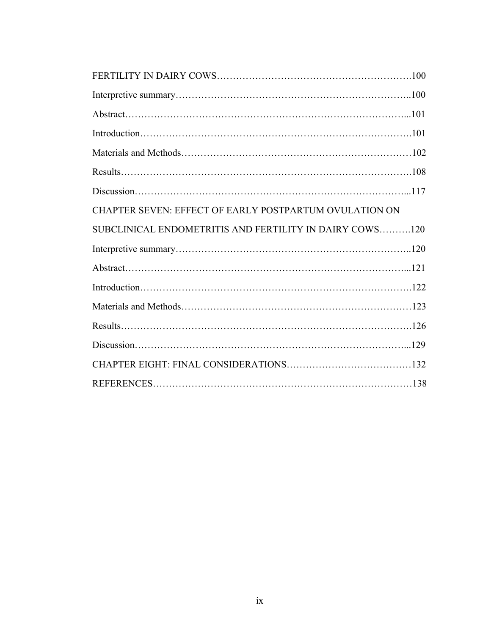| CHAPTER SEVEN: EFFECT OF EARLY POSTPARTUM OVULATION ON  |  |
|---------------------------------------------------------|--|
| SUBCLINICAL ENDOMETRITIS AND FERTILITY IN DAIRY COWS120 |  |
|                                                         |  |
|                                                         |  |
|                                                         |  |
|                                                         |  |
|                                                         |  |
|                                                         |  |
|                                                         |  |
|                                                         |  |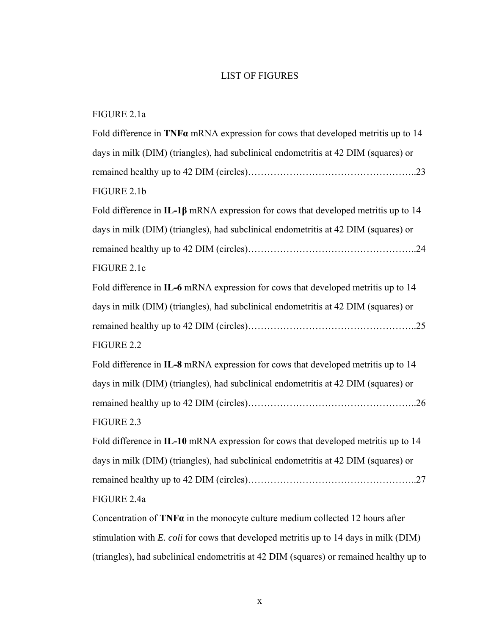## LIST OF FIGURES

| Fold difference in $TNF\alpha$ mRNA expression for cows that developed metritis up to 14  |
|-------------------------------------------------------------------------------------------|
| days in milk (DIM) (triangles), had subclinical endometritis at 42 DIM (squares) or       |
|                                                                                           |
| FIGURE 2.1b                                                                               |
| Fold difference in IL-1 $\beta$ mRNA expression for cows that developed metritis up to 14 |
| days in milk (DIM) (triangles), had subclinical endometritis at 42 DIM (squares) or       |
|                                                                                           |
| FIGURE 2.1c                                                                               |
| Fold difference in IL-6 mRNA expression for cows that developed metritis up to 14         |
| days in milk (DIM) (triangles), had subclinical endometritis at 42 DIM (squares) or       |
|                                                                                           |
| FIGURE 2.2                                                                                |
| Fold difference in IL-8 mRNA expression for cows that developed metritis up to 14         |
| days in milk (DIM) (triangles), had subclinical endometritis at 42 DIM (squares) or       |
|                                                                                           |
| FIGURE 2.3                                                                                |
| Fold difference in IL-10 mRNA expression for cows that developed metritis up to 14        |
| days in milk (DIM) (triangles), had subclinical endometritis at 42 DIM (squares) or       |
|                                                                                           |
| FIGURE 2.4a                                                                               |
| Concentration of $TNF\alpha$ in the monocyte culture medium collected 12 hours after      |
| stimulation with E. coli for cows that developed metritis up to 14 days in milk (DIM)     |

(triangles), had subclinical endometritis at 42 DIM (squares) or remained healthy up to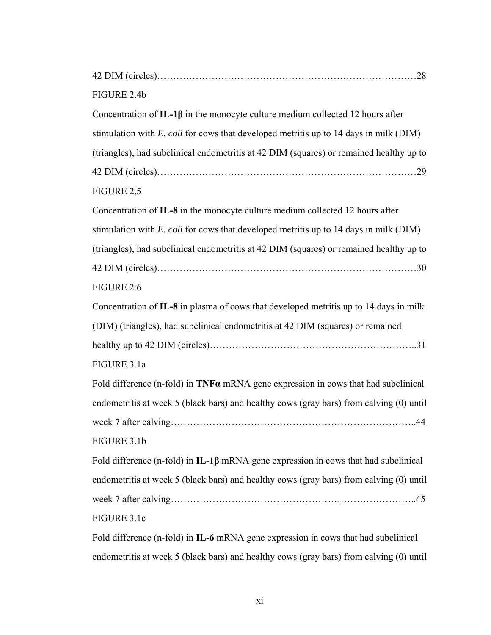| FIGURE 2.4b                                                                                  |
|----------------------------------------------------------------------------------------------|
| Concentration of $IL-1\beta$ in the monocyte culture medium collected 12 hours after         |
| stimulation with <i>E. coli</i> for cows that developed metritis up to 14 days in milk (DIM) |
| (triangles), had subclinical endometritis at 42 DIM (squares) or remained healthy up to      |
|                                                                                              |
| FIGURE 2.5                                                                                   |
| Concentration of IL-8 in the monocyte culture medium collected 12 hours after                |
| stimulation with <i>E. coli</i> for cows that developed metritis up to 14 days in milk (DIM) |
| (triangles), had subclinical endometritis at 42 DIM (squares) or remained healthy up to      |
|                                                                                              |
| FIGURE 2.6                                                                                   |
| Concentration of IL-8 in plasma of cows that developed metritis up to 14 days in milk        |
| (DIM) (triangles), had subclinical endometritis at 42 DIM (squares) or remained              |
|                                                                                              |
| FIGURE 3.1a                                                                                  |
| Fold difference (n-fold) in $TNF\alpha$ mRNA gene expression in cows that had subclinical    |
| endometritis at week 5 (black bars) and healthy cows (gray bars) from calving (0) until      |
|                                                                                              |
| FIGURE 3.1b                                                                                  |
| Fold difference (n-fold) in $IL-1\beta$ mRNA gene expression in cows that had subclinical    |
| endometritis at week 5 (black bars) and healthy cows (gray bars) from calving (0) until      |
|                                                                                              |
| FIGURE 3.1c                                                                                  |
| Fold difference (n-fold) in IL-6 mRNA gene expression in cows that had subclinical           |

endometritis at week 5 (black bars) and healthy cows (gray bars) from calving (0) until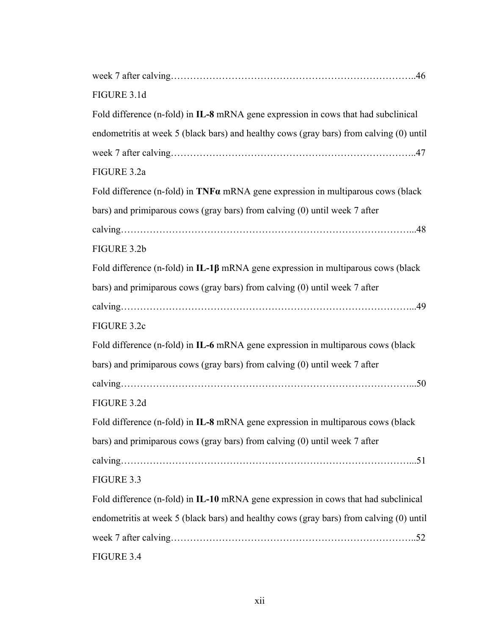| FIGURE 3.1d                                                                             |
|-----------------------------------------------------------------------------------------|
| Fold difference (n-fold) in IL-8 mRNA gene expression in cows that had subclinical      |
| endometritis at week 5 (black bars) and healthy cows (gray bars) from calving (0) until |
|                                                                                         |
| FIGURE 3.2a                                                                             |
| Fold difference (n-fold) in TNFa mRNA gene expression in multiparous cows (black        |
| bars) and primiparous cows (gray bars) from calving (0) until week 7 after              |
|                                                                                         |
| FIGURE 3.2b                                                                             |
| Fold difference (n-fold) in $IL-1\beta$ mRNA gene expression in multiparous cows (black |
| bars) and primiparous cows (gray bars) from calving (0) until week 7 after              |
|                                                                                         |
| FIGURE 3.2c                                                                             |
| Fold difference (n-fold) in IL-6 mRNA gene expression in multiparous cows (black        |
| bars) and primiparous cows (gray bars) from calving (0) until week 7 after              |
|                                                                                         |
| FIGURE 3.2d                                                                             |
| Fold difference (n-fold) in IL-8 mRNA gene expression in multiparous cows (black        |
| bars) and primiparous cows (gray bars) from calving (0) until week 7 after              |
|                                                                                         |
| FIGURE 3.3                                                                              |
| Fold difference (n-fold) in IL-10 mRNA gene expression in cows that had subclinical     |
| endometritis at week 5 (black bars) and healthy cows (gray bars) from calving (0) until |
|                                                                                         |
| FIGURE 3.4                                                                              |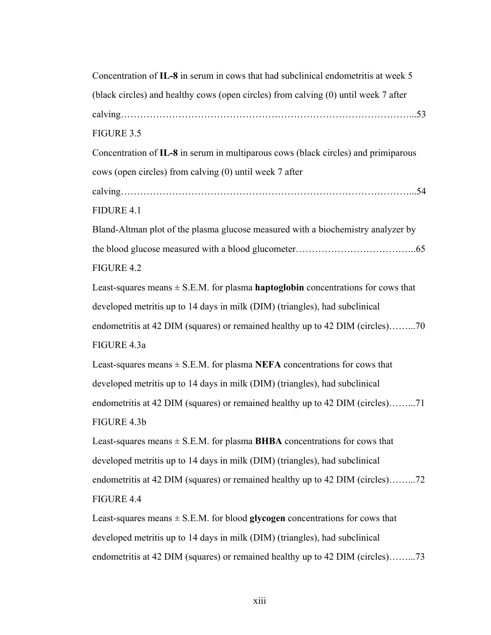| Concentration of IL-8 in serum in cows that had subclinical endometritis at week 5          |
|---------------------------------------------------------------------------------------------|
| (black circles) and healthy cows (open circles) from calving (0) until week 7 after         |
|                                                                                             |
| FIGURE 3.5                                                                                  |
| Concentration of IL-8 in serum in multiparous cows (black circles) and primiparous          |
| cows (open circles) from calving (0) until week 7 after                                     |
|                                                                                             |
| FIDURE 4.1                                                                                  |
| Bland-Altman plot of the plasma glucose measured with a biochemistry analyzer by            |
|                                                                                             |
| FIGURE 4.2                                                                                  |
| Least-squares means $\pm$ S.E.M. for plasma <b>haptoglobin</b> concentrations for cows that |
| developed metritis up to 14 days in milk (DIM) (triangles), had subclinical                 |
| endometritis at 42 DIM (squares) or remained healthy up to 42 DIM (circles)70               |
| FIGURE 4.3a                                                                                 |
| Least-squares means $\pm$ S.E.M. for plasma NEFA concentrations for cows that               |
| developed metritis up to 14 days in milk (DIM) (triangles), had subclinical                 |
| endometritis at 42 DIM (squares) or remained healthy up to 42 DIM (circles)71               |
| FIGURE 4.3b                                                                                 |
| Least-squares means $\pm$ S.E.M. for plasma <b>BHBA</b> concentrations for cows that        |
| developed metritis up to 14 days in milk (DIM) (triangles), had subclinical                 |
| endometritis at 42 DIM (squares) or remained healthy up to 42 DIM (circles)72               |
| FIGURE 4.4                                                                                  |
| Least-squares means $\pm$ S.E.M. for blood glycogen concentrations for cows that            |
| developed metritis up to 14 days in milk (DIM) (triangles), had subclinical                 |

endometritis at 42 DIM (squares) or remained healthy up to 42 DIM (circles)……...73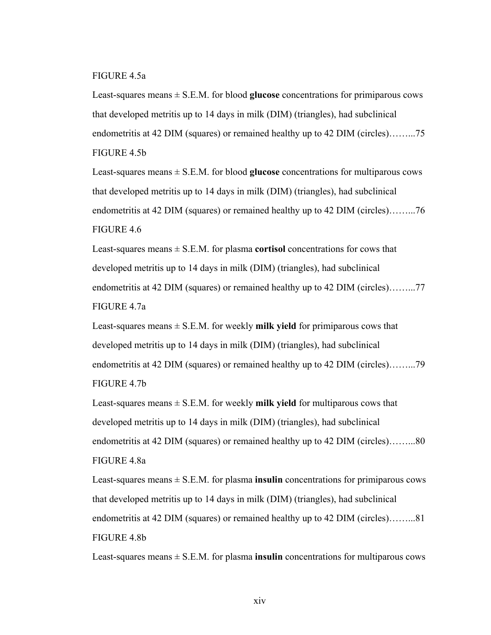### FIGURE 4.5a

Least-squares means  $\pm$  S.E.M. for blood **glucose** concentrations for primiparous cows that developed metritis up to 14 days in milk (DIM) (triangles), had subclinical endometritis at 42 DIM (squares) or remained healthy up to 42 DIM (circles)……...75 FIGURE 4.5b

Least-squares means  $\pm$  S.E.M. for blood **glucose** concentrations for multiparous cows that developed metritis up to 14 days in milk (DIM) (triangles), had subclinical endometritis at 42 DIM (squares) or remained healthy up to 42 DIM (circles)……...76 FIGURE 4.6

Least-squares means  $\pm$  S.E.M. for plasma **cortisol** concentrations for cows that developed metritis up to 14 days in milk (DIM) (triangles), had subclinical endometritis at 42 DIM (squares) or remained healthy up to 42 DIM (circles)……...77 FIGURE 4.7a

Least-squares means  $\pm$  S.E.M. for weekly **milk yield** for primiparous cows that developed metritis up to 14 days in milk (DIM) (triangles), had subclinical endometritis at 42 DIM (squares) or remained healthy up to 42 DIM (circles)……...79 FIGURE 4.7b

Least-squares means  $\pm$  S.E.M. for weekly **milk yield** for multiparous cows that developed metritis up to 14 days in milk (DIM) (triangles), had subclinical endometritis at 42 DIM (squares) or remained healthy up to 42 DIM (circles)……...80 FIGURE 4.8a

Least-squares means  $\pm$  S.E.M. for plasma **insulin** concentrations for primiparous cows that developed metritis up to 14 days in milk (DIM) (triangles), had subclinical endometritis at 42 DIM (squares) or remained healthy up to 42 DIM (circles)……...81 FIGURE 4.8b

Least-squares means  $\pm$  S.E.M. for plasma **insulin** concentrations for multiparous cows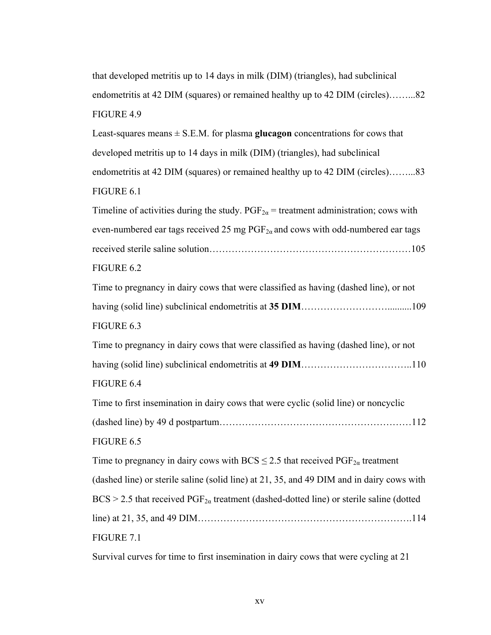that developed metritis up to 14 days in milk (DIM) (triangles), had subclinical endometritis at 42 DIM (squares) or remained healthy up to 42 DIM (circles)……...82 FIGURE 4.9 Least-squares means  $\pm$  S.E.M. for plasma **glucagon** concentrations for cows that developed metritis up to 14 days in milk (DIM) (triangles), had subclinical endometritis at 42 DIM (squares) or remained healthy up to 42 DIM (circles)……...83 FIGURE 6.1 Timeline of activities during the study.  $PGF_{2\alpha}$  = treatment administration; cows with even-numbered ear tags received 25 mg  $PGF_{2\alpha}$  and cows with odd-numbered ear tags received sterile saline solution………………………………………………………105 FIGURE 6.2 Time to pregnancy in dairy cows that were classified as having (dashed line), or not having (solid line) subclinical endometritis at **35 DIM**………………………..........109 FIGURE 6.3 Time to pregnancy in dairy cows that were classified as having (dashed line), or not having (solid line) subclinical endometritis at **49 DIM**……………………………..110 FIGURE 6.4 Time to first insemination in dairy cows that were cyclic (solid line) or noncyclic (dashed line) by 49 d postpartum……………………………………………………112 FIGURE 6.5 Time to pregnancy in dairy cows with BCS  $\leq$  2.5 that received PGF<sub>2a</sub> treatment (dashed line) or sterile saline (solid line) at 21, 35, and 49 DIM and in dairy cows with  $BCS > 2.5$  that received  $PGF_{2\alpha}$  treatment (dashed-dotted line) or sterile saline (dotted line) at 21, 35, and 49 DIM………………………………………………………….114 FIGURE 7.1

Survival curves for time to first insemination in dairy cows that were cycling at 21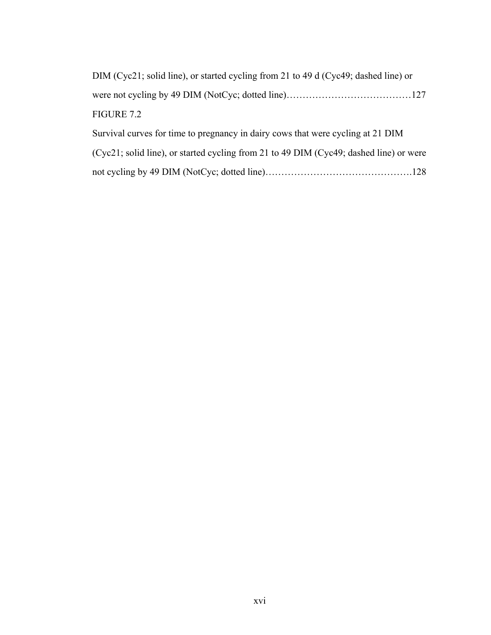| DIM (Cyc21; solid line), or started cycling from 21 to 49 d (Cyc49; dashed line) or    |
|----------------------------------------------------------------------------------------|
|                                                                                        |
| FIGURE 7.2                                                                             |
| Survival curves for time to pregnancy in dairy cows that were cycling at 21 DIM        |
| (Cyc21; solid line), or started cycling from 21 to 49 DIM (Cyc49; dashed line) or were |
|                                                                                        |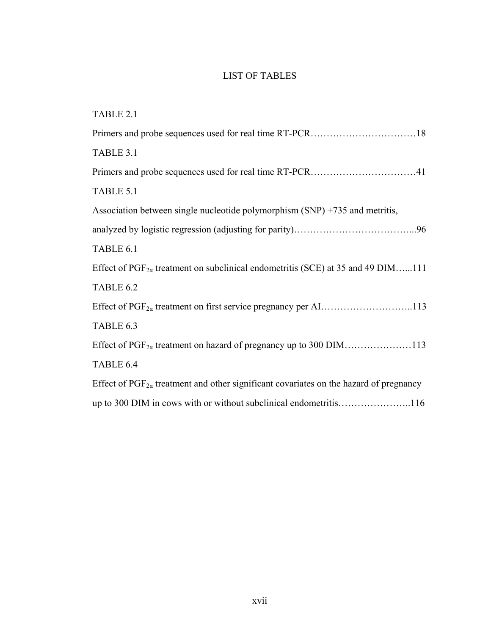## LIST OF TABLES

| TABLE 2.1                                                                                       |
|-------------------------------------------------------------------------------------------------|
|                                                                                                 |
| TABLE 3.1                                                                                       |
|                                                                                                 |
| TABLE 5.1                                                                                       |
| Association between single nucleotide polymorphism (SNP) +735 and metritis,                     |
|                                                                                                 |
| TABLE 6.1                                                                                       |
| Effect of $PGF_{2\alpha}$ treatment on subclinical endometritis (SCE) at 35 and 49 DIM111       |
| TABLE 6.2                                                                                       |
|                                                                                                 |
| TABLE 6.3                                                                                       |
|                                                                                                 |
| TABLE 6.4                                                                                       |
| Effect of $PGF_{2\alpha}$ treatment and other significant covariates on the hazard of pregnancy |
| up to 300 DIM in cows with or without subclinical endometritis116                               |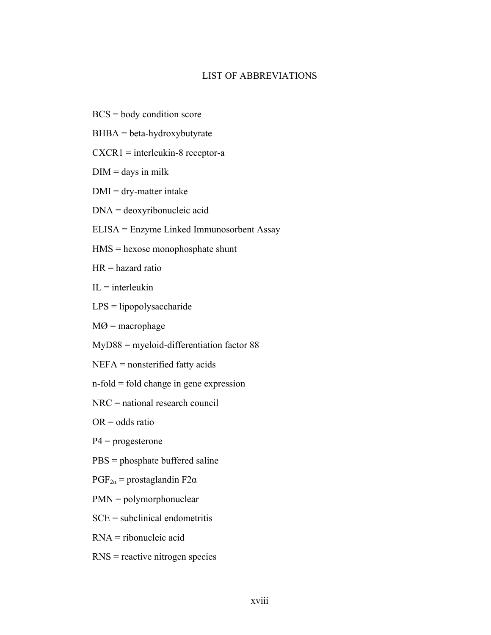## LIST OF ABBREVIATIONS

- BCS = body condition score
- $BHBA = beta-hydroxybutyrate$
- CXCR1 = interleukin-8 receptor-a
- $DIM =$  days in milk
- $DMI = dry-matter$  intake
- DNA = deoxyribonucleic acid
- ELISA = Enzyme Linked Immunosorbent Assay
- HMS = hexose monophosphate shunt
- $HR =$  hazard ratio
- $IL =$ interleukin
- LPS = lipopolysaccharide
- $MØ$  = macrophage
- MyD88 = myeloid-differentiation factor 88
- NEFA = nonsterified fatty acids
- n-fold = fold change in gene expression
- NRC = national research council
- $OR = odds ratio$
- $P4$  = progesterone
- PBS = phosphate buffered saline
- $PGF_{2\alpha}$  = prostaglandin F2 $\alpha$
- PMN = polymorphonuclear
- $SCE = subclinical endometricis$
- RNA = ribonucleic acid
- RNS = reactive nitrogen species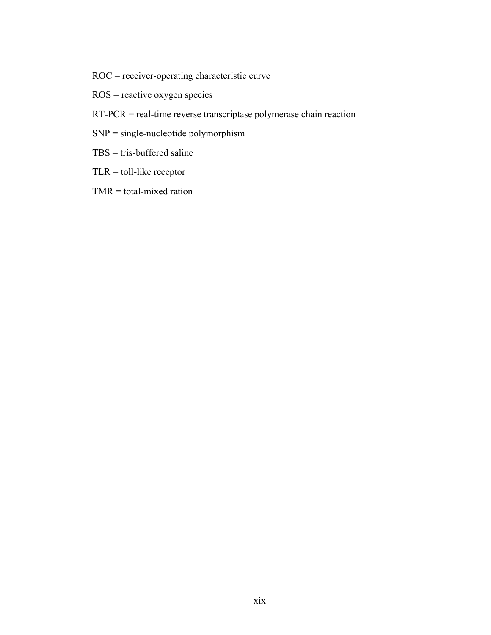- ROC = receiver-operating characteristic curve
- ROS = reactive oxygen species
- RT-PCR = real-time reverse transcriptase polymerase chain reaction
- SNP = single-nucleotide polymorphism
- TBS = tris-buffered saline
- $TLR =$  toll-like receptor
- TMR = total-mixed ration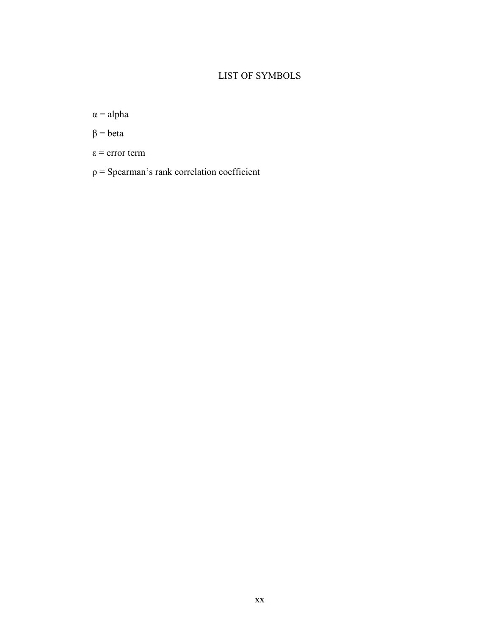# LIST OF SYMBOLS

 $\alpha$  = alpha

 $β = beta$ 

- ε = error term
- $ρ = Spearman's rank correlation coefficient$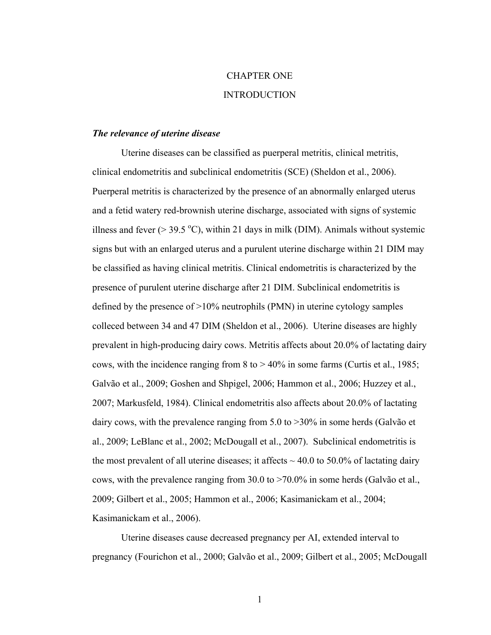# CHAPTER ONE INTRODUCTION

#### *The relevance of uterine disease*

Uterine diseases can be classified as puerperal metritis, clinical metritis, clinical endometritis and subclinical endometritis (SCE) (Sheldon et al., 2006). Puerperal metritis is characterized by the presence of an abnormally enlarged uterus and a fetid watery red-brownish uterine discharge, associated with signs of systemic illness and fever ( $>$  39.5 °C), within 21 days in milk (DIM). Animals without systemic signs but with an enlarged uterus and a purulent uterine discharge within 21 DIM may be classified as having clinical metritis. Clinical endometritis is characterized by the presence of purulent uterine discharge after 21 DIM. Subclinical endometritis is defined by the presence of >10% neutrophils (PMN) in uterine cytology samples colleced between 34 and 47 DIM (Sheldon et al., 2006). Uterine diseases are highly prevalent in high-producing dairy cows. Metritis affects about 20.0% of lactating dairy cows, with the incidence ranging from  $8$  to  $> 40\%$  in some farms (Curtis et al., 1985; Galvão et al., 2009; Goshen and Shpigel, 2006; Hammon et al., 2006; Huzzey et al., 2007; Markusfeld, 1984). Clinical endometritis also affects about 20.0% of lactating dairy cows, with the prevalence ranging from 5.0 to >30% in some herds (Galvão et al., 2009; LeBlanc et al., 2002; McDougall et al., 2007). Subclinical endometritis is the most prevalent of all uterine diseases; it affects  $\sim$  40.0 to 50.0% of lactating dairy cows, with the prevalence ranging from 30.0 to >70.0% in some herds (Galvão et al., 2009; Gilbert et al., 2005; Hammon et al., 2006; Kasimanickam et al., 2004; Kasimanickam et al., 2006).

Uterine diseases cause decreased pregnancy per AI, extended interval to pregnancy (Fourichon et al., 2000; Galvão et al., 2009; Gilbert et al., 2005; McDougall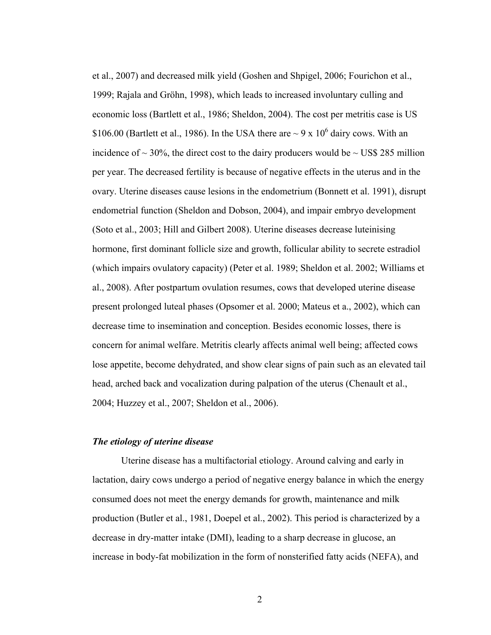et al., 2007) and decreased milk yield (Goshen and Shpigel, 2006; Fourichon et al., 1999; Rajala and Gröhn, 1998), which leads to increased involuntary culling and economic loss (Bartlett et al., 1986; Sheldon, 2004). The cost per metritis case is US \$106.00 (Bartlett et al., 1986). In the USA there are  $\sim$  9 x 10<sup>6</sup> dairy cows. With an incidence of  $\sim$  30%, the direct cost to the dairy producers would be  $\sim$  US\$ 285 million per year. The decreased fertility is because of negative effects in the uterus and in the ovary. Uterine diseases cause lesions in the endometrium (Bonnett et al. 1991), disrupt endometrial function (Sheldon and Dobson, 2004), and impair embryo development (Soto et al., 2003; Hill and Gilbert 2008). Uterine diseases decrease luteinising hormone, first dominant follicle size and growth, follicular ability to secrete estradiol (which impairs ovulatory capacity) (Peter et al. 1989; Sheldon et al. 2002; Williams et al., 2008). After postpartum ovulation resumes, cows that developed uterine disease present prolonged luteal phases (Opsomer et al. 2000; Mateus et a., 2002), which can decrease time to insemination and conception. Besides economic losses, there is concern for animal welfare. Metritis clearly affects animal well being; affected cows lose appetite, become dehydrated, and show clear signs of pain such as an elevated tail head, arched back and vocalization during palpation of the uterus (Chenault et al., 2004; Huzzey et al., 2007; Sheldon et al., 2006).

#### *The etiology of uterine disease*

Uterine disease has a multifactorial etiology. Around calving and early in lactation, dairy cows undergo a period of negative energy balance in which the energy consumed does not meet the energy demands for growth, maintenance and milk production (Butler et al., 1981, Doepel et al., 2002). This period is characterized by a decrease in dry-matter intake (DMI), leading to a sharp decrease in glucose, an increase in body-fat mobilization in the form of nonsterified fatty acids (NEFA), and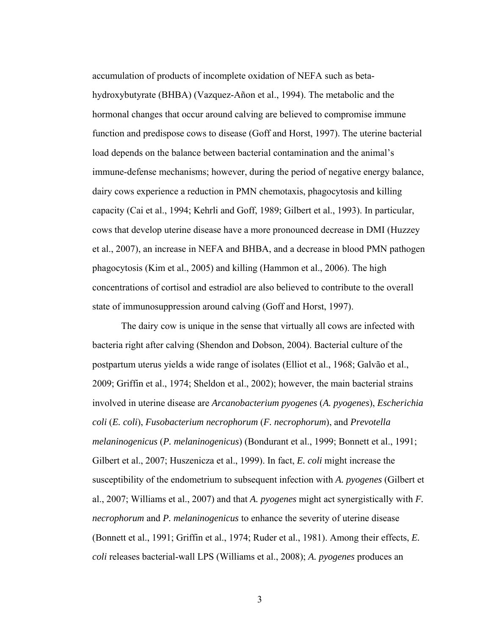accumulation of products of incomplete oxidation of NEFA such as betahydroxybutyrate (BHBA) (Vazquez-Añon et al., 1994). The metabolic and the hormonal changes that occur around calving are believed to compromise immune function and predispose cows to disease (Goff and Horst, 1997). The uterine bacterial load depends on the balance between bacterial contamination and the animal's immune-defense mechanisms; however, during the period of negative energy balance, dairy cows experience a reduction in PMN chemotaxis, phagocytosis and killing capacity (Cai et al., 1994; Kehrli and Goff, 1989; Gilbert et al., 1993). In particular, cows that develop uterine disease have a more pronounced decrease in DMI (Huzzey et al., 2007), an increase in NEFA and BHBA, and a decrease in blood PMN pathogen phagocytosis (Kim et al., 2005) and killing (Hammon et al., 2006). The high concentrations of cortisol and estradiol are also believed to contribute to the overall state of immunosuppression around calving (Goff and Horst, 1997).

The dairy cow is unique in the sense that virtually all cows are infected with bacteria right after calving (Shendon and Dobson, 2004). Bacterial culture of the postpartum uterus yields a wide range of isolates (Elliot et al., 1968; Galvão et al., 2009; Griffin et al., 1974; Sheldon et al., 2002); however, the main bacterial strains involved in uterine disease are *Arcanobacterium pyogenes* (*A. pyogenes*), *Escherichia coli* (*E. coli*), *Fusobacterium necrophorum* (*F. necrophorum*), and *Prevotella melaninogenicus* (*P. melaninogenicus*) (Bondurant et al., 1999; Bonnett et al., 1991; Gilbert et al., 2007; Huszenicza et al., 1999). In fact, *E. coli* might increase the susceptibility of the endometrium to subsequent infection with *A. pyogenes* (Gilbert et al., 2007; Williams et al., 2007) and that *A. pyogenes* might act synergistically with *F. necrophorum* and *P. melaninogenicus* to enhance the severity of uterine disease (Bonnett et al., 1991; Griffin et al., 1974; Ruder et al., 1981). Among their effects, *E. coli* releases bacterial-wall LPS (Williams et al., 2008); *A. pyogenes* produces an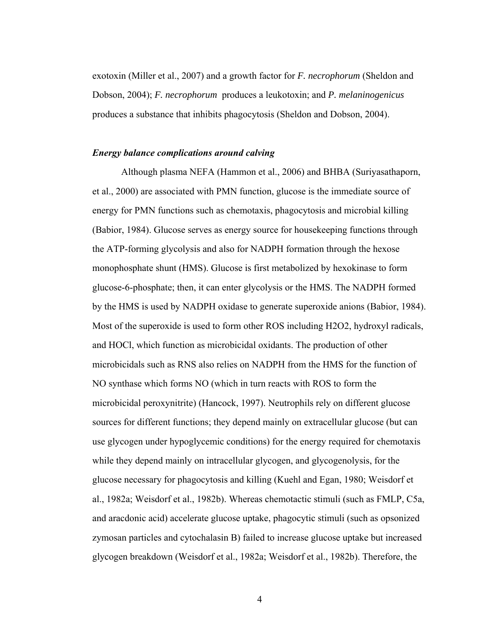exotoxin (Miller et al., 2007) and a growth factor for *F. necrophorum* (Sheldon and Dobson, 2004); *F. necrophorum* produces a leukotoxin; and *P. melaninogenicus* produces a substance that inhibits phagocytosis (Sheldon and Dobson, 2004).

#### *Energy balance complications around calving*

Although plasma NEFA (Hammon et al., 2006) and BHBA (Suriyasathaporn, et al., 2000) are associated with PMN function, glucose is the immediate source of energy for PMN functions such as chemotaxis, phagocytosis and microbial killing (Babior, 1984). Glucose serves as energy source for housekeeping functions through the ATP-forming glycolysis and also for NADPH formation through the hexose monophosphate shunt (HMS). Glucose is first metabolized by hexokinase to form glucose-6-phosphate; then, it can enter glycolysis or the HMS. The NADPH formed by the HMS is used by NADPH oxidase to generate superoxide anions (Babior, 1984). Most of the superoxide is used to form other ROS including H2O2, hydroxyl radicals, and HOCl, which function as microbicidal oxidants. The production of other microbicidals such as RNS also relies on NADPH from the HMS for the function of NO synthase which forms NO (which in turn reacts with ROS to form the microbicidal peroxynitrite) (Hancock, 1997). Neutrophils rely on different glucose sources for different functions; they depend mainly on extracellular glucose (but can use glycogen under hypoglycemic conditions) for the energy required for chemotaxis while they depend mainly on intracellular glycogen, and glycogenolysis, for the glucose necessary for phagocytosis and killing (Kuehl and Egan, 1980; Weisdorf et al., 1982a; Weisdorf et al., 1982b). Whereas chemotactic stimuli (such as FMLP, C5a, and aracdonic acid) accelerate glucose uptake, phagocytic stimuli (such as opsonized zymosan particles and cytochalasin B) failed to increase glucose uptake but increased glycogen breakdown (Weisdorf et al., 1982a; Weisdorf et al., 1982b). Therefore, the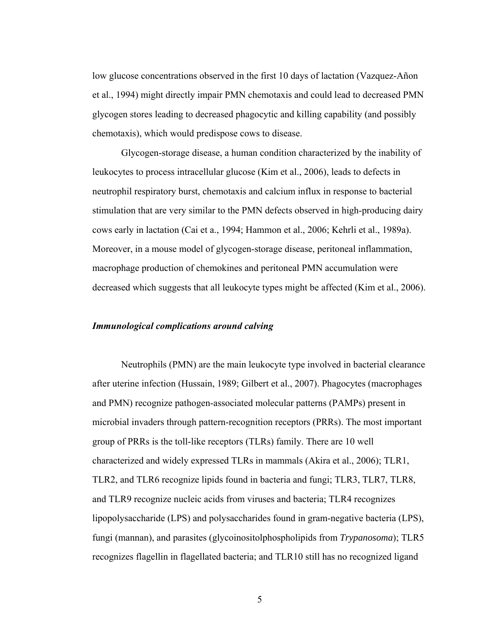low glucose concentrations observed in the first 10 days of lactation (Vazquez-Añon et al., 1994) might directly impair PMN chemotaxis and could lead to decreased PMN glycogen stores leading to decreased phagocytic and killing capability (and possibly chemotaxis), which would predispose cows to disease.

Glycogen-storage disease, a human condition characterized by the inability of leukocytes to process intracellular glucose (Kim et al., 2006), leads to defects in neutrophil respiratory burst, chemotaxis and calcium influx in response to bacterial stimulation that are very similar to the PMN defects observed in high-producing dairy cows early in lactation (Cai et a., 1994; Hammon et al., 2006; Kehrli et al., 1989a). Moreover, in a mouse model of glycogen-storage disease, peritoneal inflammation, macrophage production of chemokines and peritoneal PMN accumulation were decreased which suggests that all leukocyte types might be affected (Kim et al., 2006).

### *Immunological complications around calving*

Neutrophils (PMN) are the main leukocyte type involved in bacterial clearance after uterine infection (Hussain, 1989; Gilbert et al., 2007). Phagocytes (macrophages and PMN) recognize pathogen-associated molecular patterns (PAMPs) present in microbial invaders through pattern-recognition receptors (PRRs). The most important group of PRRs is the toll-like receptors (TLRs) family. There are 10 well characterized and widely expressed TLRs in mammals (Akira et al., 2006); TLR1, TLR2, and TLR6 recognize lipids found in bacteria and fungi; TLR3, TLR7, TLR8, and TLR9 recognize nucleic acids from viruses and bacteria; TLR4 recognizes lipopolysaccharide (LPS) and polysaccharides found in gram-negative bacteria (LPS), fungi (mannan), and parasites (glycoinositolphospholipids from *Trypanosoma*); TLR5 recognizes flagellin in flagellated bacteria; and TLR10 still has no recognized ligand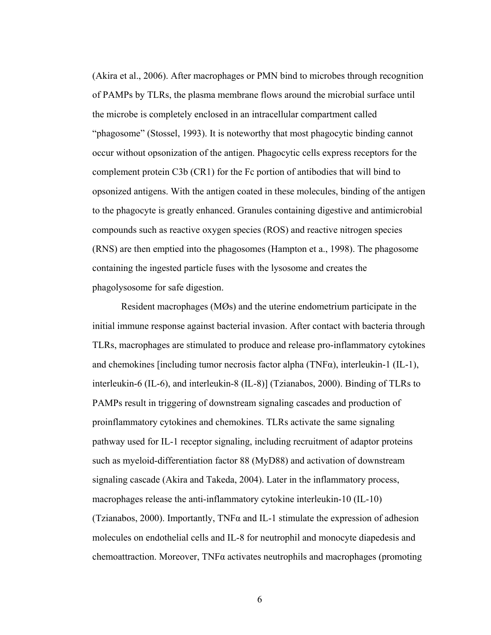(Akira et al., 2006). After macrophages or PMN bind to microbes through recognition of PAMPs by TLRs, the plasma membrane flows around the microbial surface until the microbe is completely enclosed in an intracellular compartment called "phagosome" (Stossel, 1993). It is noteworthy that most phagocytic binding cannot occur without opsonization of the antigen. Phagocytic cells express receptors for the complement protein C3b (CR1) for the Fc portion of antibodies that will bind to opsonized antigens. With the antigen coated in these molecules, binding of the antigen to the phagocyte is greatly enhanced. Granules containing digestive and antimicrobial compounds such as reactive oxygen species (ROS) and reactive nitrogen species (RNS) are then emptied into the phagosomes (Hampton et a., 1998). The phagosome containing the ingested particle fuses with the lysosome and creates the phagolysosome for safe digestion.

Resident macrophages (MØs) and the uterine endometrium participate in the initial immune response against bacterial invasion. After contact with bacteria through TLRs, macrophages are stimulated to produce and release pro-inflammatory cytokines and chemokines [including tumor necrosis factor alpha (TNFα), interleukin-1 (IL-1), interleukin-6 (IL-6), and interleukin-8 (IL-8)] (Tzianabos, 2000). Binding of TLRs to PAMPs result in triggering of downstream signaling cascades and production of proinflammatory cytokines and chemokines. TLRs activate the same signaling pathway used for IL-1 receptor signaling, including recruitment of adaptor proteins such as myeloid-differentiation factor 88 (MyD88) and activation of downstream signaling cascade (Akira and Takeda, 2004). Later in the inflammatory process, macrophages release the anti-inflammatory cytokine interleukin-10 (IL-10) (Tzianabos, 2000). Importantly, TNF $\alpha$  and IL-1 stimulate the expression of adhesion molecules on endothelial cells and IL-8 for neutrophil and monocyte diapedesis and chemoattraction. Moreover, TNFα activates neutrophils and macrophages (promoting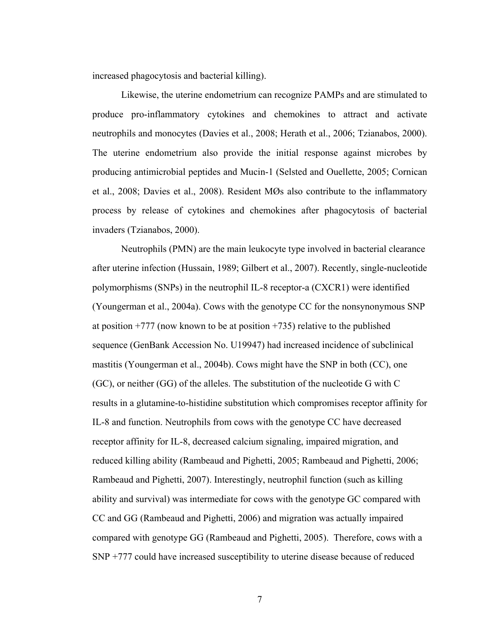increased phagocytosis and bacterial killing).

Likewise, the uterine endometrium can recognize PAMPs and are stimulated to produce pro-inflammatory cytokines and chemokines to attract and activate neutrophils and monocytes (Davies et al., 2008; Herath et al., 2006; Tzianabos, 2000). The uterine endometrium also provide the initial response against microbes by producing antimicrobial peptides and Mucin-1 (Selsted and Ouellette, 2005; Cornican et al., 2008; Davies et al., 2008). Resident MØs also contribute to the inflammatory process by release of cytokines and chemokines after phagocytosis of bacterial invaders (Tzianabos, 2000).

Neutrophils (PMN) are the main leukocyte type involved in bacterial clearance after uterine infection (Hussain, 1989; Gilbert et al., 2007). Recently, single-nucleotide polymorphisms (SNPs) in the neutrophil IL-8 receptor-a (CXCR1) were identified (Youngerman et al., 2004a). Cows with the genotype CC for the nonsynonymous SNP at position  $+777$  (now known to be at position  $+735$ ) relative to the published sequence (GenBank Accession No. U19947) had increased incidence of subclinical mastitis (Youngerman et al., 2004b). Cows might have the SNP in both (CC), one (GC), or neither (GG) of the alleles. The substitution of the nucleotide G with C results in a glutamine-to-histidine substitution which compromises receptor affinity for IL-8 and function. Neutrophils from cows with the genotype CC have decreased receptor affinity for IL-8, decreased calcium signaling, impaired migration, and reduced killing ability (Rambeaud and Pighetti, 2005; Rambeaud and Pighetti, 2006; Rambeaud and Pighetti, 2007). Interestingly, neutrophil function (such as killing ability and survival) was intermediate for cows with the genotype GC compared with CC and GG (Rambeaud and Pighetti, 2006) and migration was actually impaired compared with genotype GG (Rambeaud and Pighetti, 2005). Therefore, cows with a SNP +777 could have increased susceptibility to uterine disease because of reduced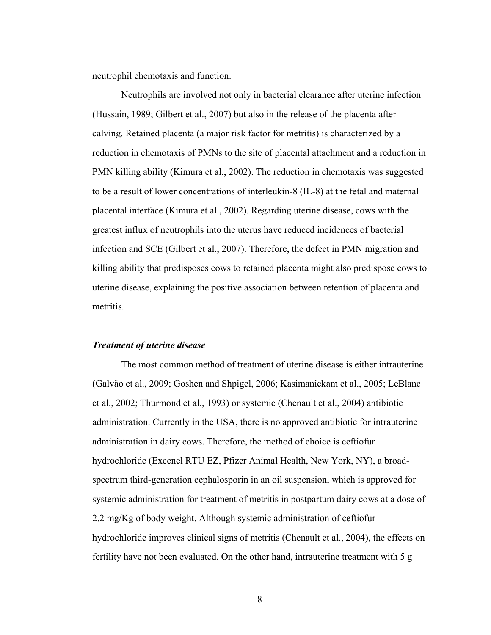neutrophil chemotaxis and function.

Neutrophils are involved not only in bacterial clearance after uterine infection (Hussain, 1989; Gilbert et al., 2007) but also in the release of the placenta after calving. Retained placenta (a major risk factor for metritis) is characterized by a reduction in chemotaxis of PMNs to the site of placental attachment and a reduction in PMN killing ability (Kimura et al., 2002). The reduction in chemotaxis was suggested to be a result of lower concentrations of interleukin-8 (IL-8) at the fetal and maternal placental interface (Kimura et al., 2002). Regarding uterine disease, cows with the greatest influx of neutrophils into the uterus have reduced incidences of bacterial infection and SCE (Gilbert et al., 2007). Therefore, the defect in PMN migration and killing ability that predisposes cows to retained placenta might also predispose cows to uterine disease, explaining the positive association between retention of placenta and metritis.

### *Treatment of uterine disease*

The most common method of treatment of uterine disease is either intrauterine (Galvão et al., 2009; Goshen and Shpigel, 2006; Kasimanickam et al., 2005; LeBlanc et al., 2002; Thurmond et al., 1993) or systemic (Chenault et al., 2004) antibiotic administration. Currently in the USA, there is no approved antibiotic for intrauterine administration in dairy cows. Therefore, the method of choice is ceftiofur hydrochloride (Excenel RTU EZ, Pfizer Animal Health, New York, NY), a broadspectrum third-generation cephalosporin in an oil suspension, which is approved for systemic administration for treatment of metritis in postpartum dairy cows at a dose of 2.2 mg/Kg of body weight. Although systemic administration of ceftiofur hydrochloride improves clinical signs of metritis (Chenault et al., 2004), the effects on fertility have not been evaluated. On the other hand, intrauterine treatment with 5 g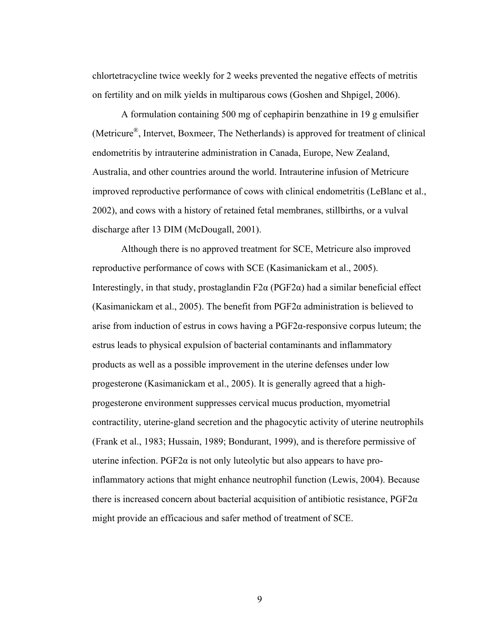chlortetracycline twice weekly for 2 weeks prevented the negative effects of metritis on fertility and on milk yields in multiparous cows (Goshen and Shpigel, 2006).

A formulation containing 500 mg of cephapirin benzathine in 19 g emulsifier (Metricure®, Intervet, Boxmeer, The Netherlands) is approved for treatment of clinical endometritis by intrauterine administration in Canada, Europe, New Zealand, Australia, and other countries around the world. Intrauterine infusion of Metricure improved reproductive performance of cows with clinical endometritis (LeBlanc et al., 2002), and cows with a history of retained fetal membranes, stillbirths, or a vulval discharge after 13 DIM (McDougall, 2001).

Although there is no approved treatment for SCE, Metricure also improved reproductive performance of cows with SCE (Kasimanickam et al., 2005). Interestingly, in that study, prostaglandin  $F2\alpha$  (PGF2 $\alpha$ ) had a similar beneficial effect (Kasimanickam et al., 2005). The benefit from  $PGF2\alpha$  administration is believed to arise from induction of estrus in cows having a  $PGF2\alpha$ -responsive corpus luteum; the estrus leads to physical expulsion of bacterial contaminants and inflammatory products as well as a possible improvement in the uterine defenses under low progesterone (Kasimanickam et al., 2005). It is generally agreed that a highprogesterone environment suppresses cervical mucus production, myometrial contractility, uterine-gland secretion and the phagocytic activity of uterine neutrophils (Frank et al., 1983; Hussain, 1989; Bondurant, 1999), and is therefore permissive of uterine infection. PGF2 $\alpha$  is not only luteolytic but also appears to have proinflammatory actions that might enhance neutrophil function (Lewis, 2004). Because there is increased concern about bacterial acquisition of antibiotic resistance,  $PGF2\alpha$ might provide an efficacious and safer method of treatment of SCE.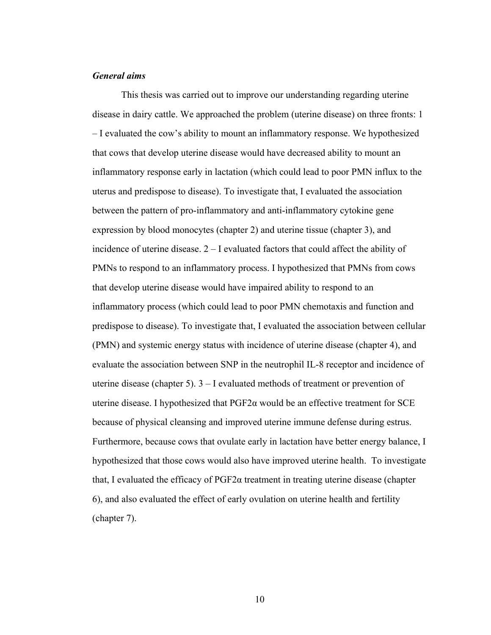## *General aims*

This thesis was carried out to improve our understanding regarding uterine disease in dairy cattle. We approached the problem (uterine disease) on three fronts: 1 – I evaluated the cow's ability to mount an inflammatory response. We hypothesized that cows that develop uterine disease would have decreased ability to mount an inflammatory response early in lactation (which could lead to poor PMN influx to the uterus and predispose to disease). To investigate that, I evaluated the association between the pattern of pro-inflammatory and anti-inflammatory cytokine gene expression by blood monocytes (chapter 2) and uterine tissue (chapter 3), and incidence of uterine disease. 2 – I evaluated factors that could affect the ability of PMNs to respond to an inflammatory process. I hypothesized that PMNs from cows that develop uterine disease would have impaired ability to respond to an inflammatory process (which could lead to poor PMN chemotaxis and function and predispose to disease). To investigate that, I evaluated the association between cellular (PMN) and systemic energy status with incidence of uterine disease (chapter 4), and evaluate the association between SNP in the neutrophil IL-8 receptor and incidence of uterine disease (chapter 5). 3 – I evaluated methods of treatment or prevention of uterine disease. I hypothesized that  $PGF2\alpha$  would be an effective treatment for SCE because of physical cleansing and improved uterine immune defense during estrus. Furthermore, because cows that ovulate early in lactation have better energy balance, I hypothesized that those cows would also have improved uterine health. To investigate that, I evaluated the efficacy of  $PGF2α$  treatment in treating uterine disease (chapter 6), and also evaluated the effect of early ovulation on uterine health and fertility (chapter 7).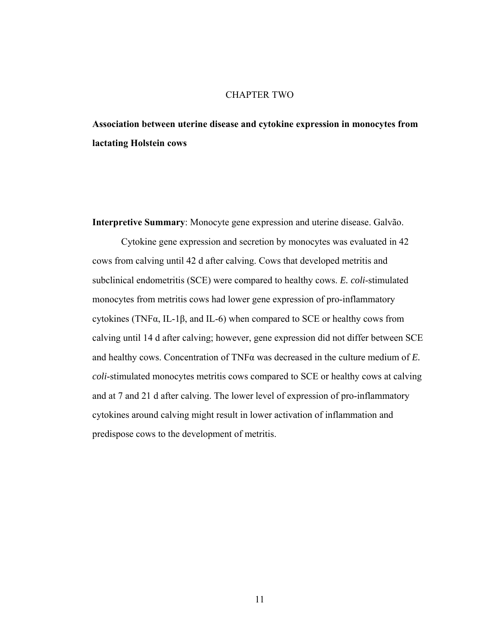## CHAPTER TWO

**Association between uterine disease and cytokine expression in monocytes from lactating Holstein cows** 

**Interpretive Summary**: Monocyte gene expression and uterine disease. Galvão.

Cytokine gene expression and secretion by monocytes was evaluated in 42 cows from calving until 42 d after calving. Cows that developed metritis and subclinical endometritis (SCE) were compared to healthy cows. *E. coli*-stimulated monocytes from metritis cows had lower gene expression of pro-inflammatory cytokines (TNF $\alpha$ , IL-1 $\beta$ , and IL-6) when compared to SCE or healthy cows from calving until 14 d after calving; however, gene expression did not differ between SCE and healthy cows. Concentration of TNFα was decreased in the culture medium of *E. coli*-stimulated monocytes metritis cows compared to SCE or healthy cows at calving and at 7 and 21 d after calving. The lower level of expression of pro-inflammatory cytokines around calving might result in lower activation of inflammation and predispose cows to the development of metritis.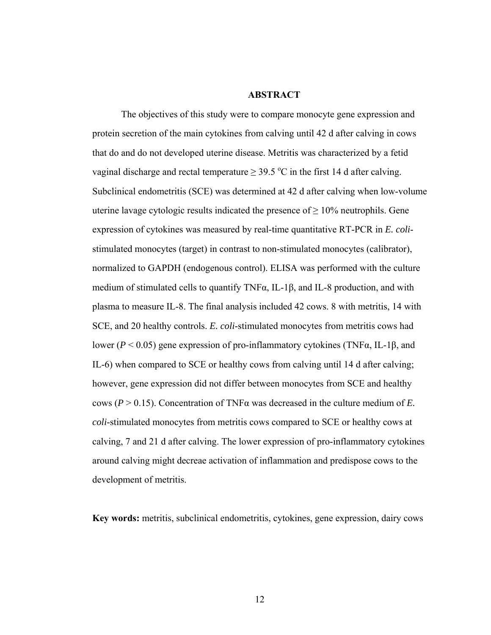#### **ABSTRACT**

The objectives of this study were to compare monocyte gene expression and protein secretion of the main cytokines from calving until 42 d after calving in cows that do and do not developed uterine disease. Metritis was characterized by a fetid vaginal discharge and rectal temperature  $\geq$  39.5 °C in the first 14 d after calving. Subclinical endometritis (SCE) was determined at 42 d after calving when low-volume uterine lavage cytologic results indicated the presence of  $\geq 10\%$  neutrophils. Gene expression of cytokines was measured by real-time quantitative RT-PCR in *E. coli*stimulated monocytes (target) in contrast to non-stimulated monocytes (calibrator), normalized to GAPDH (endogenous control). ELISA was performed with the culture medium of stimulated cells to quantify TNFα, IL-1β, and IL-8 production, and with plasma to measure IL-8. The final analysis included 42 cows. 8 with metritis, 14 with SCE, and 20 healthy controls. *E. coli*-stimulated monocytes from metritis cows had lower (*P* < 0.05) gene expression of pro-inflammatory cytokines (TNFα, IL-1β, and IL-6) when compared to SCE or healthy cows from calving until 14 d after calving; however, gene expression did not differ between monocytes from SCE and healthy cows (*P* > 0.15). Concentration of TNFα was decreased in the culture medium of *E. coli*-stimulated monocytes from metritis cows compared to SCE or healthy cows at calving, 7 and 21 d after calving. The lower expression of pro-inflammatory cytokines around calving might decreae activation of inflammation and predispose cows to the development of metritis.

**Key words:** metritis, subclinical endometritis, cytokines, gene expression, dairy cows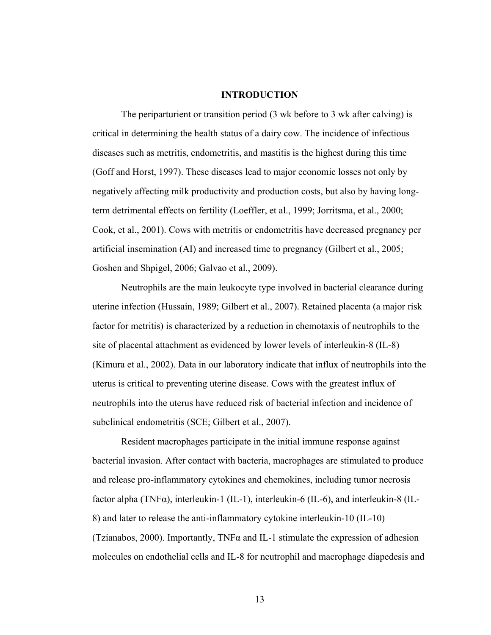#### **INTRODUCTION**

The periparturient or transition period (3 wk before to 3 wk after calving) is critical in determining the health status of a dairy cow. The incidence of infectious diseases such as metritis, endometritis, and mastitis is the highest during this time (Goff and Horst, 1997). These diseases lead to major economic losses not only by negatively affecting milk productivity and production costs, but also by having longterm detrimental effects on fertility (Loeffler, et al., 1999; Jorritsma, et al., 2000; Cook, et al., 2001). Cows with metritis or endometritis have decreased pregnancy per artificial insemination (AI) and increased time to pregnancy (Gilbert et al., 2005; Goshen and Shpigel, 2006; Galvao et al., 2009).

Neutrophils are the main leukocyte type involved in bacterial clearance during uterine infection (Hussain, 1989; Gilbert et al., 2007). Retained placenta (a major risk factor for metritis) is characterized by a reduction in chemotaxis of neutrophils to the site of placental attachment as evidenced by lower levels of interleukin-8 (IL-8) (Kimura et al., 2002). Data in our laboratory indicate that influx of neutrophils into the uterus is critical to preventing uterine disease. Cows with the greatest influx of neutrophils into the uterus have reduced risk of bacterial infection and incidence of subclinical endometritis (SCE; Gilbert et al., 2007).

Resident macrophages participate in the initial immune response against bacterial invasion. After contact with bacteria, macrophages are stimulated to produce and release pro-inflammatory cytokines and chemokines, including tumor necrosis factor alpha (TNFα), interleukin-1 (IL-1), interleukin-6 (IL-6), and interleukin-8 (IL-8) and later to release the anti-inflammatory cytokine interleukin-10 (IL-10) (Tzianabos, 2000). Importantly, TNF $\alpha$  and IL-1 stimulate the expression of adhesion molecules on endothelial cells and IL-8 for neutrophil and macrophage diapedesis and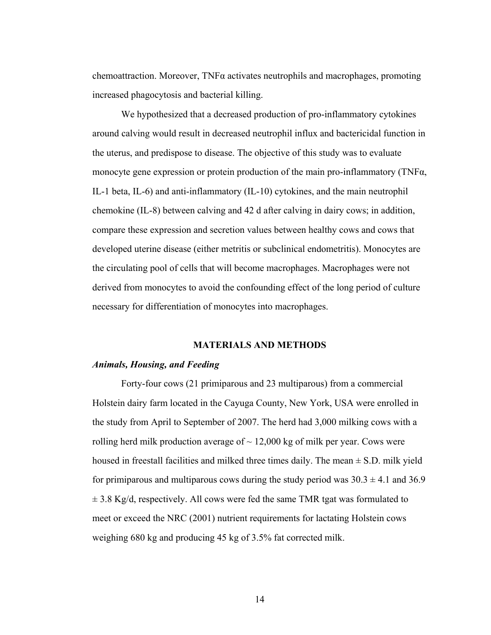chemoattraction. Moreover,  $TNF\alpha$  activates neutrophils and macrophages, promoting increased phagocytosis and bacterial killing.

We hypothesized that a decreased production of pro-inflammatory cytokines around calving would result in decreased neutrophil influx and bactericidal function in the uterus, and predispose to disease. The objective of this study was to evaluate monocyte gene expression or protein production of the main pro-inflammatory (TNFα, IL-1 beta, IL-6) and anti-inflammatory (IL-10) cytokines, and the main neutrophil chemokine (IL-8) between calving and 42 d after calving in dairy cows; in addition, compare these expression and secretion values between healthy cows and cows that developed uterine disease (either metritis or subclinical endometritis). Monocytes are the circulating pool of cells that will become macrophages. Macrophages were not derived from monocytes to avoid the confounding effect of the long period of culture necessary for differentiation of monocytes into macrophages.

## **MATERIALS AND METHODS**

#### *Animals, Housing, and Feeding*

Forty-four cows (21 primiparous and 23 multiparous) from a commercial Holstein dairy farm located in the Cayuga County, New York, USA were enrolled in the study from April to September of 2007. The herd had 3,000 milking cows with a rolling herd milk production average of  $\sim$  12,000 kg of milk per year. Cows were housed in freestall facilities and milked three times daily. The mean  $\pm$  S.D. milk yield for primiparous and multiparous cows during the study period was  $30.3 \pm 4.1$  and  $36.9$  $\pm$  3.8 Kg/d, respectively. All cows were fed the same TMR tgat was formulated to meet or exceed the NRC (2001) nutrient requirements for lactating Holstein cows weighing 680 kg and producing 45 kg of 3.5% fat corrected milk.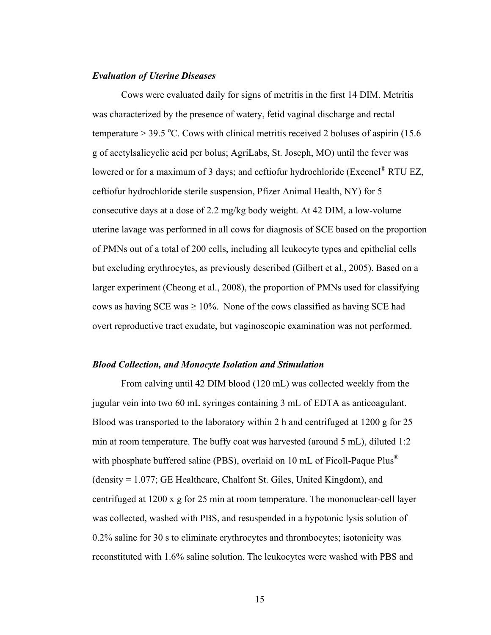### *Evaluation of Uterine Diseases*

Cows were evaluated daily for signs of metritis in the first 14 DIM. Metritis was characterized by the presence of watery, fetid vaginal discharge and rectal temperature  $> 39.5$  °C. Cows with clinical metritis received 2 boluses of aspirin (15.6) g of acetylsalicyclic acid per bolus; AgriLabs, St. Joseph, MO) until the fever was lowered or for a maximum of 3 days; and ceftiofur hydrochloride (Excenel® RTU EZ, ceftiofur hydrochloride sterile suspension, Pfizer Animal Health, NY) for 5 consecutive days at a dose of 2.2 mg/kg body weight. At 42 DIM, a low-volume uterine lavage was performed in all cows for diagnosis of SCE based on the proportion of PMNs out of a total of 200 cells, including all leukocyte types and epithelial cells but excluding erythrocytes, as previously described (Gilbert et al., 2005). Based on a larger experiment (Cheong et al., 2008), the proportion of PMNs used for classifying cows as having SCE was  $\geq 10\%$ . None of the cows classified as having SCE had overt reproductive tract exudate, but vaginoscopic examination was not performed.

#### *Blood Collection, and Monocyte Isolation and Stimulation*

From calving until 42 DIM blood (120 mL) was collected weekly from the jugular vein into two 60 mL syringes containing 3 mL of EDTA as anticoagulant. Blood was transported to the laboratory within 2 h and centrifuged at 1200 g for 25 min at room temperature. The buffy coat was harvested (around 5 mL), diluted 1:2 with phosphate buffered saline (PBS), overlaid on 10 mL of Ficoll-Paque Plus<sup>®</sup> (density = 1.077; GE Healthcare, Chalfont St. Giles, United Kingdom), and centrifuged at 1200 x g for 25 min at room temperature. The mononuclear-cell layer was collected, washed with PBS, and resuspended in a hypotonic lysis solution of 0.2% saline for 30 s to eliminate erythrocytes and thrombocytes; isotonicity was reconstituted with 1.6% saline solution. The leukocytes were washed with PBS and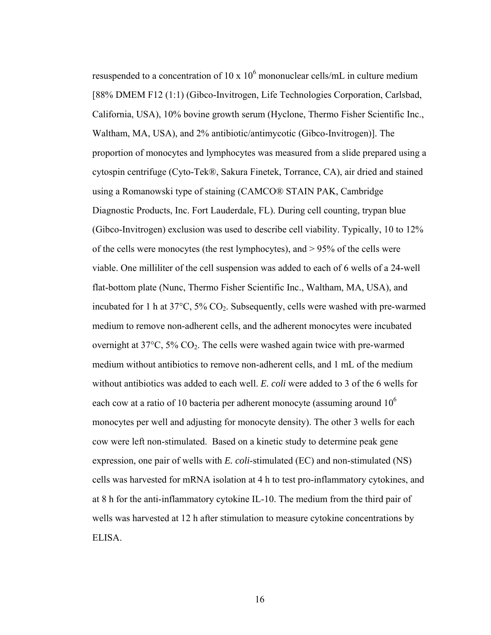resuspended to a concentration of  $10 \times 10^6$  mononuclear cells/mL in culture medium [88% DMEM F12 (1:1) (Gibco-Invitrogen, Life Technologies Corporation, Carlsbad, California, USA), 10% bovine growth serum (Hyclone, Thermo Fisher Scientific Inc., Waltham, MA, USA), and 2% antibiotic/antimycotic (Gibco-Invitrogen)]. The proportion of monocytes and lymphocytes was measured from a slide prepared using a cytospin centrifuge (Cyto-Tek®, Sakura Finetek, Torrance, CA), air dried and stained using a Romanowski type of staining (CAMCO® STAIN PAK, Cambridge Diagnostic Products, Inc. Fort Lauderdale, FL). During cell counting, trypan blue (Gibco-Invitrogen) exclusion was used to describe cell viability. Typically, 10 to 12% of the cells were monocytes (the rest lymphocytes), and > 95% of the cells were viable. One milliliter of the cell suspension was added to each of 6 wells of a 24-well flat-bottom plate (Nunc, Thermo Fisher Scientific Inc., Waltham, MA, USA), and incubated for 1 h at 37°C, 5% CO2. Subsequently, cells were washed with pre-warmed medium to remove non-adherent cells, and the adherent monocytes were incubated overnight at 37°C, 5% CO2. The cells were washed again twice with pre-warmed medium without antibiotics to remove non-adherent cells, and 1 mL of the medium without antibiotics was added to each well. *E. coli* were added to 3 of the 6 wells for each cow at a ratio of 10 bacteria per adherent monocyte (assuming around  $10^6$ ) monocytes per well and adjusting for monocyte density). The other 3 wells for each cow were left non-stimulated. Based on a kinetic study to determine peak gene expression, one pair of wells with *E. coli*-stimulated (EC) and non-stimulated (NS) cells was harvested for mRNA isolation at 4 h to test pro-inflammatory cytokines, and at 8 h for the anti-inflammatory cytokine IL-10. The medium from the third pair of wells was harvested at 12 h after stimulation to measure cytokine concentrations by ELISA.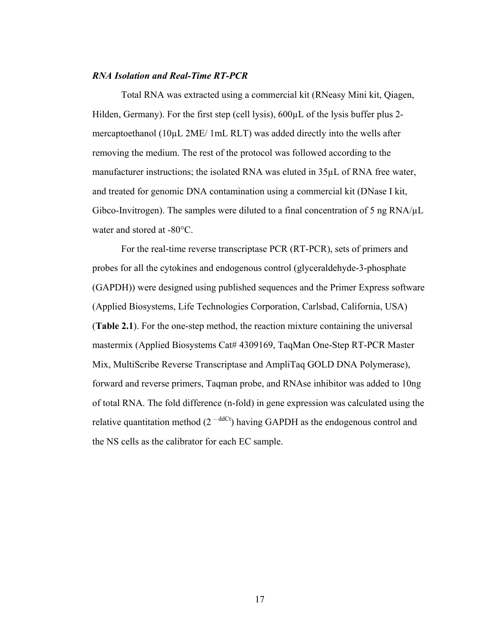# *RNA Isolation and Real-Time RT-PCR*

Total RNA was extracted using a commercial kit (RNeasy Mini kit, Qiagen, Hilden, Germany). For the first step (cell lysis),  $600 \mu L$  of the lysis buffer plus 2mercaptoethanol (10µL 2ME/ 1mL RLT) was added directly into the wells after removing the medium. The rest of the protocol was followed according to the manufacturer instructions; the isolated RNA was eluted in 35µL of RNA free water, and treated for genomic DNA contamination using a commercial kit (DNase I kit, Gibco-Invitrogen). The samples were diluted to a final concentration of 5 ng  $\text{RNA}/\mu\text{L}$ water and stored at -80°C.

For the real-time reverse transcriptase PCR (RT-PCR), sets of primers and probes for all the cytokines and endogenous control (glyceraldehyde-3-phosphate (GAPDH)) were designed using published sequences and the Primer Express software (Applied Biosystems, Life Technologies Corporation, Carlsbad, California, USA) (**Table 2.1**). For the one-step method, the reaction mixture containing the universal mastermix (Applied Biosystems Cat# 4309169, TaqMan One-Step RT-PCR Master Mix, MultiScribe Reverse Transcriptase and AmpliTaq GOLD DNA Polymerase), forward and reverse primers, Taqman probe, and RNAse inhibitor was added to 10ng of total RNA. The fold difference (n-fold) in gene expression was calculated using the relative quantitation method  $(2<sup>-ddCt</sup>)$  having GAPDH as the endogenous control and the NS cells as the calibrator for each EC sample.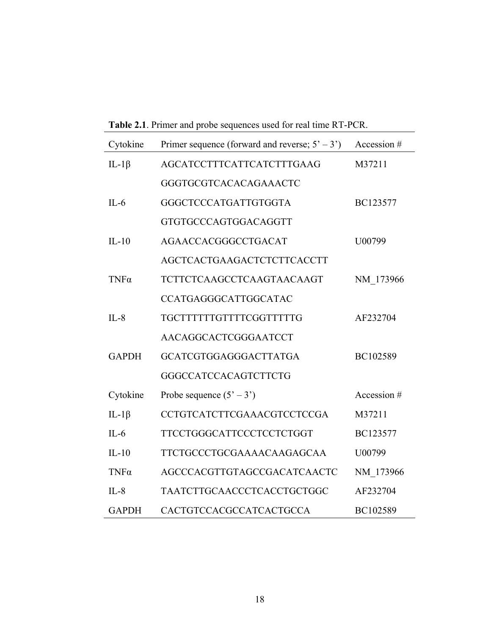| <b>EXAMPLE 2.1.</b> THEN the proof sequences ased for real three KT T CK. |                                                   |             |  |
|---------------------------------------------------------------------------|---------------------------------------------------|-------------|--|
| Cytokine                                                                  | Primer sequence (forward and reverse; $5' - 3'$ ) | Accession # |  |
| IL-1 $\beta$                                                              | <b>AGCATCCTTTCATTCATCTTTGAAG</b>                  | M37211      |  |
|                                                                           | GGGTGCGTCACACAGAAACTC                             |             |  |
| $IL-6$                                                                    | GGGCTCCCATGATTGTGGTA                              | BC123577    |  |
|                                                                           | GTGTGCCCAGTGGACAGGTT                              |             |  |
| $IL-10$                                                                   | AGAACCACGGGCCTGACAT                               | U00799      |  |
|                                                                           | AGCTCACTGAAGACTCTCTTCACCTT                        |             |  |
| $TNF\alpha$                                                               | TCTTCTCAAGCCTCAAGTAACAAGT                         | NM 173966   |  |
|                                                                           | CCATGAGGGCATTGGCATAC                              |             |  |
| $IL-8$                                                                    | TGCTTTTTTGTTTTCGGTTTTTG                           | AF232704    |  |
|                                                                           | AACAGGCACTCGGGAATCCT                              |             |  |
| <b>GAPDH</b>                                                              | GCATCGTGGAGGGACTTATGA                             | BC102589    |  |
|                                                                           | GGGCCATCCACAGTCTTCTG                              |             |  |
| Cytokine                                                                  | Probe sequence $(5' - 3')$                        | Accession # |  |
| IL-1 $\beta$                                                              | CCTGTCATCTTCGAAACGTCCTCCGA                        | M37211      |  |
| $IL-6$                                                                    | <b>TTCCTGGGCATTCCCTCCTCTGGT</b>                   | BC123577    |  |
| $IL-10$                                                                   | TTCTGCCCTGCGAAAACAAGAGCAA                         | U00799      |  |
| $TNF\alpha$                                                               | AGCCCACGTTGTAGCCGACATCAACTC                       | NM 173966   |  |
| $IL-8$                                                                    | TAATCTTGCAACCCTCACCTGCTGGC                        | AF232704    |  |
| <b>GAPDH</b>                                                              | CACTGTCCACGCCATCACTGCCA                           | BC102589    |  |

**Table 2.1**. Primer and probe sequences used for real time RT-PCR.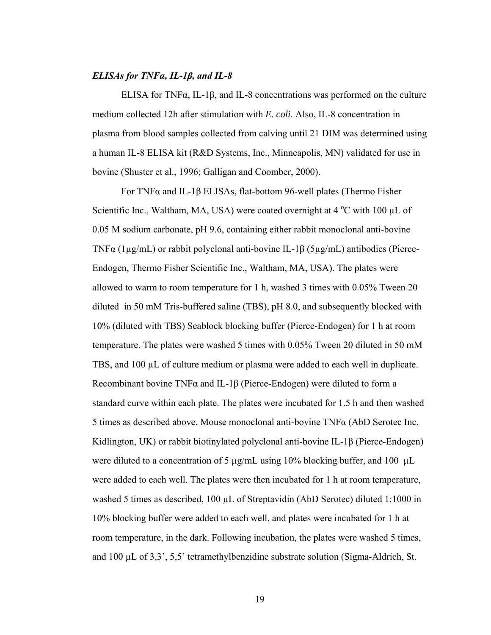### *ELISAs for TNFα, IL-1β, and IL-8*

ELISA for TNFα, IL-1β, and IL-8 concentrations was performed on the culture medium collected 12h after stimulation with *E. coli*. Also, IL-8 concentration in plasma from blood samples collected from calving until 21 DIM was determined using a human IL-8 ELISA kit (R&D Systems, Inc., Minneapolis, MN) validated for use in bovine (Shuster et al., 1996; Galligan and Coomber, 2000).

 For TNFα and IL-1β ELISAs, flat-bottom 96-well plates (Thermo Fisher Scientific Inc., Waltham, MA, USA) were coated overnight at  $4^{\circ}$ C with 100 µL of 0.05 M sodium carbonate, pH 9.6, containing either rabbit monoclonal anti-bovine TNFα (1µg/mL) or rabbit polyclonal anti-bovine IL-1β (5µg/mL) antibodies (Pierce-Endogen, Thermo Fisher Scientific Inc., Waltham, MA, USA). The plates were allowed to warm to room temperature for 1 h, washed 3 times with 0.05% Tween 20 diluted in 50 mM Tris-buffered saline (TBS), pH 8.0, and subsequently blocked with 10% (diluted with TBS) Seablock blocking buffer (Pierce-Endogen) for 1 h at room temperature. The plates were washed 5 times with 0.05% Tween 20 diluted in 50 mM TBS, and 100 µL of culture medium or plasma were added to each well in duplicate. Recombinant bovine TNFα and IL-1β (Pierce-Endogen) were diluted to form a standard curve within each plate. The plates were incubated for 1.5 h and then washed 5 times as described above. Mouse monoclonal anti-bovine TNFα (AbD Serotec Inc. Kidlington, UK) or rabbit biotinylated polyclonal anti-bovine IL-1β (Pierce-Endogen) were diluted to a concentration of 5 µg/mL using 10% blocking buffer, and 100 µL were added to each well. The plates were then incubated for 1 h at room temperature, washed 5 times as described, 100 µL of Streptavidin (AbD Serotec) diluted 1:1000 in 10% blocking buffer were added to each well, and plates were incubated for 1 h at room temperature, in the dark. Following incubation, the plates were washed 5 times, and 100 µL of 3,3', 5,5' tetramethylbenzidine substrate solution (Sigma-Aldrich, St.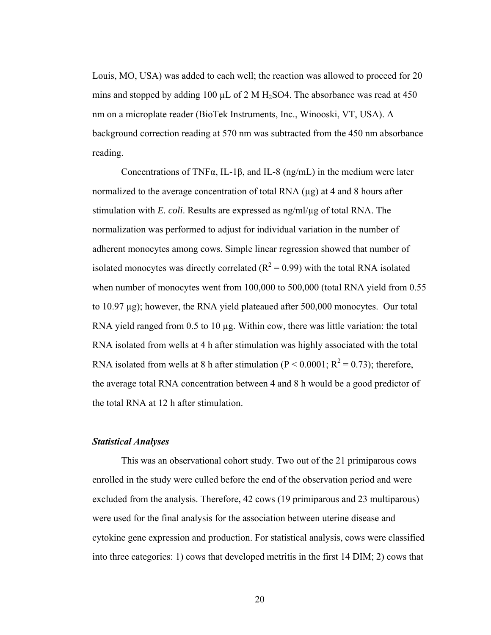Louis, MO, USA) was added to each well; the reaction was allowed to proceed for 20 mins and stopped by adding 100  $\mu$ L of 2 M H<sub>2</sub>SO4. The absorbance was read at 450 nm on a microplate reader (BioTek Instruments, Inc., Winooski, VT, USA). A background correction reading at 570 nm was subtracted from the 450 nm absorbance reading.

Concentrations of TNF $\alpha$ , IL-1 $\beta$ , and IL-8 (ng/mL) in the medium were later normalized to the average concentration of total RNA  $(\mu g)$  at 4 and 8 hours after stimulation with *E. coli*. Results are expressed as ng/ml/µg of total RNA. The normalization was performed to adjust for individual variation in the number of adherent monocytes among cows. Simple linear regression showed that number of isolated monocytes was directly correlated  $(R^2 = 0.99)$  with the total RNA isolated when number of monocytes went from 100,000 to 500,000 (total RNA yield from 0.55 to 10.97 µg); however, the RNA yield plateaued after 500,000 monocytes. Our total RNA yield ranged from  $0.5$  to  $10 \mu$ g. Within cow, there was little variation: the total RNA isolated from wells at 4 h after stimulation was highly associated with the total RNA isolated from wells at 8 h after stimulation ( $P < 0.0001$ ;  $R^2 = 0.73$ ); therefore, the average total RNA concentration between 4 and 8 h would be a good predictor of the total RNA at 12 h after stimulation.

# *Statistical Analyses*

This was an observational cohort study. Two out of the 21 primiparous cows enrolled in the study were culled before the end of the observation period and were excluded from the analysis. Therefore, 42 cows (19 primiparous and 23 multiparous) were used for the final analysis for the association between uterine disease and cytokine gene expression and production. For statistical analysis, cows were classified into three categories: 1) cows that developed metritis in the first 14 DIM; 2) cows that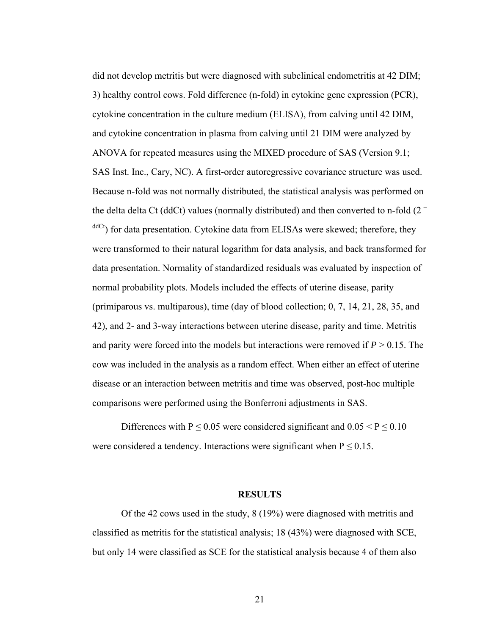did not develop metritis but were diagnosed with subclinical endometritis at 42 DIM; 3) healthy control cows. Fold difference (n-fold) in cytokine gene expression (PCR), cytokine concentration in the culture medium (ELISA), from calving until 42 DIM, and cytokine concentration in plasma from calving until 21 DIM were analyzed by ANOVA for repeated measures using the MIXED procedure of SAS (Version 9.1; SAS Inst. Inc., Cary, NC). A first-order autoregressive covariance structure was used. Because n-fold was not normally distributed, the statistical analysis was performed on the delta delta Ct (ddCt) values (normally distributed) and then converted to n-fold  $(2<sup>-</sup>$  $\text{d}^{dC_t}$ ) for data presentation. Cytokine data from ELISAs were skewed; therefore, they were transformed to their natural logarithm for data analysis, and back transformed for data presentation. Normality of standardized residuals was evaluated by inspection of normal probability plots. Models included the effects of uterine disease, parity (primiparous vs. multiparous), time (day of blood collection; 0, 7, 14, 21, 28, 35, and 42), and 2- and 3-way interactions between uterine disease, parity and time. Metritis and parity were forced into the models but interactions were removed if  $P > 0.15$ . The cow was included in the analysis as a random effect. When either an effect of uterine disease or an interaction between metritis and time was observed, post-hoc multiple comparisons were performed using the Bonferroni adjustments in SAS.

Differences with P  $\leq$  0.05 were considered significant and 0.05 < P  $\leq$  0.10 were considered a tendency. Interactions were significant when  $P \le 0.15$ .

#### **RESULTS**

Of the 42 cows used in the study, 8 (19%) were diagnosed with metritis and classified as metritis for the statistical analysis; 18 (43%) were diagnosed with SCE, but only 14 were classified as SCE for the statistical analysis because 4 of them also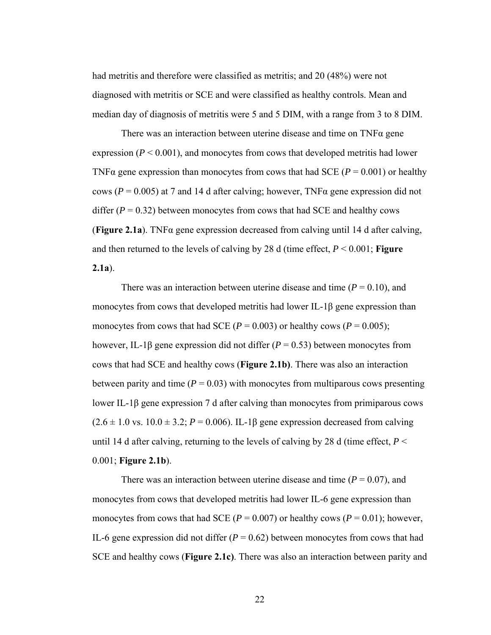had metritis and therefore were classified as metritis; and 20 (48%) were not diagnosed with metritis or SCE and were classified as healthy controls. Mean and median day of diagnosis of metritis were 5 and 5 DIM, with a range from 3 to 8 DIM.

There was an interaction between uterine disease and time on TNFα gene expression  $(P < 0.001)$ , and monocytes from cows that developed metritis had lower TNF $\alpha$  gene expression than monocytes from cows that had SCE ( $P = 0.001$ ) or healthy cows ( $P = 0.005$ ) at 7 and 14 d after calving; however, TNF $\alpha$  gene expression did not differ  $(P = 0.32)$  between monocytes from cows that had SCE and healthy cows (**Figure 2.1a**). TNF $\alpha$  gene expression decreased from calving until 14 d after calving, and then returned to the levels of calving by 28 d (time effect, *P* < 0.001; **Figure 2.1a**).

There was an interaction between uterine disease and time  $(P = 0.10)$ , and monocytes from cows that developed metritis had lower IL-1β gene expression than monocytes from cows that had SCE ( $P = 0.003$ ) or healthy cows ( $P = 0.005$ ); however, IL-1β gene expression did not differ  $(P = 0.53)$  between monocytes from cows that had SCE and healthy cows (**Figure 2.1b)**. There was also an interaction between parity and time  $(P = 0.03)$  with monocytes from multiparous cows presenting lower IL-1β gene expression 7 d after calving than monocytes from primiparous cows  $(2.6 \pm 1.0 \text{ vs. } 10.0 \pm 3.2; P = 0.006)$ . IL-1 $\beta$  gene expression decreased from calving until 14 d after calving, returning to the levels of calving by 28 d (time effect,  $P \leq$ 0.001; **Figure 2.1b**).

There was an interaction between uterine disease and time  $(P = 0.07)$ , and monocytes from cows that developed metritis had lower IL-6 gene expression than monocytes from cows that had SCE ( $P = 0.007$ ) or healthy cows ( $P = 0.01$ ); however, IL-6 gene expression did not differ  $(P = 0.62)$  between monocytes from cows that had SCE and healthy cows (**Figure 2.1c)**. There was also an interaction between parity and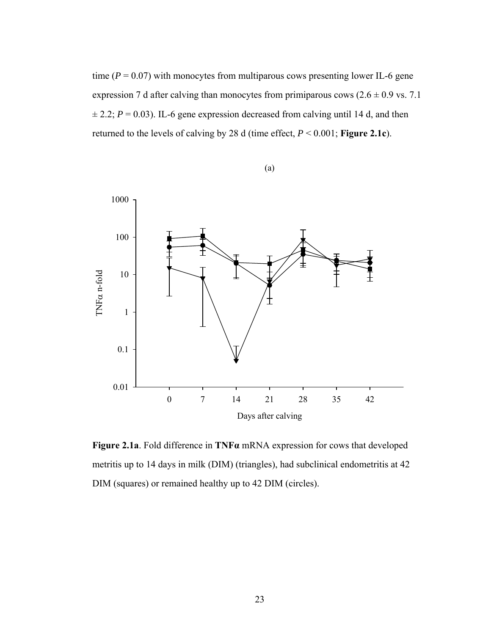time  $(P = 0.07)$  with monocytes from multiparous cows presenting lower IL-6 gene expression 7 d after calving than monocytes from primiparous cows  $(2.6 \pm 0.9 \text{ vs. } 7.1)$  $\pm$  2.2; *P* = 0.03). IL-6 gene expression decreased from calving until 14 d, and then returned to the levels of calving by 28 d (time effect, *P* < 0.001; **Figure 2.1c**).



(a)

**Figure 2.1a**. Fold difference in **TNFα** mRNA expression for cows that developed metritis up to 14 days in milk (DIM) (triangles), had subclinical endometritis at 42 DIM (squares) or remained healthy up to 42 DIM (circles).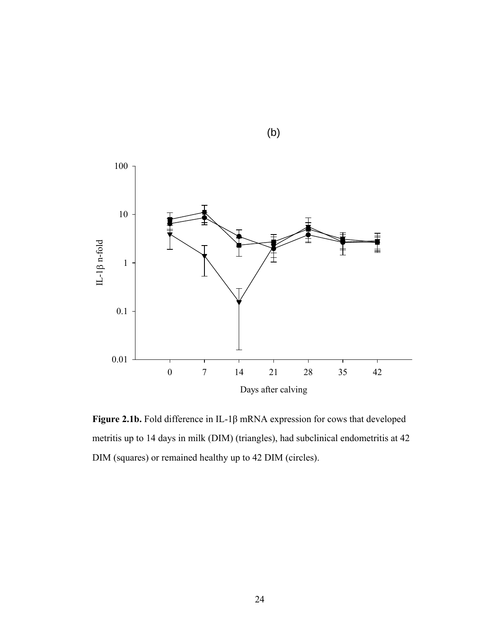

**Figure 2.1b.** Fold difference in IL-1β mRNA expression for cows that developed metritis up to 14 days in milk (DIM) (triangles), had subclinical endometritis at 42 DIM (squares) or remained healthy up to 42 DIM (circles).

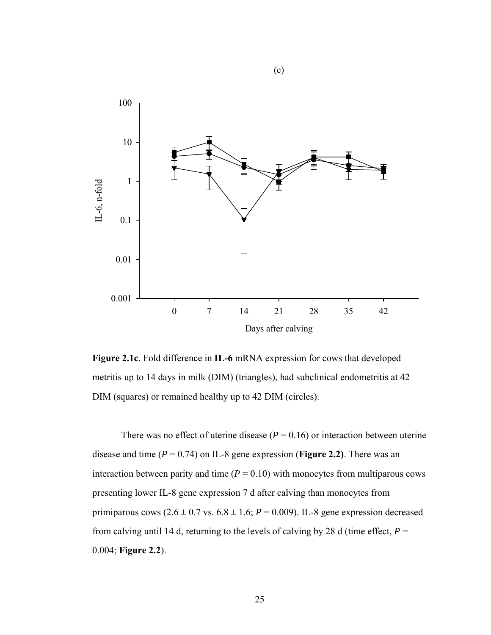

(c)

**Figure 2.1c**. Fold difference in **IL-6** mRNA expression for cows that developed metritis up to 14 days in milk (DIM) (triangles), had subclinical endometritis at 42 DIM (squares) or remained healthy up to 42 DIM (circles).

There was no effect of uterine disease  $(P = 0.16)$  or interaction between uterine disease and time  $(P = 0.74)$  on IL-8 gene expression (**Figure 2.2**). There was an interaction between parity and time  $(P = 0.10)$  with monocytes from multiparous cows presenting lower IL-8 gene expression 7 d after calving than monocytes from primiparous cows  $(2.6 \pm 0.7 \text{ vs. } 6.8 \pm 1.6; P = 0.009)$ . IL-8 gene expression decreased from calving until 14 d, returning to the levels of calving by 28 d (time effect,  $P =$ 0.004; **Figure 2.2**).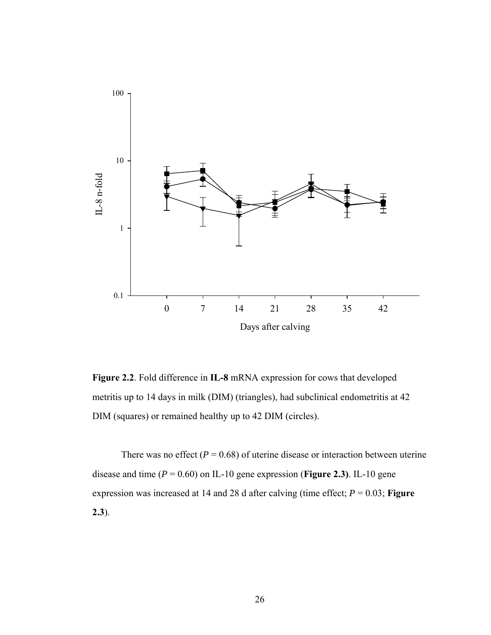

**Figure 2.2**. Fold difference in **IL-8** mRNA expression for cows that developed metritis up to 14 days in milk (DIM) (triangles), had subclinical endometritis at 42 DIM (squares) or remained healthy up to 42 DIM (circles).

There was no effect  $(P = 0.68)$  of uterine disease or interaction between uterine disease and time  $(P = 0.60)$  on IL-10 gene expression (**Figure 2.3**). IL-10 gene expression was increased at 14 and 28 d after calving (time effect;  $P = 0.03$ ; **Figure 2.3**).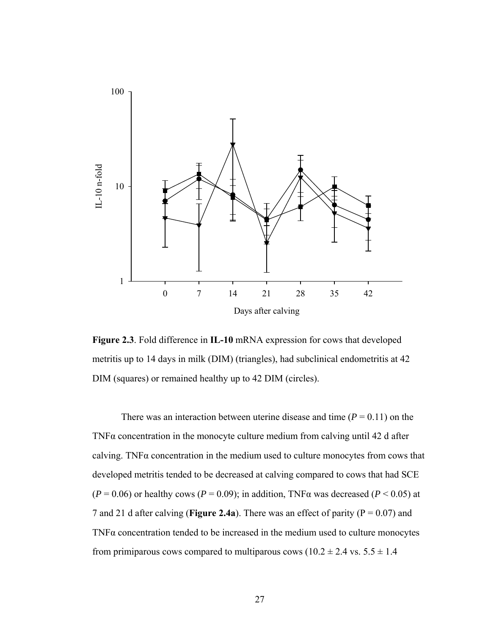

**Figure 2.3**. Fold difference in **IL-10** mRNA expression for cows that developed metritis up to 14 days in milk (DIM) (triangles), had subclinical endometritis at 42 DIM (squares) or remained healthy up to 42 DIM (circles).

There was an interaction between uterine disease and time  $(P = 0.11)$  on the TNF $\alpha$  concentration in the monocyte culture medium from calving until 42 d after calving. TNF $\alpha$  concentration in the medium used to culture monocytes from cows that developed metritis tended to be decreased at calving compared to cows that had SCE  $(P = 0.06)$  or healthy cows  $(P = 0.09)$ ; in addition, TNF $\alpha$  was decreased  $(P < 0.05)$  at 7 and 21 d after calving (**Figure 2.4a**). There was an effect of parity ( $P = 0.07$ ) and TNF $\alpha$  concentration tended to be increased in the medium used to culture monocytes from primiparous cows compared to multiparous cows  $(10.2 \pm 2.4 \text{ vs. } 5.5 \pm 1.4 \text{ s})$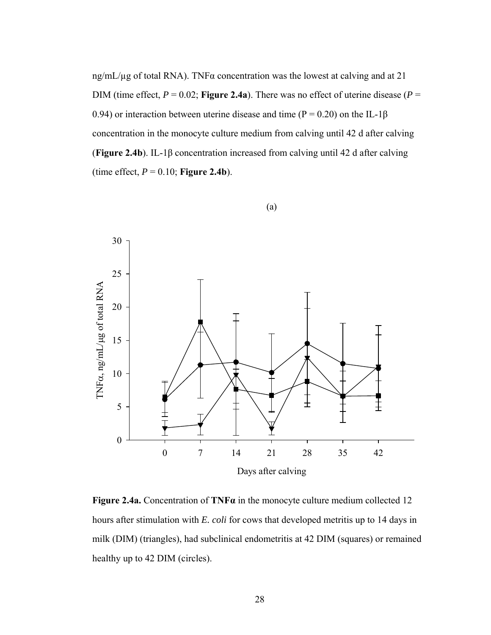ng/mL/µg of total RNA). TNFα concentration was the lowest at calving and at 21 DIM (time effect,  $P = 0.02$ ; **Figure 2.4a**). There was no effect of uterine disease ( $P =$ 0.94) or interaction between uterine disease and time ( $P = 0.20$ ) on the IL-1 $\beta$ concentration in the monocyte culture medium from calving until 42 d after calving (**Figure 2.4b**). IL-1β concentration increased from calving until 42 d after calving (time effect,  $P = 0.10$ ; **Figure 2.4b**).



(a)

**Figure 2.4a.** Concentration of **TNFα** in the monocyte culture medium collected 12 hours after stimulation with *E. coli* for cows that developed metritis up to 14 days in milk (DIM) (triangles), had subclinical endometritis at 42 DIM (squares) or remained healthy up to 42 DIM (circles).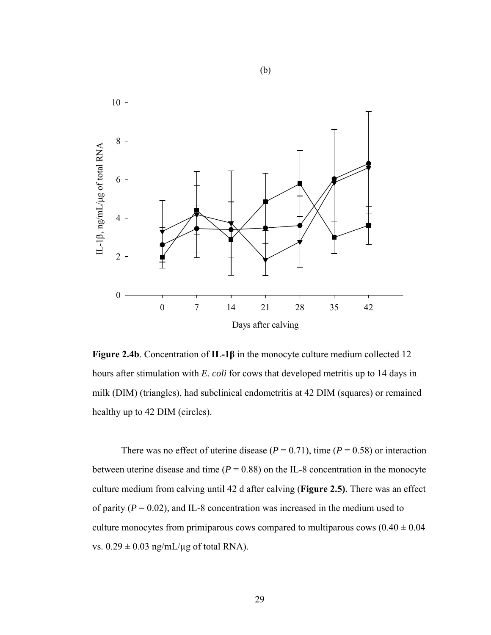

**Figure 2.4b**. Concentration of **IL-1β** in the monocyte culture medium collected 12 hours after stimulation with *E. coli* for cows that developed metritis up to 14 days in milk (DIM) (triangles), had subclinical endometritis at 42 DIM (squares) or remained healthy up to 42 DIM (circles).

There was no effect of uterine disease ( $P = 0.71$ ), time ( $P = 0.58$ ) or interaction between uterine disease and time  $(P = 0.88)$  on the IL-8 concentration in the monocyte culture medium from calving until 42 d after calving (**Figure 2.5)**. There was an effect of parity  $(P = 0.02)$ , and IL-8 concentration was increased in the medium used to culture monocytes from primiparous cows compared to multiparous cows  $(0.40 \pm 0.04)$ vs.  $0.29 \pm 0.03$  ng/mL/ $\mu$ g of total RNA).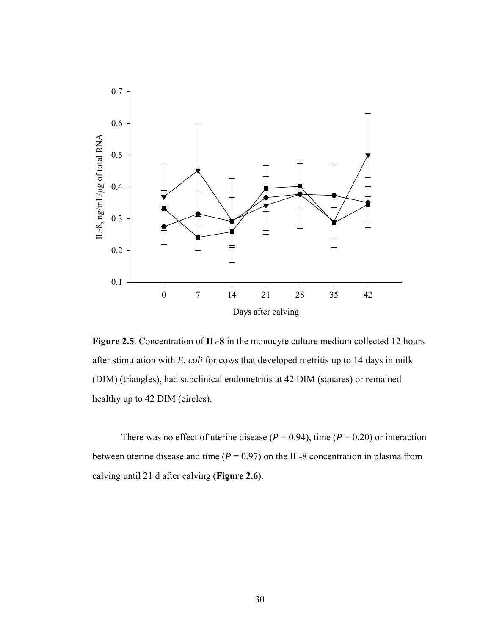

**Figure 2.5**. Concentration of **IL-8** in the monocyte culture medium collected 12 hours after stimulation with *E. coli* for cows that developed metritis up to 14 days in milk (DIM) (triangles), had subclinical endometritis at 42 DIM (squares) or remained healthy up to 42 DIM (circles).

There was no effect of uterine disease ( $P = 0.94$ ), time ( $P = 0.20$ ) or interaction between uterine disease and time  $(P = 0.97)$  on the IL-8 concentration in plasma from calving until 21 d after calving (**Figure 2.6**).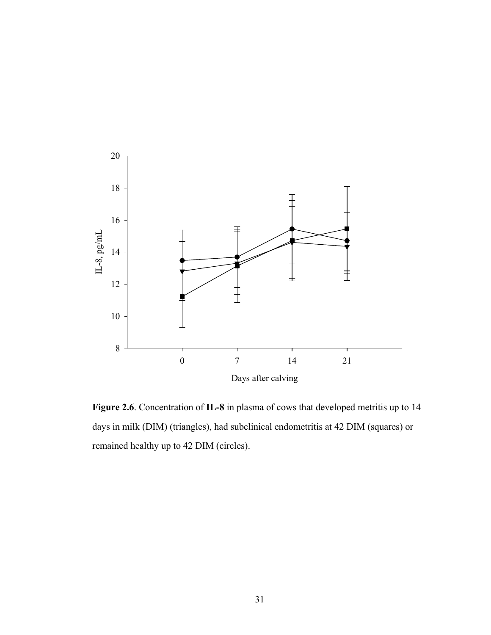

**Figure 2.6**. Concentration of **IL-8** in plasma of cows that developed metritis up to 14 days in milk (DIM) (triangles), had subclinical endometritis at 42 DIM (squares) or remained healthy up to 42 DIM (circles).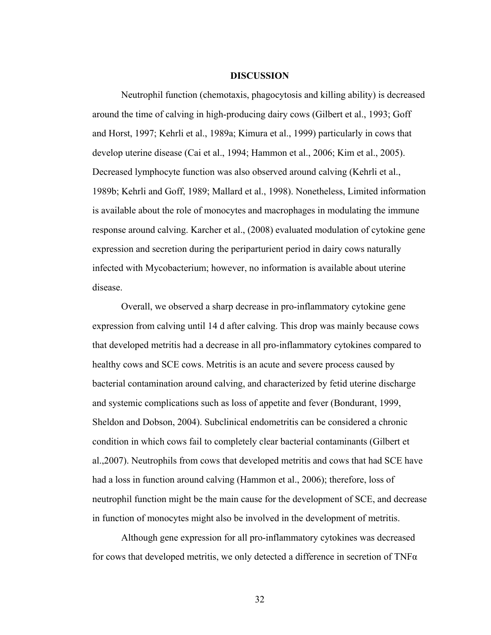#### **DISCUSSION**

Neutrophil function (chemotaxis, phagocytosis and killing ability) is decreased around the time of calving in high-producing dairy cows (Gilbert et al., 1993; Goff and Horst, 1997; Kehrli et al., 1989a; Kimura et al., 1999) particularly in cows that develop uterine disease (Cai et al., 1994; Hammon et al., 2006; Kim et al., 2005). Decreased lymphocyte function was also observed around calving (Kehrli et al., 1989b; Kehrli and Goff, 1989; Mallard et al., 1998). Nonetheless, Limited information is available about the role of monocytes and macrophages in modulating the immune response around calving. Karcher et al., (2008) evaluated modulation of cytokine gene expression and secretion during the periparturient period in dairy cows naturally infected with Mycobacterium; however, no information is available about uterine disease.

Overall, we observed a sharp decrease in pro-inflammatory cytokine gene expression from calving until 14 d after calving. This drop was mainly because cows that developed metritis had a decrease in all pro-inflammatory cytokines compared to healthy cows and SCE cows. Metritis is an acute and severe process caused by bacterial contamination around calving, and characterized by fetid uterine discharge and systemic complications such as loss of appetite and fever (Bondurant, 1999, Sheldon and Dobson, 2004). Subclinical endometritis can be considered a chronic condition in which cows fail to completely clear bacterial contaminants (Gilbert et al.,2007). Neutrophils from cows that developed metritis and cows that had SCE have had a loss in function around calving (Hammon et al., 2006); therefore, loss of neutrophil function might be the main cause for the development of SCE, and decrease in function of monocytes might also be involved in the development of metritis.

Although gene expression for all pro-inflammatory cytokines was decreased for cows that developed metritis, we only detected a difference in secretion of  $TNF\alpha$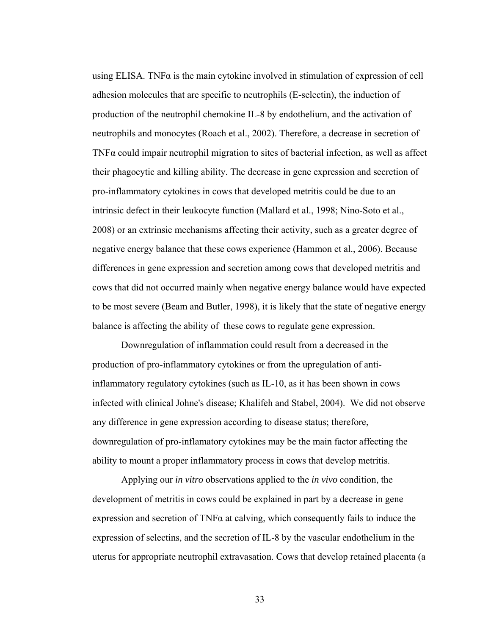using ELISA. TNF $\alpha$  is the main cytokine involved in stimulation of expression of cell adhesion molecules that are specific to neutrophils (E-selectin), the induction of production of the neutrophil chemokine IL-8 by endothelium, and the activation of neutrophils and monocytes (Roach et al., 2002). Therefore, a decrease in secretion of TNFα could impair neutrophil migration to sites of bacterial infection, as well as affect their phagocytic and killing ability. The decrease in gene expression and secretion of pro-inflammatory cytokines in cows that developed metritis could be due to an intrinsic defect in their leukocyte function (Mallard et al., 1998; Nino-Soto et al., 2008) or an extrinsic mechanisms affecting their activity, such as a greater degree of negative energy balance that these cows experience (Hammon et al., 2006). Because differences in gene expression and secretion among cows that developed metritis and cows that did not occurred mainly when negative energy balance would have expected to be most severe (Beam and Butler, 1998), it is likely that the state of negative energy balance is affecting the ability of these cows to regulate gene expression.

Downregulation of inflammation could result from a decreased in the production of pro-inflammatory cytokines or from the upregulation of antiinflammatory regulatory cytokines (such as IL-10, as it has been shown in cows infected with clinical Johne's disease; Khalifeh and Stabel, 2004). We did not observe any difference in gene expression according to disease status; therefore, downregulation of pro-inflamatory cytokines may be the main factor affecting the ability to mount a proper inflammatory process in cows that develop metritis.

Applying our *in vitro* observations applied to the *in vivo* condition, the development of metritis in cows could be explained in part by a decrease in gene expression and secretion of  $TNF\alpha$  at calving, which consequently fails to induce the expression of selectins, and the secretion of IL-8 by the vascular endothelium in the uterus for appropriate neutrophil extravasation. Cows that develop retained placenta (a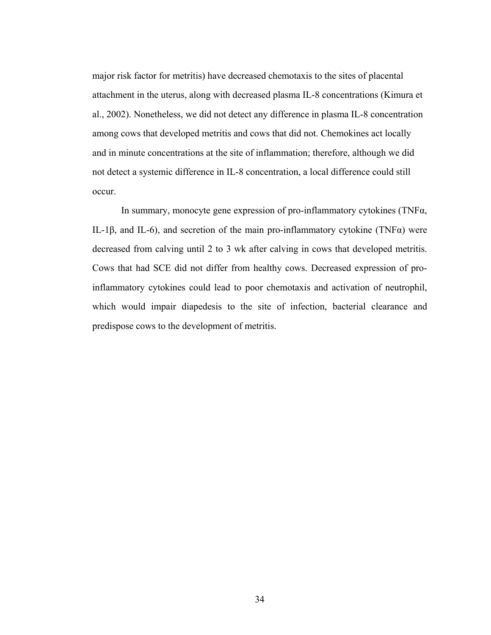major risk factor for metritis) have decreased chemotaxis to the sites of placental attachment in the uterus, along with decreased plasma IL-8 concentrations (Kimura et al., 2002). Nonetheless, we did not detect any difference in plasma IL-8 concentration among cows that developed metritis and cows that did not. Chemokines act locally and in minute concentrations at the site of inflammation; therefore, although we did not detect a systemic difference in IL-8 concentration, a local difference could still occur.

In summary, monocyte gene expression of pro-inflammatory cytokines (TNF $\alpha$ , IL-1β, and IL-6), and secretion of the main pro-inflammatory cytokine (TNF $\alpha$ ) were decreased from calving until 2 to 3 wk after calving in cows that developed metritis. Cows that had SCE did not differ from healthy cows. Decreased expression of proinflammatory cytokines could lead to poor chemotaxis and activation of neutrophil, which would impair diapedesis to the site of infection, bacterial clearance and predispose cows to the development of metritis.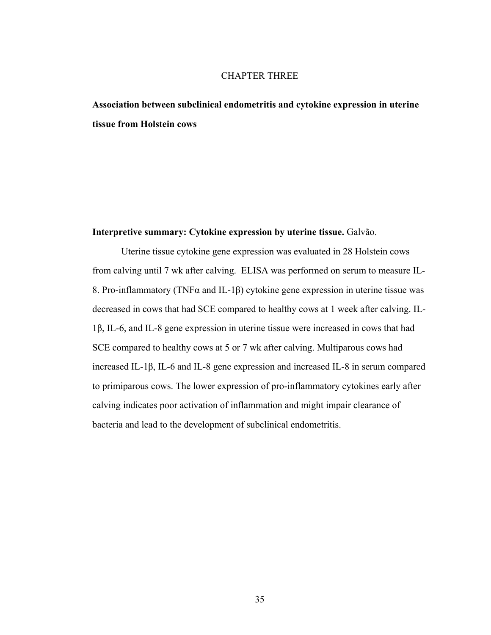# CHAPTER THREE

**Association between subclinical endometritis and cytokine expression in uterine tissue from Holstein cows** 

### **Interpretive summary: Cytokine expression by uterine tissue.** Galvão.

Uterine tissue cytokine gene expression was evaluated in 28 Holstein cows from calving until 7 wk after calving. ELISA was performed on serum to measure IL-8. Pro-inflammatory (TNFα and IL-1β) cytokine gene expression in uterine tissue was decreased in cows that had SCE compared to healthy cows at 1 week after calving. IL-1β, IL-6, and IL-8 gene expression in uterine tissue were increased in cows that had SCE compared to healthy cows at 5 or 7 wk after calving. Multiparous cows had increased IL-1β, IL-6 and IL-8 gene expression and increased IL-8 in serum compared to primiparous cows. The lower expression of pro-inflammatory cytokines early after calving indicates poor activation of inflammation and might impair clearance of bacteria and lead to the development of subclinical endometritis.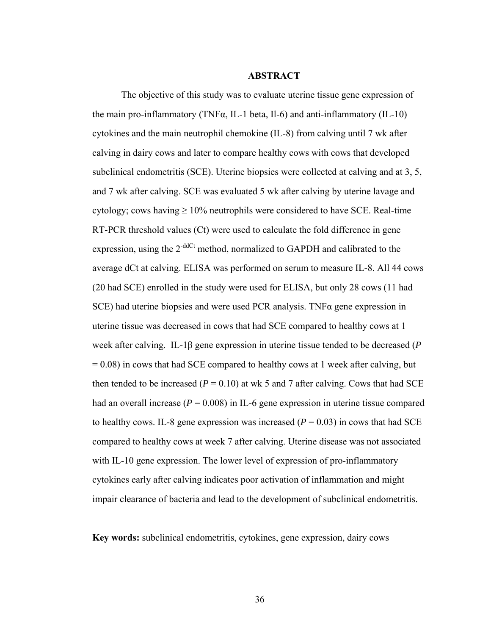## **ABSTRACT**

The objective of this study was to evaluate uterine tissue gene expression of the main pro-inflammatory (TNF $\alpha$ , IL-1 beta, Il-6) and anti-inflammatory (IL-10) cytokines and the main neutrophil chemokine (IL-8) from calving until 7 wk after calving in dairy cows and later to compare healthy cows with cows that developed subclinical endometritis (SCE). Uterine biopsies were collected at calving and at 3, 5, and 7 wk after calving. SCE was evaluated 5 wk after calving by uterine lavage and cytology; cows having  $\geq 10\%$  neutrophils were considered to have SCE. Real-time RT-PCR threshold values (Ct) were used to calculate the fold difference in gene expression, using the  $2<sup>-ddCt</sup>$  method, normalized to GAPDH and calibrated to the average dCt at calving. ELISA was performed on serum to measure IL-8. All 44 cows (20 had SCE) enrolled in the study were used for ELISA, but only 28 cows (11 had SCE) had uterine biopsies and were used PCR analysis. TNFα gene expression in uterine tissue was decreased in cows that had SCE compared to healthy cows at 1 week after calving. IL-1β gene expression in uterine tissue tended to be decreased (*P*  $= 0.08$ ) in cows that had SCE compared to healthy cows at 1 week after calving, but then tended to be increased ( $P = 0.10$ ) at wk 5 and 7 after calving. Cows that had SCE had an overall increase  $(P = 0.008)$  in IL-6 gene expression in uterine tissue compared to healthy cows. IL-8 gene expression was increased  $(P = 0.03)$  in cows that had SCE compared to healthy cows at week 7 after calving. Uterine disease was not associated with IL-10 gene expression. The lower level of expression of pro-inflammatory cytokines early after calving indicates poor activation of inflammation and might impair clearance of bacteria and lead to the development of subclinical endometritis.

**Key words:** subclinical endometritis, cytokines, gene expression, dairy cows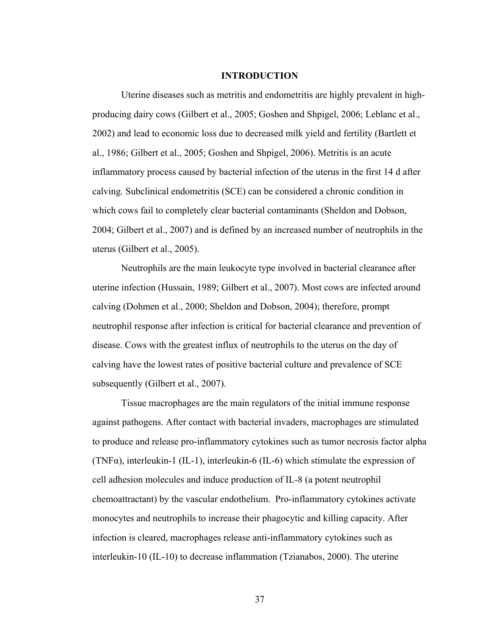#### **INTRODUCTION**

Uterine diseases such as metritis and endometritis are highly prevalent in highproducing dairy cows (Gilbert et al., 2005; Goshen and Shpigel, 2006; Leblanc et al., 2002) and lead to economic loss due to decreased milk yield and fertility (Bartlett et al., 1986; Gilbert et al., 2005; Goshen and Shpigel, 2006). Metritis is an acute inflammatory process caused by bacterial infection of the uterus in the first 14 d after calving. Subclinical endometritis (SCE) can be considered a chronic condition in which cows fail to completely clear bacterial contaminants (Sheldon and Dobson, 2004; Gilbert et al., 2007) and is defined by an increased number of neutrophils in the uterus (Gilbert et al., 2005).

Neutrophils are the main leukocyte type involved in bacterial clearance after uterine infection (Hussain, 1989; Gilbert et al., 2007). Most cows are infected around calving (Dohmen et al., 2000; Sheldon and Dobson, 2004); therefore, prompt neutrophil response after infection is critical for bacterial clearance and prevention of disease. Cows with the greatest influx of neutrophils to the uterus on the day of calving have the lowest rates of positive bacterial culture and prevalence of SCE subsequently (Gilbert et al., 2007).

Tissue macrophages are the main regulators of the initial immune response against pathogens. After contact with bacterial invaders, macrophages are stimulated to produce and release pro-inflammatory cytokines such as tumor necrosis factor alpha (TNF $\alpha$ ), interleukin-1 (IL-1), interleukin-6 (IL-6) which stimulate the expression of cell adhesion molecules and induce production of IL-8 (a potent neutrophil chemoattractant) by the vascular endothelium. Pro-inflammatory cytokines activate monocytes and neutrophils to increase their phagocytic and killing capacity. After infection is cleared, macrophages release anti-inflammatory cytokines such as interleukin-10 (IL-10) to decrease inflammation (Tzianabos, 2000). The uterine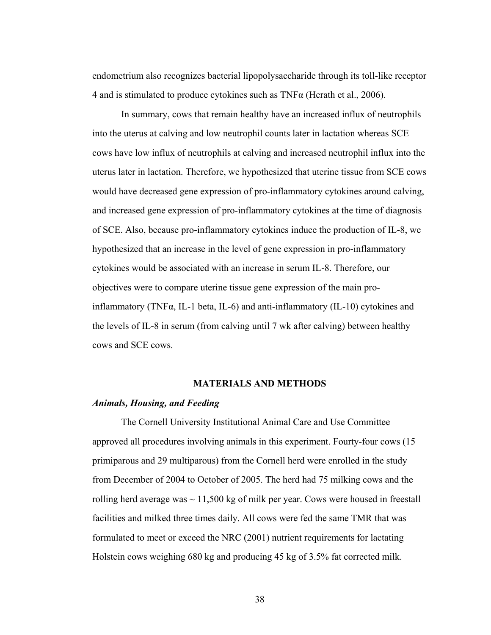endometrium also recognizes bacterial lipopolysaccharide through its toll-like receptor 4 and is stimulated to produce cytokines such as TNFα (Herath et al., 2006).

In summary, cows that remain healthy have an increased influx of neutrophils into the uterus at calving and low neutrophil counts later in lactation whereas SCE cows have low influx of neutrophils at calving and increased neutrophil influx into the uterus later in lactation. Therefore, we hypothesized that uterine tissue from SCE cows would have decreased gene expression of pro-inflammatory cytokines around calving, and increased gene expression of pro-inflammatory cytokines at the time of diagnosis of SCE. Also, because pro-inflammatory cytokines induce the production of IL-8, we hypothesized that an increase in the level of gene expression in pro-inflammatory cytokines would be associated with an increase in serum IL-8. Therefore, our objectives were to compare uterine tissue gene expression of the main proinflammatory (TNF $\alpha$ , IL-1 beta, IL-6) and anti-inflammatory (IL-10) cytokines and the levels of IL-8 in serum (from calving until 7 wk after calving) between healthy cows and SCE cows.

## **MATERIALS AND METHODS**

## *Animals, Housing, and Feeding*

The Cornell University Institutional Animal Care and Use Committee approved all procedures involving animals in this experiment. Fourty-four cows (15 primiparous and 29 multiparous) from the Cornell herd were enrolled in the study from December of 2004 to October of 2005. The herd had 75 milking cows and the rolling herd average was  $\sim$  11,500 kg of milk per year. Cows were housed in freestall facilities and milked three times daily. All cows were fed the same TMR that was formulated to meet or exceed the NRC (2001) nutrient requirements for lactating Holstein cows weighing 680 kg and producing 45 kg of 3.5% fat corrected milk.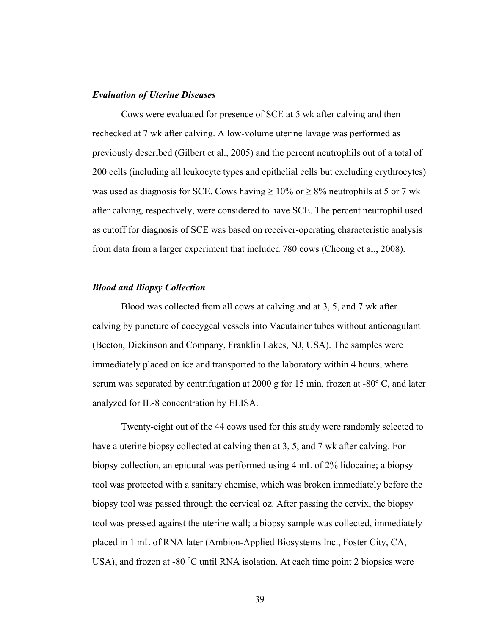## *Evaluation of Uterine Diseases*

Cows were evaluated for presence of SCE at 5 wk after calving and then rechecked at 7 wk after calving. A low-volume uterine lavage was performed as previously described (Gilbert et al., 2005) and the percent neutrophils out of a total of 200 cells (including all leukocyte types and epithelial cells but excluding erythrocytes) was used as diagnosis for SCE. Cows having  $\geq 10\%$  or  $\geq 8\%$  neutrophils at 5 or 7 wk after calving, respectively, were considered to have SCE. The percent neutrophil used as cutoff for diagnosis of SCE was based on receiver-operating characteristic analysis from data from a larger experiment that included 780 cows (Cheong et al., 2008).

## *Blood and Biopsy Collection*

Blood was collected from all cows at calving and at 3, 5, and 7 wk after calving by puncture of coccygeal vessels into Vacutainer tubes without anticoagulant (Becton, Dickinson and Company, Franklin Lakes, NJ, USA). The samples were immediately placed on ice and transported to the laboratory within 4 hours, where serum was separated by centrifugation at 2000 g for 15 min, frozen at -80º C, and later analyzed for IL-8 concentration by ELISA.

Twenty-eight out of the 44 cows used for this study were randomly selected to have a uterine biopsy collected at calving then at 3, 5, and 7 wk after calving. For biopsy collection, an epidural was performed using 4 mL of 2% lidocaine; a biopsy tool was protected with a sanitary chemise, which was broken immediately before the biopsy tool was passed through the cervical oz. After passing the cervix, the biopsy tool was pressed against the uterine wall; a biopsy sample was collected, immediately placed in 1 mL of RNA later (Ambion-Applied Biosystems Inc., Foster City, CA, USA), and frozen at -80  $^{\circ}$ C until RNA isolation. At each time point 2 biopsies were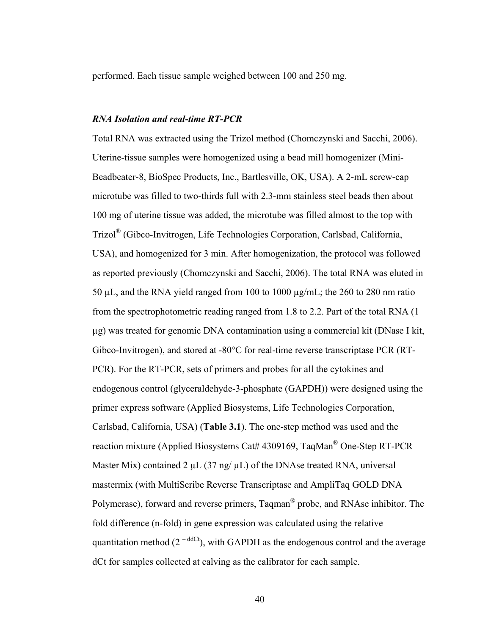performed. Each tissue sample weighed between 100 and 250 mg.

## *RNA Isolation and real-time RT-PCR*

Total RNA was extracted using the Trizol method (Chomczynski and Sacchi, 2006). Uterine-tissue samples were homogenized using a bead mill homogenizer (Mini-Beadbeater-8, BioSpec Products, Inc., Bartlesville, OK, USA). A 2-mL screw-cap microtube was filled to two-thirds full with 2.3-mm stainless steel beads then about 100 mg of uterine tissue was added, the microtube was filled almost to the top with Trizol® (Gibco-Invitrogen, Life Technologies Corporation, Carlsbad, California, USA), and homogenized for 3 min. After homogenization, the protocol was followed as reported previously (Chomczynski and Sacchi, 2006). The total RNA was eluted in 50 µL, and the RNA yield ranged from 100 to 1000 µg/mL; the 260 to 280 nm ratio from the spectrophotometric reading ranged from 1.8 to 2.2. Part of the total RNA (1 µg) was treated for genomic DNA contamination using a commercial kit (DNase I kit, Gibco-Invitrogen), and stored at -80°C for real-time reverse transcriptase PCR (RT-PCR). For the RT-PCR, sets of primers and probes for all the cytokines and endogenous control (glyceraldehyde-3-phosphate (GAPDH)) were designed using the primer express software (Applied Biosystems, Life Technologies Corporation, Carlsbad, California, USA) (**Table 3.1**). The one-step method was used and the reaction mixture (Applied Biosystems Cat# 4309169, TaqMan® One-Step RT-PCR Master Mix) contained 2  $\mu$ L (37 ng/ $\mu$ L) of the DNAse treated RNA, universal mastermix (with MultiScribe Reverse Transcriptase and AmpliTaq GOLD DNA Polymerase), forward and reverse primers, Taqman® probe, and RNAse inhibitor. The fold difference (n-fold) in gene expression was calculated using the relative quantitation method ( $2^{-ddCt}$ ), with GAPDH as the endogenous control and the average dCt for samples collected at calving as the calibrator for each sample.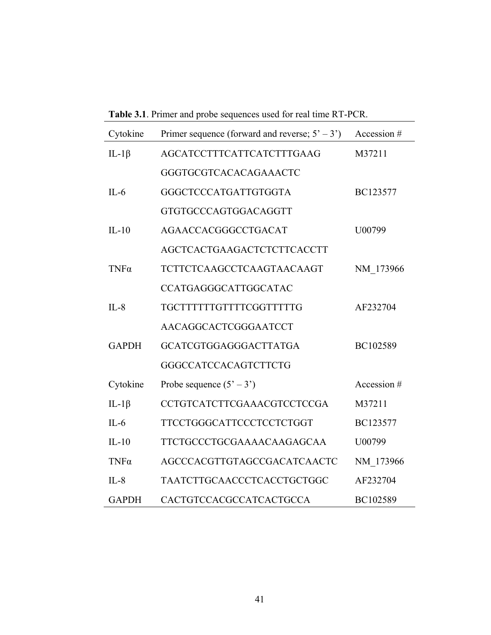**Table 3.1**. Primer and probe sequences used for real time RT-PCR.

| Cytokine     | Primer sequence (forward and reverse; $5' - 3'$ ) | Accession # |
|--------------|---------------------------------------------------|-------------|
| IL-1 $\beta$ | AGCATCCTTTCATTCATCTTTGAAG                         | M37211      |
|              | GGGTGCGTCACACAGAAACTC                             |             |
| $IL-6$       | GGGCTCCCATGATTGTGGTA                              | BC123577    |
|              | GTGTGCCCAGTGGACAGGTT                              |             |
| $IL-10$      | AGAACCACGGGCCTGACAT                               | U00799      |
|              | AGCTCACTGAAGACTCTCTTCACCTT                        |             |
| $TNF\alpha$  | TCTTCTCAAGCCTCAAGTAACAAGT                         | NM 173966   |
|              | CCATGAGGGCATTGGCATAC                              |             |
| $IL-8$       | TGCTTTTTTGTTTTCGGTTTTTG                           | AF232704    |
|              | AACAGGCACTCGGGAATCCT                              |             |
| <b>GAPDH</b> | <b>GCATCGTGGAGGGACTTATGA</b>                      | BC102589    |
|              | <b>GGGCCATCCACAGTCTTCTG</b>                       |             |
| Cytokine     | Probe sequence $(5' - 3')$                        | Accession # |
| IL-1 $\beta$ | CCTGTCATCTTCGAAACGTCCTCCGA                        | M37211      |
| $IL-6$       | <b>TTCCTGGGCATTCCCTCCTCTGGT</b>                   | BC123577    |
| $IL-10$      | TTCTGCCCTGCGAAAACAAGAGCAA                         | U00799      |
| $TNF\alpha$  | AGCCCACGTTGTAGCCGACATCAACTC                       | NM 173966   |
| $IL-8$       | TAATCTTGCAACCCTCACCTGCTGGC                        | AF232704    |
| <b>GAPDH</b> | CACTGTCCACGCCATCACTGCCA                           | BC102589    |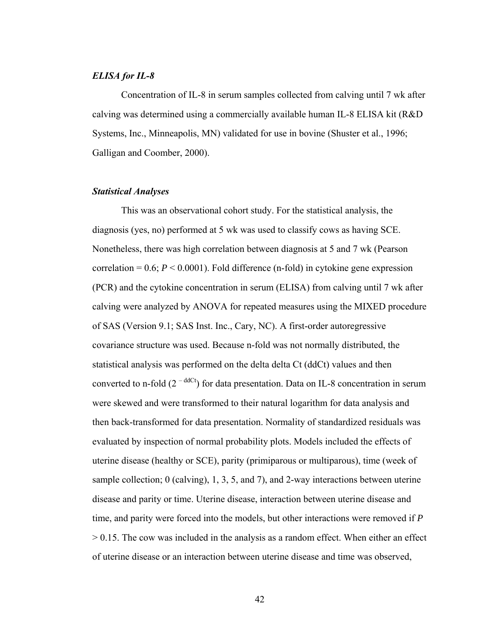## *ELISA for IL-8*

Concentration of IL-8 in serum samples collected from calving until 7 wk after calving was determined using a commercially available human IL-8 ELISA kit (R&D Systems, Inc., Minneapolis, MN) validated for use in bovine (Shuster et al., 1996; Galligan and Coomber, 2000).

## *Statistical Analyses*

This was an observational cohort study. For the statistical analysis, the diagnosis (yes, no) performed at 5 wk was used to classify cows as having SCE. Nonetheless, there was high correlation between diagnosis at 5 and 7 wk (Pearson correlation =  $0.6$ ;  $P < 0.0001$ ). Fold difference (n-fold) in cytokine gene expression (PCR) and the cytokine concentration in serum (ELISA) from calving until 7 wk after calving were analyzed by ANOVA for repeated measures using the MIXED procedure of SAS (Version 9.1; SAS Inst. Inc., Cary, NC). A first-order autoregressive covariance structure was used. Because n-fold was not normally distributed, the statistical analysis was performed on the delta delta Ct (ddCt) values and then converted to n-fold  $(2<sup>-ddCt</sup>)$  for data presentation. Data on IL-8 concentration in serum were skewed and were transformed to their natural logarithm for data analysis and then back-transformed for data presentation. Normality of standardized residuals was evaluated by inspection of normal probability plots. Models included the effects of uterine disease (healthy or SCE), parity (primiparous or multiparous), time (week of sample collection; 0 (calving), 1, 3, 5, and 7), and 2-way interactions between uterine disease and parity or time. Uterine disease, interaction between uterine disease and time, and parity were forced into the models, but other interactions were removed if *P*  $> 0.15$ . The cow was included in the analysis as a random effect. When either an effect of uterine disease or an interaction between uterine disease and time was observed,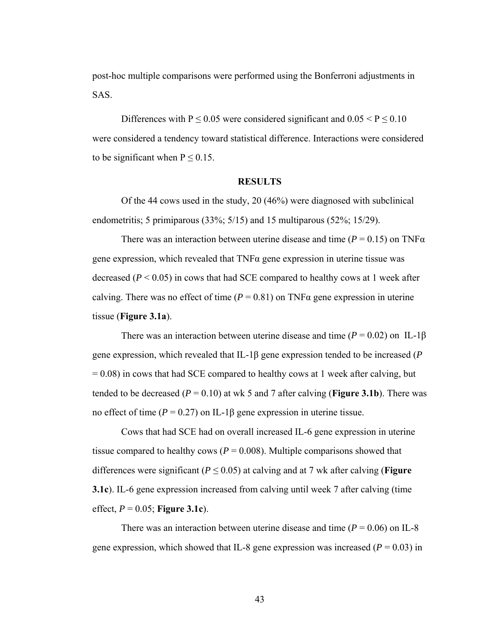post-hoc multiple comparisons were performed using the Bonferroni adjustments in SAS.

Differences with P  $\leq$  0.05 were considered significant and 0.05 < P  $\leq$  0.10 were considered a tendency toward statistical difference. Interactions were considered to be significant when  $P \le 0.15$ .

#### **RESULTS**

Of the 44 cows used in the study, 20 (46%) were diagnosed with subclinical endometritis; 5 primiparous (33%; 5/15) and 15 multiparous (52%; 15/29).

There was an interaction between uterine disease and time ( $P = 0.15$ ) on TNF $\alpha$ gene expression, which revealed that TNFα gene expression in uterine tissue was decreased  $(P < 0.05)$  in cows that had SCE compared to healthy cows at 1 week after calving. There was no effect of time ( $P = 0.81$ ) on TNF $\alpha$  gene expression in uterine tissue (**Figure 3.1a**).

There was an interaction between uterine disease and time  $(P = 0.02)$  on IL-1 $\beta$ gene expression, which revealed that IL-1β gene expression tended to be increased (*P*  $= 0.08$ ) in cows that had SCE compared to healthy cows at 1 week after calving, but tended to be decreased  $(P = 0.10)$  at wk 5 and 7 after calving (**Figure 3.1b**). There was no effect of time (*P* = 0.27) on IL-1β gene expression in uterine tissue.

Cows that had SCE had on overall increased IL-6 gene expression in uterine tissue compared to healthy cows ( $P = 0.008$ ). Multiple comparisons showed that differences were significant ( $P \le 0.05$ ) at calving and at 7 wk after calving (**Figure 3.1c**). IL-6 gene expression increased from calving until week 7 after calving (time effect, *P* = 0.05; **Figure 3.1c**).

There was an interaction between uterine disease and time  $(P = 0.06)$  on IL-8 gene expression, which showed that IL-8 gene expression was increased  $(P = 0.03)$  in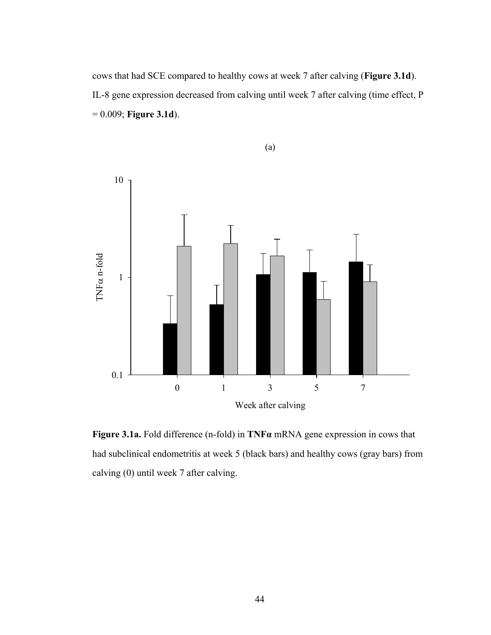cows that had SCE compared to healthy cows at week 7 after calving (**Figure 3.1d**). IL-8 gene expression decreased from calving until week 7 after calving (time effect, P = 0.009; **Figure 3.1d**).



**Figure 3.1a.** Fold difference (n-fold) in **TNFα** mRNA gene expression in cows that had subclinical endometritis at week 5 (black bars) and healthy cows (gray bars) from calving (0) until week 7 after calving.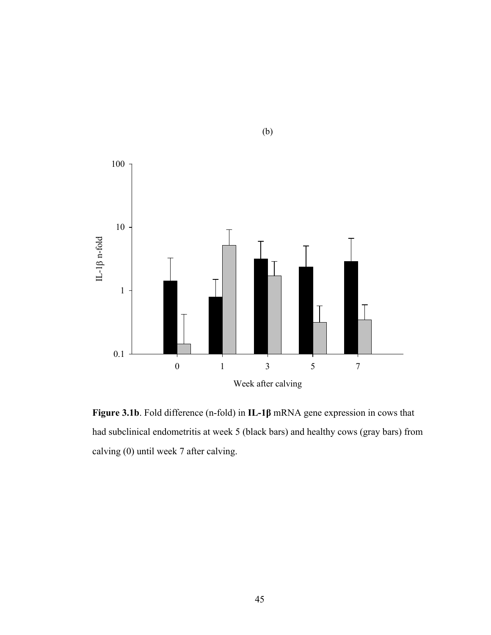

(b)

**Figure 3.1b**. Fold difference (n-fold) in **IL-1β** mRNA gene expression in cows that had subclinical endometritis at week 5 (black bars) and healthy cows (gray bars) from calving (0) until week 7 after calving.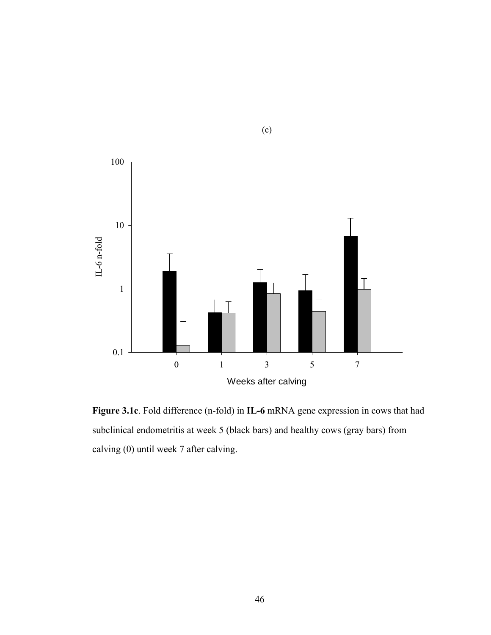

(c)

**Figure 3.1c**. Fold difference (n-fold) in **IL-6** mRNA gene expression in cows that had subclinical endometritis at week 5 (black bars) and healthy cows (gray bars) from calving (0) until week 7 after calving.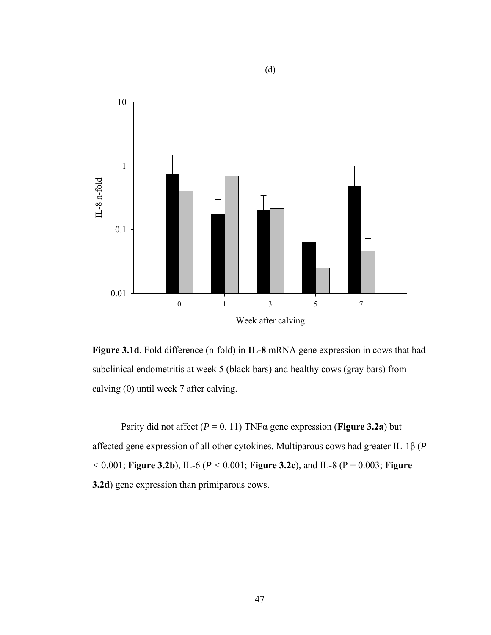

**Figure 3.1d**. Fold difference (n-fold) in **IL-8** mRNA gene expression in cows that had subclinical endometritis at week 5 (black bars) and healthy cows (gray bars) from calving (0) until week 7 after calving.

Parity did not affect ( $P = 0.11$ ) TNF $\alpha$  gene expression (**Figure 3.2a**) but affected gene expression of all other cytokines. Multiparous cows had greater IL-1β (*P <* 0.001; **Figure 3.2b**), IL-6 (*P <* 0.001; **Figure 3.2c**), and IL-8 (P = 0.003; **Figure 3.2d**) gene expression than primiparous cows.

(d)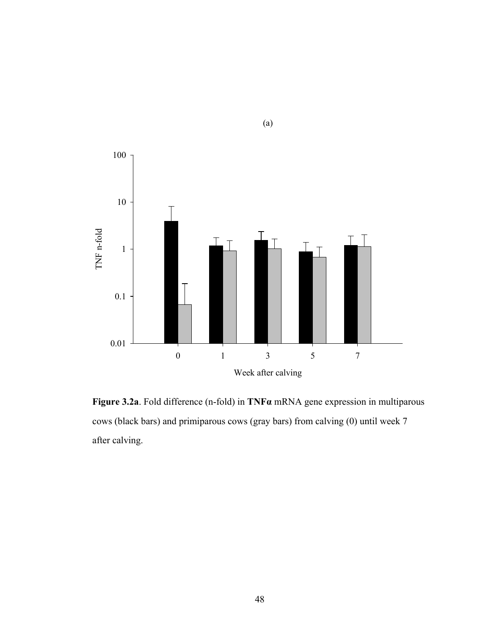

(a)

**Figure 3.2a**. Fold difference (n-fold) in **TNFα** mRNA gene expression in multiparous cows (black bars) and primiparous cows (gray bars) from calving (0) until week 7 after calving.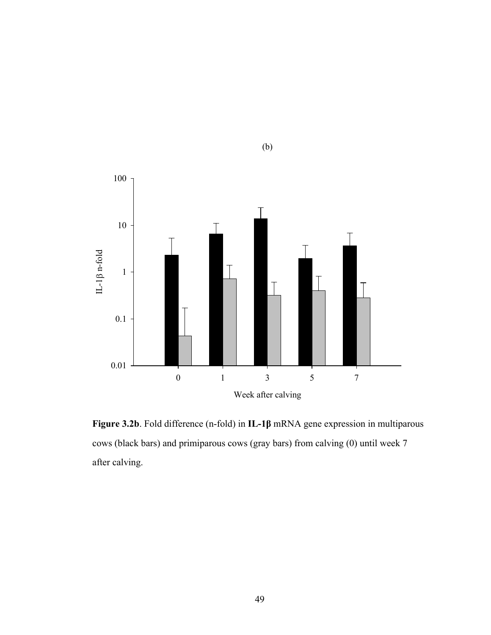

(b)

**Figure 3.2b**. Fold difference (n-fold) in **IL-1β** mRNA gene expression in multiparous cows (black bars) and primiparous cows (gray bars) from calving (0) until week 7 after calving.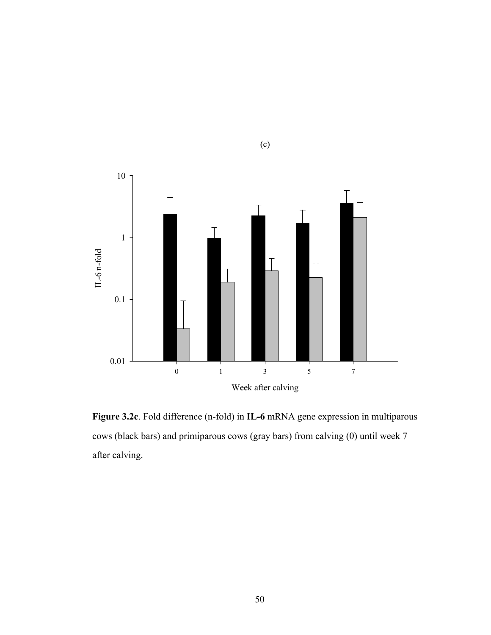

(c)

**Figure 3.2c**. Fold difference (n-fold) in **IL-6** mRNA gene expression in multiparous cows (black bars) and primiparous cows (gray bars) from calving (0) until week 7 after calving.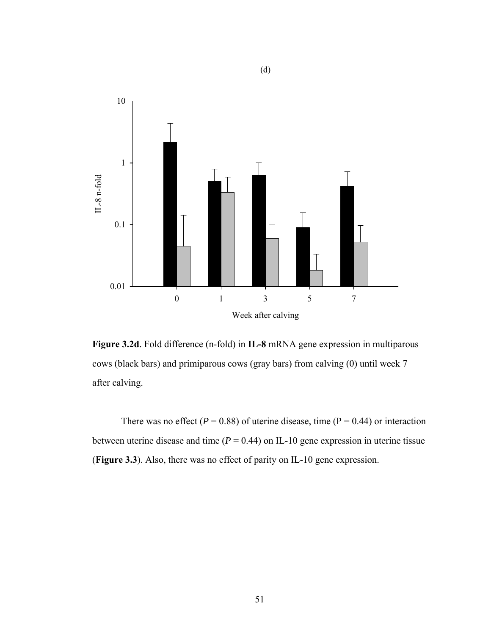

(d)

**Figure 3.2d**. Fold difference (n-fold) in **IL-8** mRNA gene expression in multiparous cows (black bars) and primiparous cows (gray bars) from calving (0) until week 7 after calving.

There was no effect ( $P = 0.88$ ) of uterine disease, time ( $P = 0.44$ ) or interaction between uterine disease and time  $(P = 0.44)$  on IL-10 gene expression in uterine tissue (**Figure 3.3**). Also, there was no effect of parity on IL-10 gene expression.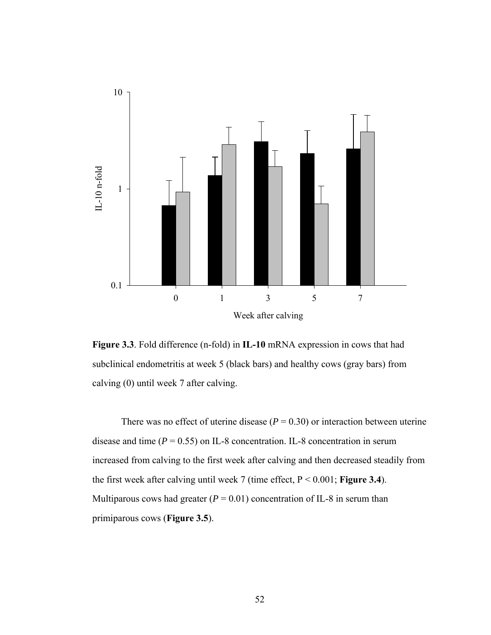

**Figure 3.3**. Fold difference (n-fold) in **IL-10** mRNA expression in cows that had subclinical endometritis at week 5 (black bars) and healthy cows (gray bars) from calving (0) until week 7 after calving.

There was no effect of uterine disease  $(P = 0.30)$  or interaction between uterine disease and time  $(P = 0.55)$  on IL-8 concentration. IL-8 concentration in serum increased from calving to the first week after calving and then decreased steadily from the first week after calving until week 7 (time effect, P < 0.001; **Figure 3.4**). Multiparous cows had greater  $(P = 0.01)$  concentration of IL-8 in serum than primiparous cows (**Figure 3.5**).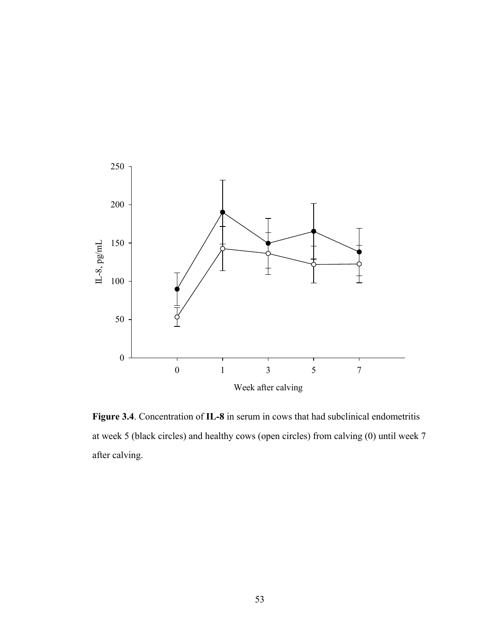

**Figure 3.4**. Concentration of **IL-8** in serum in cows that had subclinical endometritis at week 5 (black circles) and healthy cows (open circles) from calving (0) until week 7 after calving.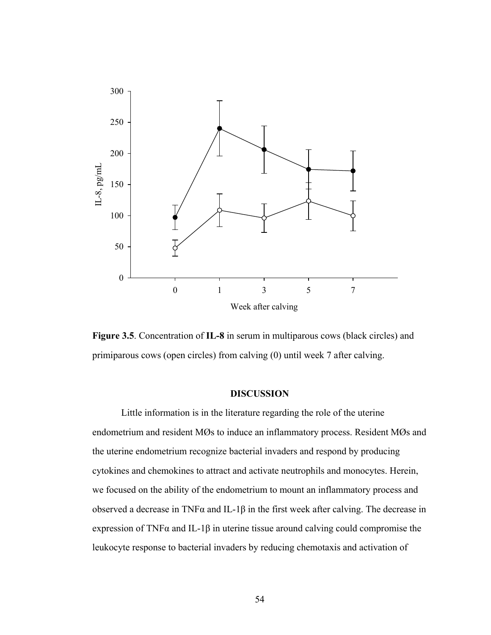



# **DISCUSSION**

Little information is in the literature regarding the role of the uterine endometrium and resident MØs to induce an inflammatory process. Resident MØs and the uterine endometrium recognize bacterial invaders and respond by producing cytokines and chemokines to attract and activate neutrophils and monocytes. Herein, we focused on the ability of the endometrium to mount an inflammatory process and observed a decrease in TNF $\alpha$  and IL-1 $\beta$  in the first week after calving. The decrease in expression of TNF $\alpha$  and IL-1 $\beta$  in uterine tissue around calving could compromise the leukocyte response to bacterial invaders by reducing chemotaxis and activation of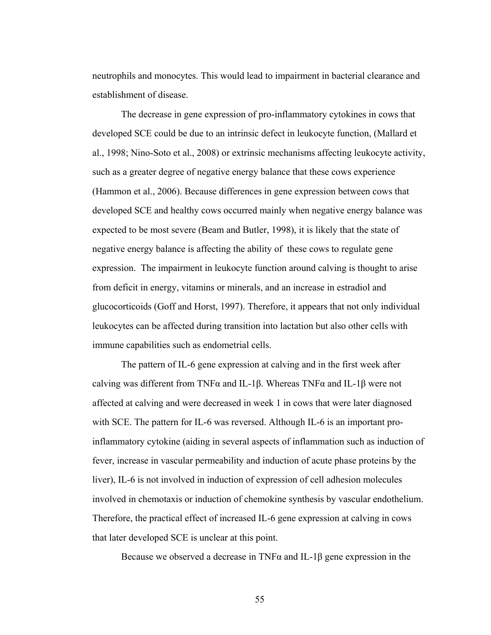neutrophils and monocytes. This would lead to impairment in bacterial clearance and establishment of disease.

The decrease in gene expression of pro-inflammatory cytokines in cows that developed SCE could be due to an intrinsic defect in leukocyte function, (Mallard et al., 1998; Nino-Soto et al., 2008) or extrinsic mechanisms affecting leukocyte activity, such as a greater degree of negative energy balance that these cows experience (Hammon et al., 2006). Because differences in gene expression between cows that developed SCE and healthy cows occurred mainly when negative energy balance was expected to be most severe (Beam and Butler, 1998), it is likely that the state of negative energy balance is affecting the ability of these cows to regulate gene expression. The impairment in leukocyte function around calving is thought to arise from deficit in energy, vitamins or minerals, and an increase in estradiol and glucocorticoids (Goff and Horst, 1997). Therefore, it appears that not only individual leukocytes can be affected during transition into lactation but also other cells with immune capabilities such as endometrial cells.

The pattern of IL-6 gene expression at calving and in the first week after calving was different from TNFα and IL-1β. Whereas TNFα and IL-1β were not affected at calving and were decreased in week 1 in cows that were later diagnosed with SCE. The pattern for IL-6 was reversed. Although IL-6 is an important proinflammatory cytokine (aiding in several aspects of inflammation such as induction of fever, increase in vascular permeability and induction of acute phase proteins by the liver), IL-6 is not involved in induction of expression of cell adhesion molecules involved in chemotaxis or induction of chemokine synthesis by vascular endothelium. Therefore, the practical effect of increased IL-6 gene expression at calving in cows that later developed SCE is unclear at this point.

Because we observed a decrease in TNF $\alpha$  and IL-1 $\beta$  gene expression in the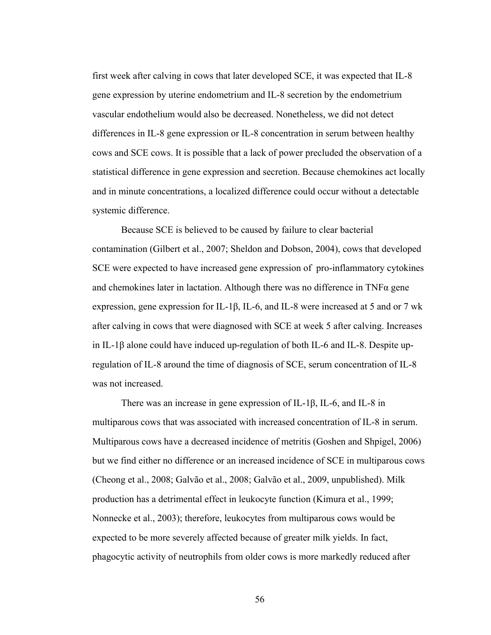first week after calving in cows that later developed SCE, it was expected that IL-8 gene expression by uterine endometrium and IL-8 secretion by the endometrium vascular endothelium would also be decreased. Nonetheless, we did not detect differences in IL-8 gene expression or IL-8 concentration in serum between healthy cows and SCE cows. It is possible that a lack of power precluded the observation of a statistical difference in gene expression and secretion. Because chemokines act locally and in minute concentrations, a localized difference could occur without a detectable systemic difference.

Because SCE is believed to be caused by failure to clear bacterial contamination (Gilbert et al., 2007; Sheldon and Dobson, 2004), cows that developed SCE were expected to have increased gene expression of pro-inflammatory cytokines and chemokines later in lactation. Although there was no difference in TNFα gene expression, gene expression for IL-1β, IL-6, and IL-8 were increased at 5 and or 7 wk after calving in cows that were diagnosed with SCE at week 5 after calving. Increases in IL-1β alone could have induced up-regulation of both IL-6 and IL-8. Despite upregulation of IL-8 around the time of diagnosis of SCE, serum concentration of IL-8 was not increased.

There was an increase in gene expression of IL-1β, IL-6, and IL-8 in multiparous cows that was associated with increased concentration of IL-8 in serum. Multiparous cows have a decreased incidence of metritis (Goshen and Shpigel, 2006) but we find either no difference or an increased incidence of SCE in multiparous cows (Cheong et al., 2008; Galvão et al., 2008; Galvão et al., 2009, unpublished). Milk production has a detrimental effect in leukocyte function (Kimura et al., 1999; Nonnecke et al., 2003); therefore, leukocytes from multiparous cows would be expected to be more severely affected because of greater milk yields. In fact, phagocytic activity of neutrophils from older cows is more markedly reduced after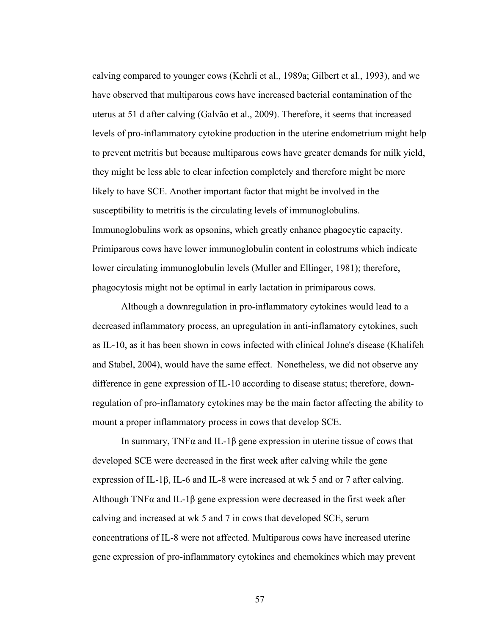calving compared to younger cows (Kehrli et al., 1989a; Gilbert et al., 1993), and we have observed that multiparous cows have increased bacterial contamination of the uterus at 51 d after calving (Galvão et al., 2009). Therefore, it seems that increased levels of pro-inflammatory cytokine production in the uterine endometrium might help to prevent metritis but because multiparous cows have greater demands for milk yield, they might be less able to clear infection completely and therefore might be more likely to have SCE. Another important factor that might be involved in the susceptibility to metritis is the circulating levels of immunoglobulins. Immunoglobulins work as opsonins, which greatly enhance phagocytic capacity. Primiparous cows have lower immunoglobulin content in colostrums which indicate lower circulating immunoglobulin levels (Muller and Ellinger, 1981); therefore, phagocytosis might not be optimal in early lactation in primiparous cows.

Although a downregulation in pro-inflammatory cytokines would lead to a decreased inflammatory process, an upregulation in anti-inflamatory cytokines, such as IL-10, as it has been shown in cows infected with clinical Johne's disease (Khalifeh and Stabel, 2004), would have the same effect. Nonetheless, we did not observe any difference in gene expression of IL-10 according to disease status; therefore, downregulation of pro-inflamatory cytokines may be the main factor affecting the ability to mount a proper inflammatory process in cows that develop SCE.

In summary, TNF $\alpha$  and IL-1 $\beta$  gene expression in uterine tissue of cows that developed SCE were decreased in the first week after calving while the gene expression of IL-1β, IL-6 and IL-8 were increased at wk 5 and or 7 after calving. Although TNF $\alpha$  and IL-1 $\beta$  gene expression were decreased in the first week after calving and increased at wk 5 and 7 in cows that developed SCE, serum concentrations of IL-8 were not affected. Multiparous cows have increased uterine gene expression of pro-inflammatory cytokines and chemokines which may prevent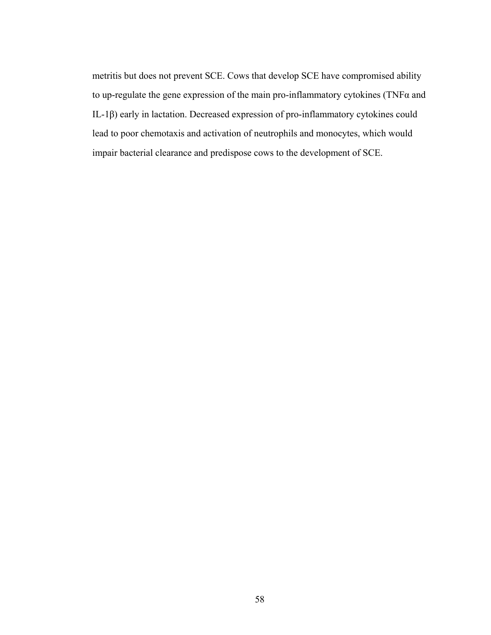metritis but does not prevent SCE. Cows that develop SCE have compromised ability to up-regulate the gene expression of the main pro-inflammatory cytokines (TNF $\alpha$  and IL-1β) early in lactation. Decreased expression of pro-inflammatory cytokines could lead to poor chemotaxis and activation of neutrophils and monocytes, which would impair bacterial clearance and predispose cows to the development of SCE.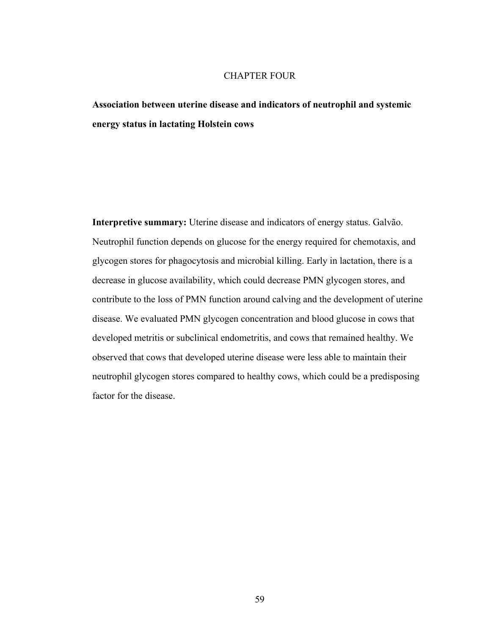# CHAPTER FOUR

**Association between uterine disease and indicators of neutrophil and systemic energy status in lactating Holstein cows** 

**Interpretive summary:** Uterine disease and indicators of energy status. Galvão. Neutrophil function depends on glucose for the energy required for chemotaxis, and glycogen stores for phagocytosis and microbial killing. Early in lactation, there is a decrease in glucose availability, which could decrease PMN glycogen stores, and contribute to the loss of PMN function around calving and the development of uterine disease. We evaluated PMN glycogen concentration and blood glucose in cows that developed metritis or subclinical endometritis, and cows that remained healthy. We observed that cows that developed uterine disease were less able to maintain their neutrophil glycogen stores compared to healthy cows, which could be a predisposing factor for the disease.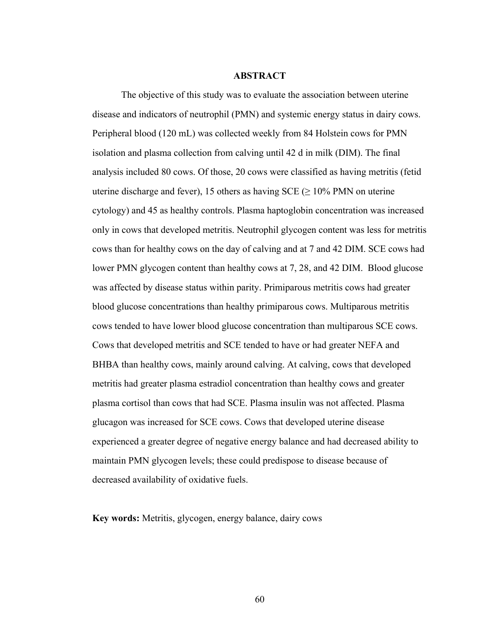## **ABSTRACT**

The objective of this study was to evaluate the association between uterine disease and indicators of neutrophil (PMN) and systemic energy status in dairy cows. Peripheral blood (120 mL) was collected weekly from 84 Holstein cows for PMN isolation and plasma collection from calving until 42 d in milk (DIM). The final analysis included 80 cows. Of those, 20 cows were classified as having metritis (fetid uterine discharge and fever), 15 others as having SCE ( $\geq$  10% PMN on uterine cytology) and 45 as healthy controls. Plasma haptoglobin concentration was increased only in cows that developed metritis. Neutrophil glycogen content was less for metritis cows than for healthy cows on the day of calving and at 7 and 42 DIM. SCE cows had lower PMN glycogen content than healthy cows at 7, 28, and 42 DIM. Blood glucose was affected by disease status within parity. Primiparous metritis cows had greater blood glucose concentrations than healthy primiparous cows. Multiparous metritis cows tended to have lower blood glucose concentration than multiparous SCE cows. Cows that developed metritis and SCE tended to have or had greater NEFA and BHBA than healthy cows, mainly around calving. At calving, cows that developed metritis had greater plasma estradiol concentration than healthy cows and greater plasma cortisol than cows that had SCE. Plasma insulin was not affected. Plasma glucagon was increased for SCE cows. Cows that developed uterine disease experienced a greater degree of negative energy balance and had decreased ability to maintain PMN glycogen levels; these could predispose to disease because of decreased availability of oxidative fuels.

**Key words:** Metritis, glycogen, energy balance, dairy cows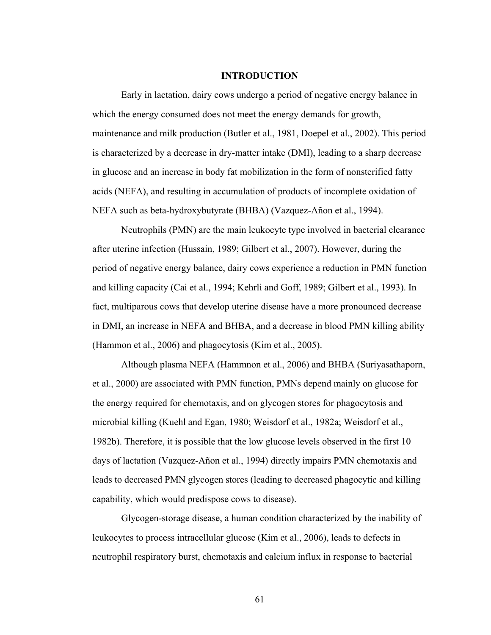#### **INTRODUCTION**

Early in lactation, dairy cows undergo a period of negative energy balance in which the energy consumed does not meet the energy demands for growth, maintenance and milk production (Butler et al., 1981, Doepel et al., 2002). This period is characterized by a decrease in dry-matter intake (DMI), leading to a sharp decrease in glucose and an increase in body fat mobilization in the form of nonsterified fatty acids (NEFA), and resulting in accumulation of products of incomplete oxidation of NEFA such as beta-hydroxybutyrate (BHBA) (Vazquez-Añon et al., 1994).

Neutrophils (PMN) are the main leukocyte type involved in bacterial clearance after uterine infection (Hussain, 1989; Gilbert et al., 2007). However, during the period of negative energy balance, dairy cows experience a reduction in PMN function and killing capacity (Cai et al., 1994; Kehrli and Goff, 1989; Gilbert et al., 1993). In fact, multiparous cows that develop uterine disease have a more pronounced decrease in DMI, an increase in NEFA and BHBA, and a decrease in blood PMN killing ability (Hammon et al., 2006) and phagocytosis (Kim et al., 2005).

Although plasma NEFA (Hammnon et al., 2006) and BHBA (Suriyasathaporn, et al., 2000) are associated with PMN function, PMNs depend mainly on glucose for the energy required for chemotaxis, and on glycogen stores for phagocytosis and microbial killing (Kuehl and Egan, 1980; Weisdorf et al., 1982a; Weisdorf et al., 1982b). Therefore, it is possible that the low glucose levels observed in the first 10 days of lactation (Vazquez-Añon et al., 1994) directly impairs PMN chemotaxis and leads to decreased PMN glycogen stores (leading to decreased phagocytic and killing capability, which would predispose cows to disease).

Glycogen-storage disease, a human condition characterized by the inability of leukocytes to process intracellular glucose (Kim et al., 2006), leads to defects in neutrophil respiratory burst, chemotaxis and calcium influx in response to bacterial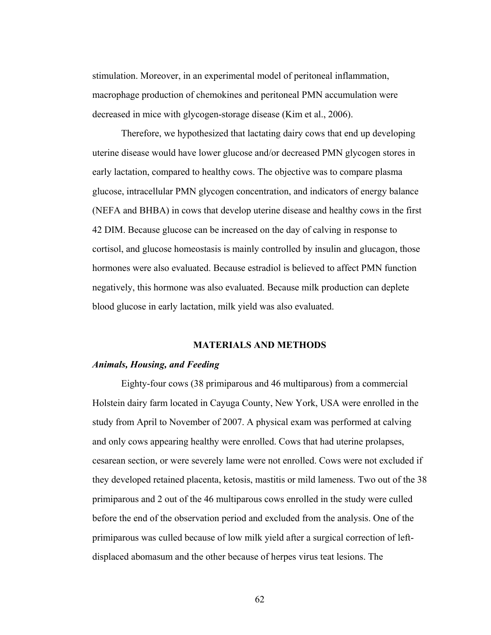stimulation. Moreover, in an experimental model of peritoneal inflammation, macrophage production of chemokines and peritoneal PMN accumulation were decreased in mice with glycogen-storage disease (Kim et al., 2006).

Therefore, we hypothesized that lactating dairy cows that end up developing uterine disease would have lower glucose and/or decreased PMN glycogen stores in early lactation, compared to healthy cows. The objective was to compare plasma glucose, intracellular PMN glycogen concentration, and indicators of energy balance (NEFA and BHBA) in cows that develop uterine disease and healthy cows in the first 42 DIM. Because glucose can be increased on the day of calving in response to cortisol, and glucose homeostasis is mainly controlled by insulin and glucagon, those hormones were also evaluated. Because estradiol is believed to affect PMN function negatively, this hormone was also evaluated. Because milk production can deplete blood glucose in early lactation, milk yield was also evaluated.

# **MATERIALS AND METHODS**

#### *Animals, Housing, and Feeding*

Eighty-four cows (38 primiparous and 46 multiparous) from a commercial Holstein dairy farm located in Cayuga County, New York, USA were enrolled in the study from April to November of 2007. A physical exam was performed at calving and only cows appearing healthy were enrolled. Cows that had uterine prolapses, cesarean section, or were severely lame were not enrolled. Cows were not excluded if they developed retained placenta, ketosis, mastitis or mild lameness. Two out of the 38 primiparous and 2 out of the 46 multiparous cows enrolled in the study were culled before the end of the observation period and excluded from the analysis. One of the primiparous was culled because of low milk yield after a surgical correction of leftdisplaced abomasum and the other because of herpes virus teat lesions. The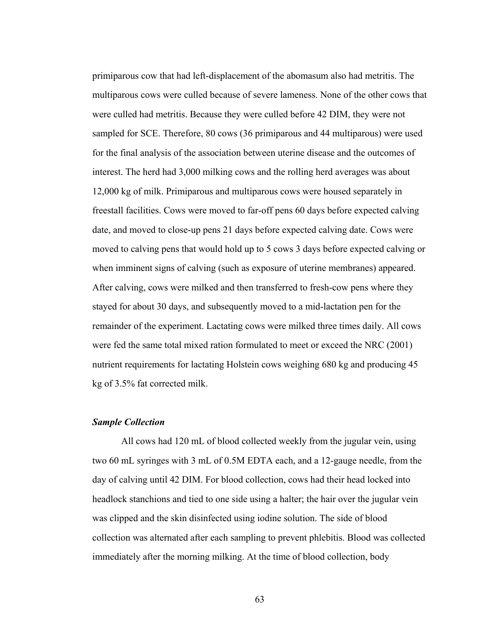primiparous cow that had left-displacement of the abomasum also had metritis. The multiparous cows were culled because of severe lameness. None of the other cows that were culled had metritis. Because they were culled before 42 DIM, they were not sampled for SCE. Therefore, 80 cows (36 primiparous and 44 multiparous) were used for the final analysis of the association between uterine disease and the outcomes of interest. The herd had 3,000 milking cows and the rolling herd averages was about 12,000 kg of milk. Primiparous and multiparous cows were housed separately in freestall facilities. Cows were moved to far-off pens 60 days before expected calving date, and moved to close-up pens 21 days before expected calving date. Cows were moved to calving pens that would hold up to 5 cows 3 days before expected calving or when imminent signs of calving (such as exposure of uterine membranes) appeared. After calving, cows were milked and then transferred to fresh-cow pens where they stayed for about 30 days, and subsequently moved to a mid-lactation pen for the remainder of the experiment. Lactating cows were milked three times daily. All cows were fed the same total mixed ration formulated to meet or exceed the NRC (2001) nutrient requirements for lactating Holstein cows weighing 680 kg and producing 45 kg of 3.5% fat corrected milk.

## *Sample Collection*

All cows had 120 mL of blood collected weekly from the jugular vein, using two 60 mL syringes with 3 mL of 0.5M EDTA each, and a 12-gauge needle, from the day of calving until 42 DIM. For blood collection, cows had their head locked into headlock stanchions and tied to one side using a halter; the hair over the jugular vein was clipped and the skin disinfected using iodine solution. The side of blood collection was alternated after each sampling to prevent phlebitis. Blood was collected immediately after the morning milking. At the time of blood collection, body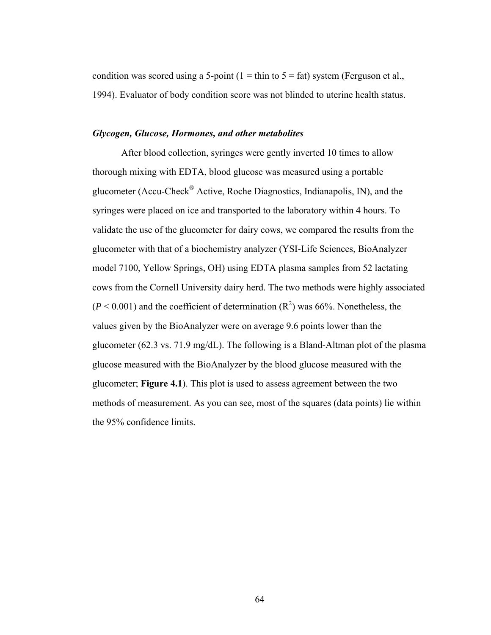condition was scored using a 5-point (1 = thin to  $5 = \text{fat}$ ) system (Ferguson et al., 1994). Evaluator of body condition score was not blinded to uterine health status.

### *Glycogen, Glucose, Hormones, and other metabolites*

After blood collection, syringes were gently inverted 10 times to allow thorough mixing with EDTA, blood glucose was measured using a portable glucometer (Accu-Check® Active, Roche Diagnostics, Indianapolis, IN), and the syringes were placed on ice and transported to the laboratory within 4 hours. To validate the use of the glucometer for dairy cows, we compared the results from the glucometer with that of a biochemistry analyzer (YSI-Life Sciences, BioAnalyzer model 7100, Yellow Springs, OH) using EDTA plasma samples from 52 lactating cows from the Cornell University dairy herd. The two methods were highly associated  $(P < 0.001)$  and the coefficient of determination  $(R<sup>2</sup>)$  was 66%. Nonetheless, the values given by the BioAnalyzer were on average 9.6 points lower than the glucometer (62.3 vs. 71.9 mg/dL). The following is a Bland-Altman plot of the plasma glucose measured with the BioAnalyzer by the blood glucose measured with the glucometer; **Figure 4.1**). This plot is used to assess agreement between the two methods of measurement. As you can see, most of the squares (data points) lie within the 95% confidence limits.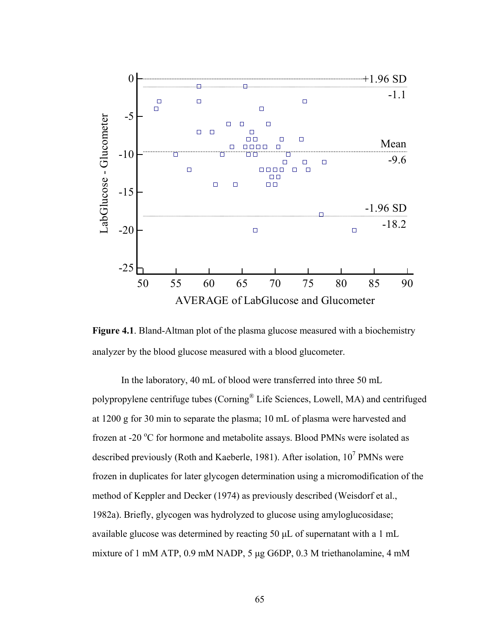



In the laboratory, 40 mL of blood were transferred into three 50 mL polypropylene centrifuge tubes (Corning® Life Sciences, Lowell, MA) and centrifuged at 1200 g for 30 min to separate the plasma; 10 mL of plasma were harvested and frozen at -20  $\rm{^oC}$  for hormone and metabolite assays. Blood PMNs were isolated as described previously (Roth and Kaeberle, 1981). After isolation,  $10^7$  PMNs were frozen in duplicates for later glycogen determination using a micromodification of the method of Keppler and Decker (1974) as previously described (Weisdorf et al., 1982a). Briefly, glycogen was hydrolyzed to glucose using amyloglucosidase; available glucose was determined by reacting 50 μL of supernatant with a 1 mL mixture of 1 mM ATP, 0.9 mM NADP, 5 μg G6DP, 0.3 M triethanolamine, 4 mM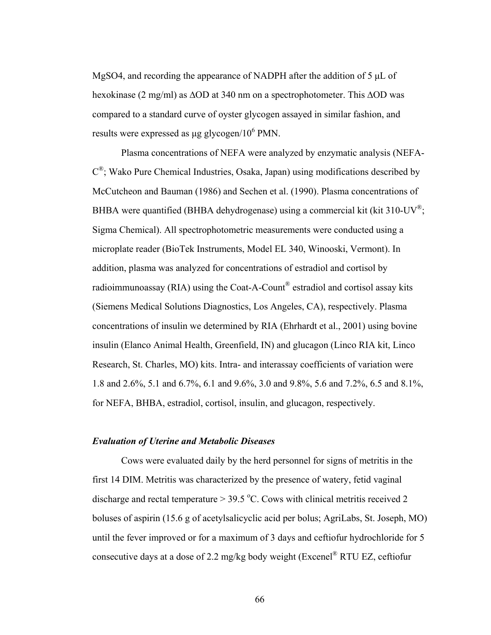MgSO4, and recording the appearance of NADPH after the addition of 5 μL of hexokinase (2 mg/ml) as ∆OD at 340 nm on a spectrophotometer. This ∆OD was compared to a standard curve of oyster glycogen assayed in similar fashion, and results were expressed as  $\mu$ g glycogen/10<sup>6</sup> PMN.

Plasma concentrations of NEFA were analyzed by enzymatic analysis (NEFA- $C^{\circledast}$ ; Wako Pure Chemical Industries, Osaka, Japan) using modifications described by McCutcheon and Bauman (1986) and Sechen et al. (1990). Plasma concentrations of BHBA were quantified (BHBA dehydrogenase) using a commercial kit (kit 310-UV<sup>®</sup>; Sigma Chemical). All spectrophotometric measurements were conducted using a microplate reader (BioTek Instruments, Model EL 340, Winooski, Vermont). In addition, plasma was analyzed for concentrations of estradiol and cortisol by radioimmunoassay (RIA) using the Coat-A-Count® estradiol and cortisol assay kits (Siemens Medical Solutions Diagnostics, Los Angeles, CA), respectively. Plasma concentrations of insulin we determined by RIA (Ehrhardt et al., 2001) using bovine insulin (Elanco Animal Health, Greenfield, IN) and glucagon (Linco RIA kit, Linco Research, St. Charles, MO) kits. Intra- and interassay coefficients of variation were 1.8 and 2.6%, 5.1 and 6.7%, 6.1 and 9.6%, 3.0 and 9.8%, 5.6 and 7.2%, 6.5 and 8.1%, for NEFA, BHBA, estradiol, cortisol, insulin, and glucagon, respectively.

# *Evaluation of Uterine and Metabolic Diseases*

Cows were evaluated daily by the herd personnel for signs of metritis in the first 14 DIM. Metritis was characterized by the presence of watery, fetid vaginal discharge and rectal temperature  $> 39.5$  °C. Cows with clinical metritis received 2 boluses of aspirin (15.6 g of acetylsalicyclic acid per bolus; AgriLabs, St. Joseph, MO) until the fever improved or for a maximum of 3 days and ceftiofur hydrochloride for 5 consecutive days at a dose of 2.2 mg/kg body weight (Excenel® RTU EZ, ceftiofur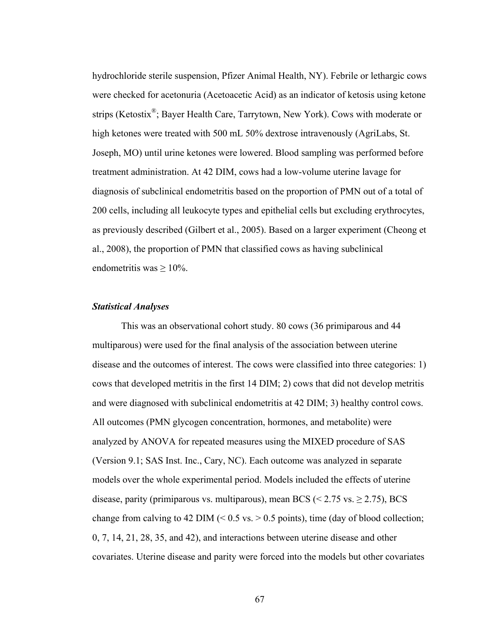hydrochloride sterile suspension, Pfizer Animal Health, NY). Febrile or lethargic cows were checked for acetonuria (Acetoacetic Acid) as an indicator of ketosis using ketone strips (Ketostix®; Bayer Health Care, Tarrytown, New York). Cows with moderate or high ketones were treated with 500 mL 50% dextrose intravenously (AgriLabs, St. Joseph, MO) until urine ketones were lowered. Blood sampling was performed before treatment administration. At 42 DIM, cows had a low-volume uterine lavage for diagnosis of subclinical endometritis based on the proportion of PMN out of a total of 200 cells, including all leukocyte types and epithelial cells but excluding erythrocytes, as previously described (Gilbert et al., 2005). Based on a larger experiment (Cheong et al., 2008), the proportion of PMN that classified cows as having subclinical endometritis was  $\geq 10\%$ .

## *Statistical Analyses*

This was an observational cohort study. 80 cows (36 primiparous and 44 multiparous) were used for the final analysis of the association between uterine disease and the outcomes of interest. The cows were classified into three categories: 1) cows that developed metritis in the first 14 DIM; 2) cows that did not develop metritis and were diagnosed with subclinical endometritis at 42 DIM; 3) healthy control cows. All outcomes (PMN glycogen concentration, hormones, and metabolite) were analyzed by ANOVA for repeated measures using the MIXED procedure of SAS (Version 9.1; SAS Inst. Inc., Cary, NC). Each outcome was analyzed in separate models over the whole experimental period. Models included the effects of uterine disease, parity (primiparous vs. multiparous), mean BCS ( $\leq$  2.75 vs.  $\geq$  2.75), BCS change from calving to 42 DIM  $(< 0.5$  vs.  $> 0.5$  points), time (day of blood collection; 0, 7, 14, 21, 28, 35, and 42), and interactions between uterine disease and other covariates. Uterine disease and parity were forced into the models but other covariates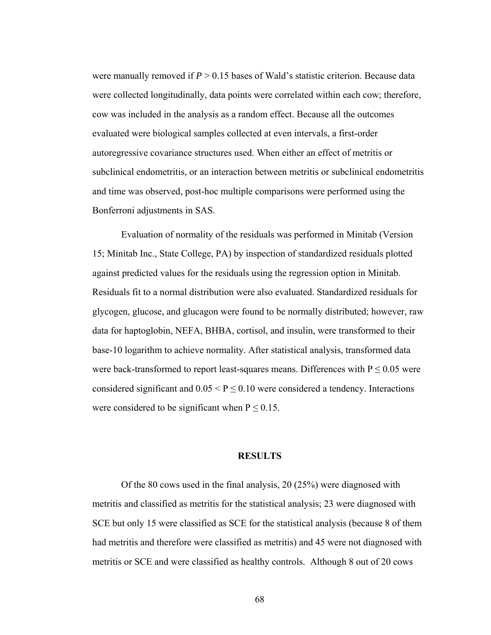were manually removed if  $P > 0.15$  bases of Wald's statistic criterion. Because data were collected longitudinally, data points were correlated within each cow; therefore, cow was included in the analysis as a random effect. Because all the outcomes evaluated were biological samples collected at even intervals, a first-order autoregressive covariance structures used. When either an effect of metritis or subclinical endometritis, or an interaction between metritis or subclinical endometritis and time was observed, post-hoc multiple comparisons were performed using the Bonferroni adjustments in SAS.

Evaluation of normality of the residuals was performed in Minitab (Version 15; Minitab Inc., State College, PA) by inspection of standardized residuals plotted against predicted values for the residuals using the regression option in Minitab. Residuals fit to a normal distribution were also evaluated. Standardized residuals for glycogen, glucose, and glucagon were found to be normally distributed; however, raw data for haptoglobin, NEFA, BHBA, cortisol, and insulin, were transformed to their base-10 logarithm to achieve normality. After statistical analysis, transformed data were back-transformed to report least-squares means. Differences with  $P \le 0.05$  were considered significant and  $0.05 \le P \le 0.10$  were considered a tendency. Interactions were considered to be significant when  $P \le 0.15$ .

### **RESULTS**

Of the 80 cows used in the final analysis, 20 (25%) were diagnosed with metritis and classified as metritis for the statistical analysis; 23 were diagnosed with SCE but only 15 were classified as SCE for the statistical analysis (because 8 of them had metritis and therefore were classified as metritis) and 45 were not diagnosed with metritis or SCE and were classified as healthy controls. Although 8 out of 20 cows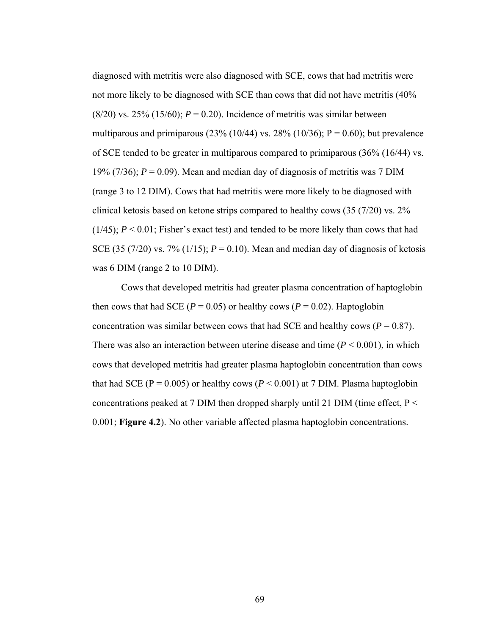diagnosed with metritis were also diagnosed with SCE, cows that had metritis were not more likely to be diagnosed with SCE than cows that did not have metritis (40% (8/20) vs. 25% (15/60);  $P = 0.20$ ). Incidence of metritis was similar between multiparous and primiparous (23% (10/44) vs. 28% (10/36);  $P = 0.60$ ); but prevalence of SCE tended to be greater in multiparous compared to primiparous (36% (16/44) vs. 19% (7/36);  $P = 0.09$ ). Mean and median day of diagnosis of metritis was 7 DIM (range 3 to 12 DIM). Cows that had metritis were more likely to be diagnosed with clinical ketosis based on ketone strips compared to healthy cows (35 (7/20) vs. 2% (1/45); *P* < 0.01; Fisher's exact test) and tended to be more likely than cows that had SCE (35 (7/20) vs. 7% (1/15);  $P = 0.10$ ). Mean and median day of diagnosis of ketosis was 6 DIM (range 2 to 10 DIM).

Cows that developed metritis had greater plasma concentration of haptoglobin then cows that had SCE ( $P = 0.05$ ) or healthy cows ( $P = 0.02$ ). Haptoglobin concentration was similar between cows that had SCE and healthy cows ( $P = 0.87$ ). There was also an interaction between uterine disease and time  $(P < 0.001)$ , in which cows that developed metritis had greater plasma haptoglobin concentration than cows that had SCE ( $P = 0.005$ ) or healthy cows ( $P \le 0.001$ ) at 7 DIM. Plasma haptoglobin concentrations peaked at 7 DIM then dropped sharply until 21 DIM (time effect,  $P \le$ 0.001; **Figure 4.2**). No other variable affected plasma haptoglobin concentrations.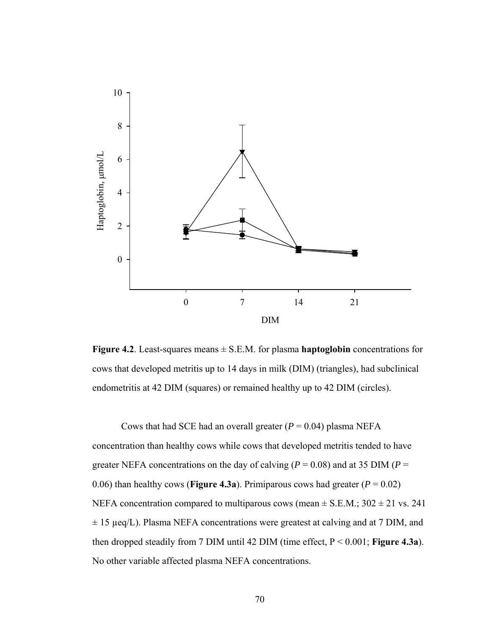

**Figure 4.2**. Least-squares means ± S.E.M. for plasma **haptoglobin** concentrations for cows that developed metritis up to 14 days in milk (DIM) (triangles), had subclinical endometritis at 42 DIM (squares) or remained healthy up to 42 DIM (circles).

Cows that had SCE had an overall greater  $(P = 0.04)$  plasma NEFA concentration than healthy cows while cows that developed metritis tended to have greater NEFA concentrations on the day of calving ( $P = 0.08$ ) and at 35 DIM ( $P =$ 0.06) than healthy cows (**Figure 4.3a**). Primiparous cows had greater ( $P = 0.02$ ) NEFA concentration compared to multiparous cows (mean  $\pm$  S.E.M.; 302  $\pm$  21 vs. 241  $\pm$  15 µeq/L). Plasma NEFA concentrations were greatest at calving and at 7 DIM, and then dropped steadily from 7 DIM until 42 DIM (time effect, P < 0.001; **Figure 4.3a**). No other variable affected plasma NEFA concentrations.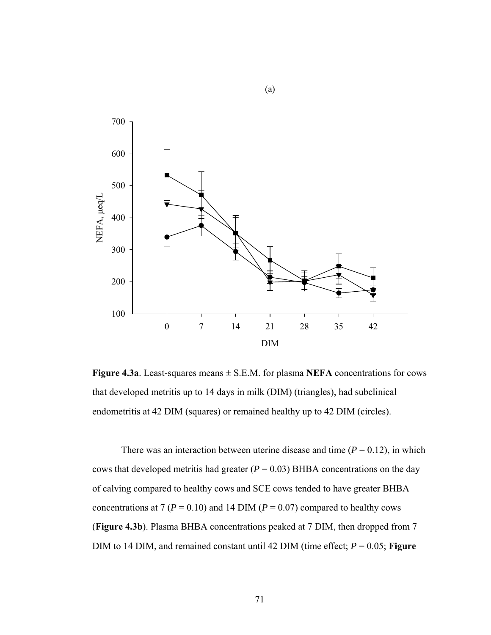

(a)

**Figure 4.3a**. Least-squares means  $\pm$  S.E.M. for plasma **NEFA** concentrations for cows that developed metritis up to 14 days in milk (DIM) (triangles), had subclinical endometritis at 42 DIM (squares) or remained healthy up to 42 DIM (circles).

There was an interaction between uterine disease and time  $(P = 0.12)$ , in which cows that developed metritis had greater  $(P = 0.03)$  BHBA concentrations on the day of calving compared to healthy cows and SCE cows tended to have greater BHBA concentrations at 7 ( $P = 0.10$ ) and 14 DIM ( $P = 0.07$ ) compared to healthy cows (**Figure 4.3b**). Plasma BHBA concentrations peaked at 7 DIM, then dropped from 7 DIM to 14 DIM, and remained constant until 42 DIM (time effect;  $P = 0.05$ ; **Figure**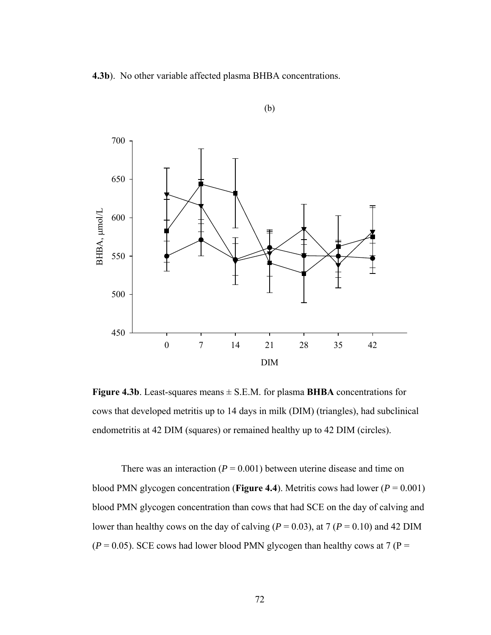**4.3b**). No other variable affected plasma BHBA concentrations.



(b)

**Figure 4.3b**. Least-squares means  $\pm$  S.E.M. for plasma **BHBA** concentrations for cows that developed metritis up to 14 days in milk (DIM) (triangles), had subclinical endometritis at 42 DIM (squares) or remained healthy up to 42 DIM (circles).

There was an interaction ( $P = 0.001$ ) between uterine disease and time on blood PMN glycogen concentration (**Figure 4.4**). Metritis cows had lower ( $P = 0.001$ ) blood PMN glycogen concentration than cows that had SCE on the day of calving and lower than healthy cows on the day of calving ( $P = 0.03$ ), at 7 ( $P = 0.10$ ) and 42 DIM  $(P = 0.05)$ . SCE cows had lower blood PMN glycogen than healthy cows at 7 (P =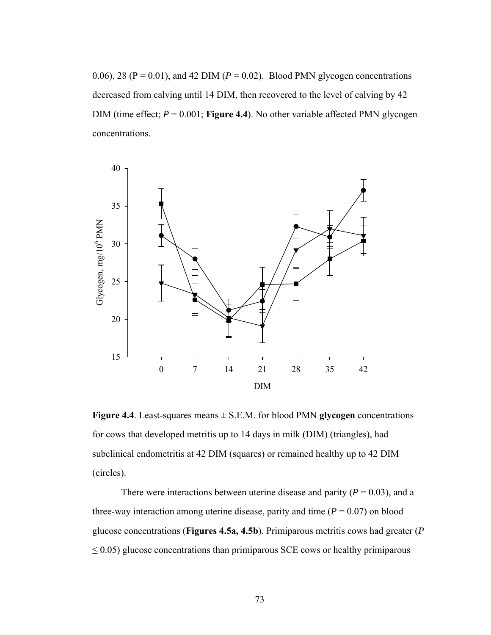0.06), 28 ( $P = 0.01$ ), and 42 DIM ( $P = 0.02$ ). Blood PMN glycogen concentrations decreased from calving until 14 DIM, then recovered to the level of calving by 42 DIM (time effect;  $P = 0.001$ ; **Figure 4.4**). No other variable affected PMN glycogen concentrations.



**Figure 4.4**. Least-squares means ± S.E.M. for blood PMN **glycogen** concentrations for cows that developed metritis up to 14 days in milk (DIM) (triangles), had subclinical endometritis at 42 DIM (squares) or remained healthy up to 42 DIM (circles).

There were interactions between uterine disease and parity  $(P = 0.03)$ , and a three-way interaction among uterine disease, parity and time  $(P = 0.07)$  on blood glucose concentrations (**Figures 4.5a, 4.5b**). Primiparous metritis cows had greater (*P*  $\leq$  0.05) glucose concentrations than primiparous SCE cows or healthy primiparous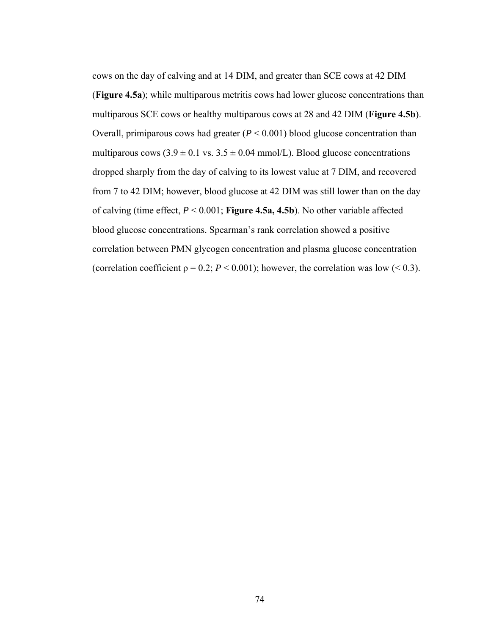cows on the day of calving and at 14 DIM, and greater than SCE cows at 42 DIM (**Figure 4.5a**); while multiparous metritis cows had lower glucose concentrations than multiparous SCE cows or healthy multiparous cows at 28 and 42 DIM (**Figure 4.5b**). Overall, primiparous cows had greater  $(P < 0.001)$  blood glucose concentration than multiparous cows  $(3.9 \pm 0.1 \text{ vs. } 3.5 \pm 0.04 \text{ mmol/L})$ . Blood glucose concentrations dropped sharply from the day of calving to its lowest value at 7 DIM, and recovered from 7 to 42 DIM; however, blood glucose at 42 DIM was still lower than on the day of calving (time effect, *P* < 0.001; **Figure 4.5a, 4.5b**). No other variable affected blood glucose concentrations. Spearman's rank correlation showed a positive correlation between PMN glycogen concentration and plasma glucose concentration (correlation coefficient  $p = 0.2$ ;  $P < 0.001$ ); however, the correlation was low (< 0.3).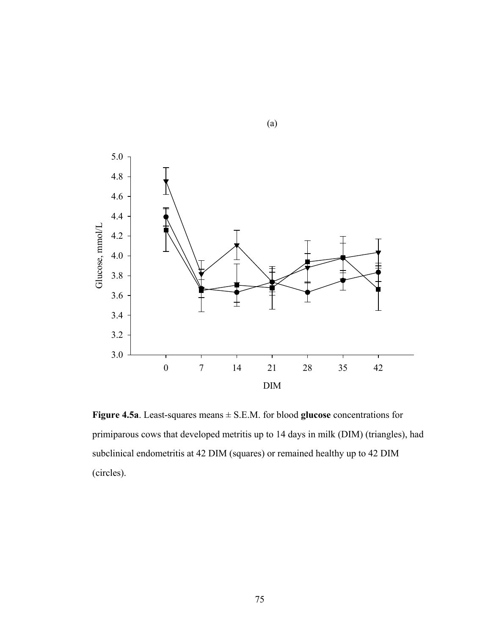

(a)

**Figure 4.5a**. Least-squares means ± S.E.M. for blood **glucose** concentrations for primiparous cows that developed metritis up to 14 days in milk (DIM) (triangles), had subclinical endometritis at 42 DIM (squares) or remained healthy up to 42 DIM (circles).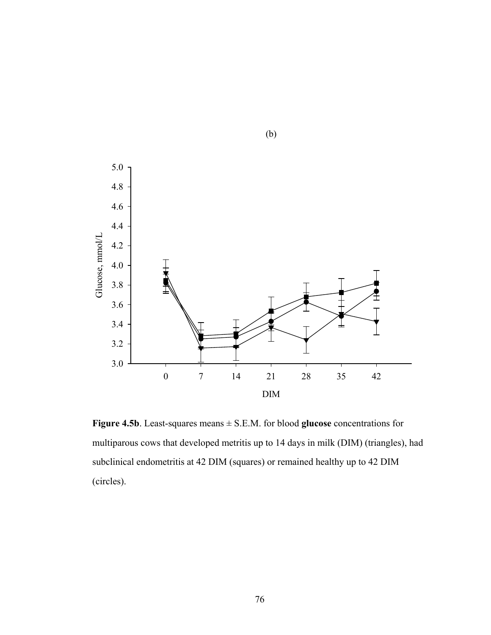

(b)

**Figure 4.5b**. Least-squares means ± S.E.M. for blood **glucose** concentrations for multiparous cows that developed metritis up to 14 days in milk (DIM) (triangles), had subclinical endometritis at 42 DIM (squares) or remained healthy up to 42 DIM (circles).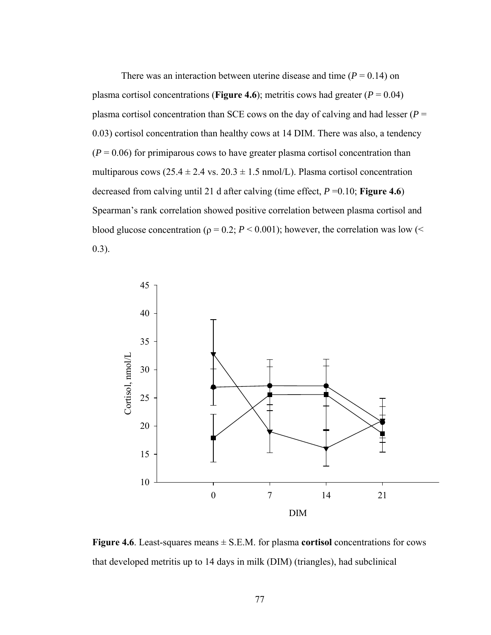There was an interaction between uterine disease and time  $(P = 0.14)$  on plasma cortisol concentrations (**Figure 4.6**); metritis cows had greater ( $P = 0.04$ ) plasma cortisol concentration than SCE cows on the day of calving and had lesser ( $P =$ 0.03) cortisol concentration than healthy cows at 14 DIM. There was also, a tendency  $(P = 0.06)$  for primiparous cows to have greater plasma cortisol concentration than multiparous cows ( $25.4 \pm 2.4$  vs.  $20.3 \pm 1.5$  nmol/L). Plasma cortisol concentration decreased from calving until 21 d after calving (time effect, *P* =0.10; **Figure 4.6**) Spearman's rank correlation showed positive correlation between plasma cortisol and blood glucose concentration ( $\rho = 0.2$ ;  $P < 0.001$ ); however, the correlation was low ( $\leq$ 0.3).



**Figure 4.6**. Least-squares means ± S.E.M. for plasma **cortisol** concentrations for cows that developed metritis up to 14 days in milk (DIM) (triangles), had subclinical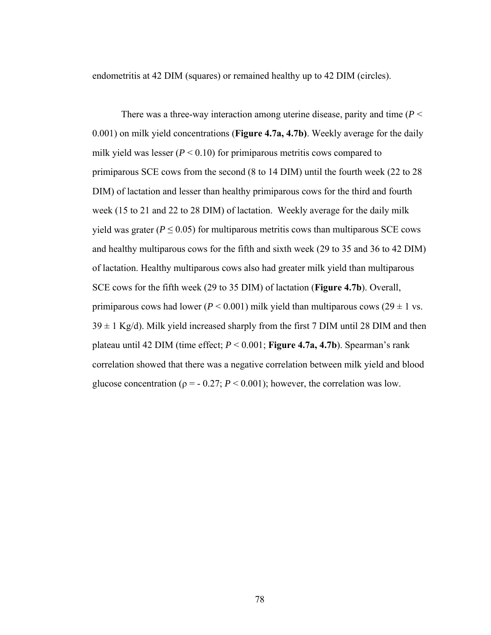endometritis at 42 DIM (squares) or remained healthy up to 42 DIM (circles).

There was a three-way interaction among uterine disease, parity and time (*P* < 0.001) on milk yield concentrations (**Figure 4.7a, 4.7b)**. Weekly average for the daily milk yield was lesser  $(P < 0.10)$  for primiparous metritis cows compared to primiparous SCE cows from the second (8 to 14 DIM) until the fourth week (22 to 28 DIM) of lactation and lesser than healthy primiparous cows for the third and fourth week (15 to 21 and 22 to 28 DIM) of lactation. Weekly average for the daily milk yield was grater ( $P \leq 0.05$ ) for multiparous metritis cows than multiparous SCE cows and healthy multiparous cows for the fifth and sixth week (29 to 35 and 36 to 42 DIM) of lactation. Healthy multiparous cows also had greater milk yield than multiparous SCE cows for the fifth week (29 to 35 DIM) of lactation (**Figure 4.7b**). Overall, primiparous cows had lower ( $P < 0.001$ ) milk yield than multiparous cows ( $29 \pm 1$  vs.  $39 \pm 1$  Kg/d). Milk yield increased sharply from the first 7 DIM until 28 DIM and then plateau until 42 DIM (time effect; *P* < 0.001; **Figure 4.7a, 4.7b**). Spearman's rank correlation showed that there was a negative correlation between milk yield and blood glucose concentration ( $p = -0.27$ ;  $P \le 0.001$ ); however, the correlation was low.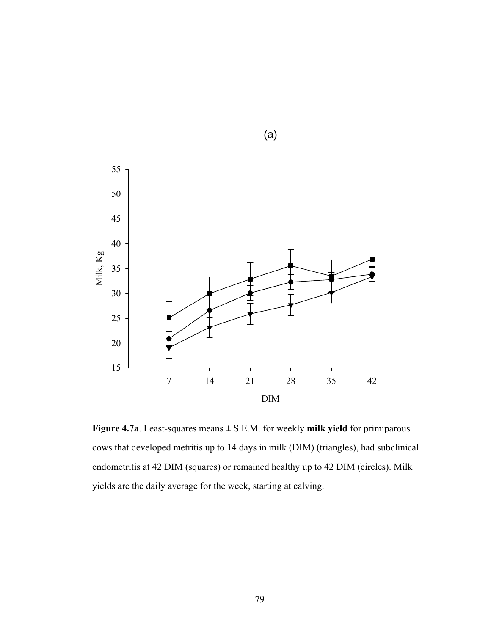

**Figure 4.7a**. Least-squares means ± S.E.M. for weekly **milk yield** for primiparous cows that developed metritis up to 14 days in milk (DIM) (triangles), had subclinical endometritis at 42 DIM (squares) or remained healthy up to 42 DIM (circles). Milk yields are the daily average for the week, starting at calving.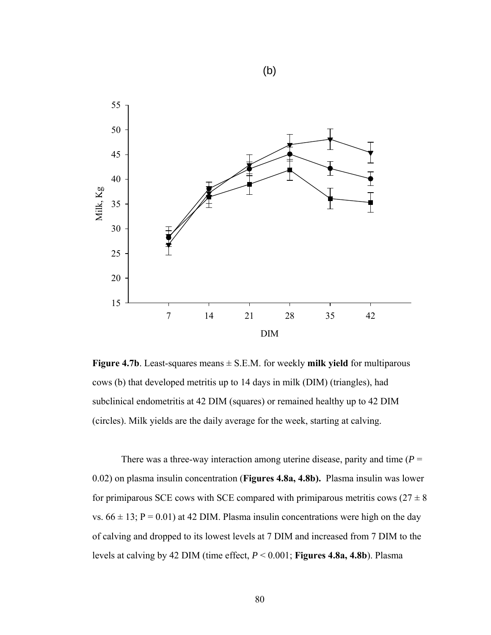

**Figure 4.7b**. Least-squares means  $\pm$  S.E.M. for weekly **milk yield** for multiparous cows (b) that developed metritis up to 14 days in milk (DIM) (triangles), had subclinical endometritis at 42 DIM (squares) or remained healthy up to 42 DIM (circles). Milk yields are the daily average for the week, starting at calving.

There was a three-way interaction among uterine disease, parity and time  $(P =$ 0.02) on plasma insulin concentration (**Figures 4.8a, 4.8b).** Plasma insulin was lower for primiparous SCE cows with SCE compared with primiparous metritis cows  $(27 \pm 8)$ vs.  $66 \pm 13$ ; P = 0.01) at 42 DIM. Plasma insulin concentrations were high on the day of calving and dropped to its lowest levels at 7 DIM and increased from 7 DIM to the levels at calving by 42 DIM (time effect, *P* < 0.001; **Figures 4.8a, 4.8b**). Plasma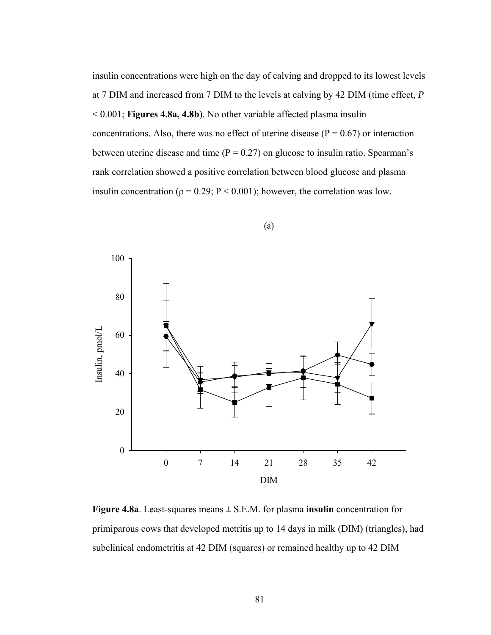insulin concentrations were high on the day of calving and dropped to its lowest levels at 7 DIM and increased from 7 DIM to the levels at calving by 42 DIM (time effect, *P* < 0.001; **Figures 4.8a, 4.8b**). No other variable affected plasma insulin concentrations. Also, there was no effect of uterine disease ( $P = 0.67$ ) or interaction between uterine disease and time  $(P = 0.27)$  on glucose to insulin ratio. Spearman's rank correlation showed a positive correlation between blood glucose and plasma insulin concentration ( $\rho = 0.29$ ; P < 0.001); however, the correlation was low.



(a)

**Figure 4.8a**. Least-squares means  $\pm$  S.E.M. for plasma **insulin** concentration for primiparous cows that developed metritis up to 14 days in milk (DIM) (triangles), had subclinical endometritis at 42 DIM (squares) or remained healthy up to 42 DIM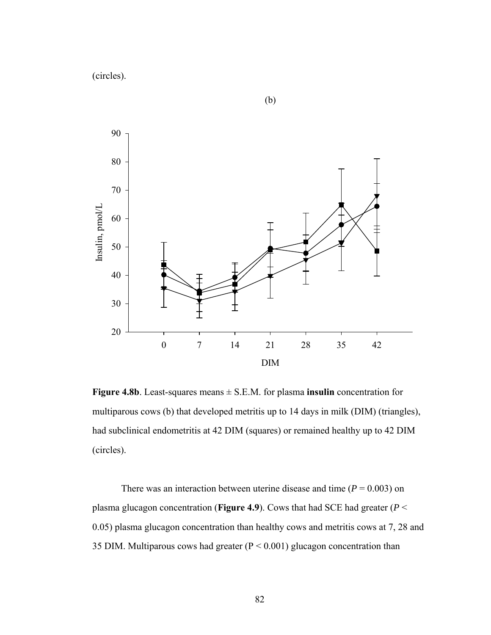(circles).



(b)

**Figure 4.8b**. Least-squares means  $\pm$  S.E.M. for plasma **insulin** concentration for multiparous cows (b) that developed metritis up to 14 days in milk (DIM) (triangles), had subclinical endometritis at 42 DIM (squares) or remained healthy up to 42 DIM (circles).

There was an interaction between uterine disease and time  $(P = 0.003)$  on plasma glucagon concentration (**Figure 4.9**). Cows that had SCE had greater (*P* < 0.05) plasma glucagon concentration than healthy cows and metritis cows at 7, 28 and 35 DIM. Multiparous cows had greater (P < 0.001) glucagon concentration than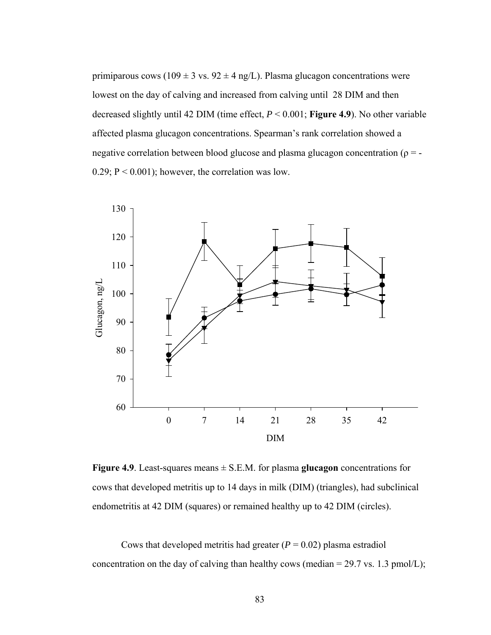primiparous cows (109  $\pm$  3 vs. 92  $\pm$  4 ng/L). Plasma glucagon concentrations were lowest on the day of calving and increased from calving until 28 DIM and then decreased slightly until 42 DIM (time effect, *P* < 0.001; **Figure 4.9**). No other variable affected plasma glucagon concentrations. Spearman's rank correlation showed a negative correlation between blood glucose and plasma glucagon concentration ( $\rho = -$ 0.29;  $P < 0.001$ ); however, the correlation was low.



**Figure 4.9**. Least-squares means ± S.E.M. for plasma **glucagon** concentrations for cows that developed metritis up to 14 days in milk (DIM) (triangles), had subclinical endometritis at 42 DIM (squares) or remained healthy up to 42 DIM (circles).

Cows that developed metritis had greater  $(P = 0.02)$  plasma estradiol concentration on the day of calving than healthy cows (median  $= 29.7$  vs. 1.3 pmol/L);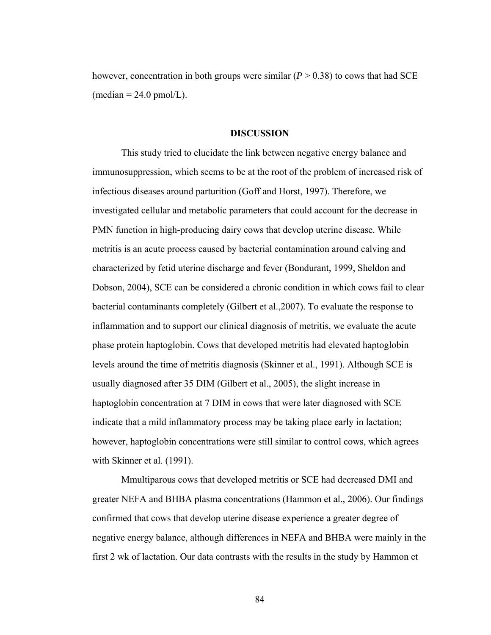however, concentration in both groups were similar  $(P > 0.38)$  to cows that had SCE  $(median = 24.0 \text{ pmol/L}).$ 

#### **DISCUSSION**

This study tried to elucidate the link between negative energy balance and immunosuppression, which seems to be at the root of the problem of increased risk of infectious diseases around parturition (Goff and Horst, 1997). Therefore, we investigated cellular and metabolic parameters that could account for the decrease in PMN function in high-producing dairy cows that develop uterine disease. While metritis is an acute process caused by bacterial contamination around calving and characterized by fetid uterine discharge and fever (Bondurant, 1999, Sheldon and Dobson, 2004), SCE can be considered a chronic condition in which cows fail to clear bacterial contaminants completely (Gilbert et al.,2007). To evaluate the response to inflammation and to support our clinical diagnosis of metritis, we evaluate the acute phase protein haptoglobin. Cows that developed metritis had elevated haptoglobin levels around the time of metritis diagnosis (Skinner et al., 1991). Although SCE is usually diagnosed after 35 DIM (Gilbert et al., 2005), the slight increase in haptoglobin concentration at 7 DIM in cows that were later diagnosed with SCE indicate that a mild inflammatory process may be taking place early in lactation; however, haptoglobin concentrations were still similar to control cows, which agrees with Skinner et al. (1991).

Mmultiparous cows that developed metritis or SCE had decreased DMI and greater NEFA and BHBA plasma concentrations (Hammon et al., 2006). Our findings confirmed that cows that develop uterine disease experience a greater degree of negative energy balance, although differences in NEFA and BHBA were mainly in the first 2 wk of lactation. Our data contrasts with the results in the study by Hammon et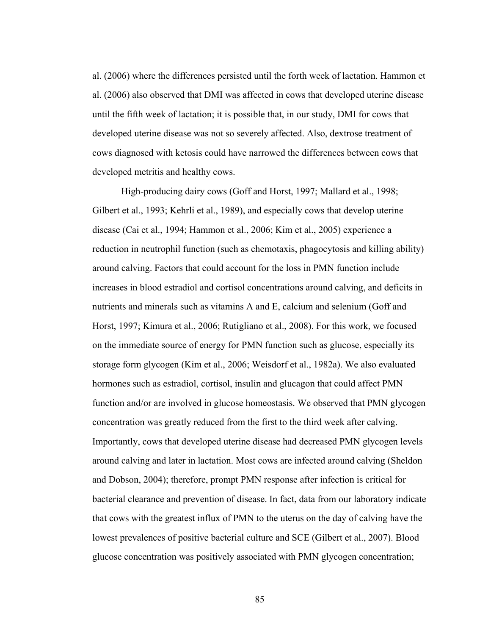al. (2006) where the differences persisted until the forth week of lactation. Hammon et al. (2006) also observed that DMI was affected in cows that developed uterine disease until the fifth week of lactation; it is possible that, in our study, DMI for cows that developed uterine disease was not so severely affected. Also, dextrose treatment of cows diagnosed with ketosis could have narrowed the differences between cows that developed metritis and healthy cows.

High-producing dairy cows (Goff and Horst, 1997; Mallard et al., 1998; Gilbert et al., 1993; Kehrli et al., 1989), and especially cows that develop uterine disease (Cai et al., 1994; Hammon et al., 2006; Kim et al., 2005) experience a reduction in neutrophil function (such as chemotaxis, phagocytosis and killing ability) around calving. Factors that could account for the loss in PMN function include increases in blood estradiol and cortisol concentrations around calving, and deficits in nutrients and minerals such as vitamins A and E, calcium and selenium (Goff and Horst, 1997; Kimura et al., 2006; Rutigliano et al., 2008). For this work, we focused on the immediate source of energy for PMN function such as glucose, especially its storage form glycogen (Kim et al., 2006; Weisdorf et al., 1982a). We also evaluated hormones such as estradiol, cortisol, insulin and glucagon that could affect PMN function and/or are involved in glucose homeostasis. We observed that PMN glycogen concentration was greatly reduced from the first to the third week after calving. Importantly, cows that developed uterine disease had decreased PMN glycogen levels around calving and later in lactation. Most cows are infected around calving (Sheldon and Dobson, 2004); therefore, prompt PMN response after infection is critical for bacterial clearance and prevention of disease. In fact, data from our laboratory indicate that cows with the greatest influx of PMN to the uterus on the day of calving have the lowest prevalences of positive bacterial culture and SCE (Gilbert et al., 2007). Blood glucose concentration was positively associated with PMN glycogen concentration;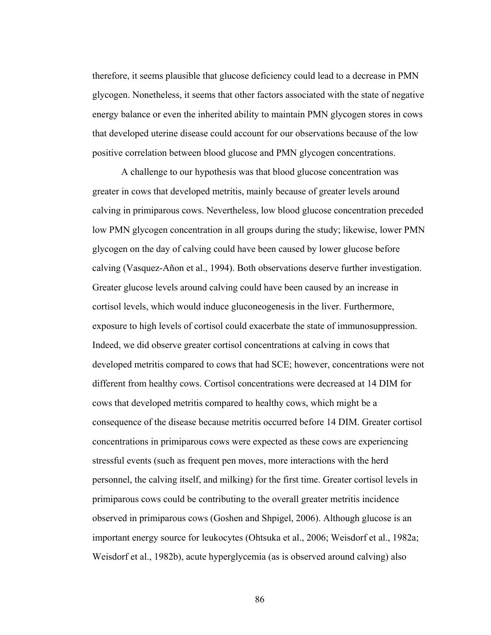therefore, it seems plausible that glucose deficiency could lead to a decrease in PMN glycogen. Nonetheless, it seems that other factors associated with the state of negative energy balance or even the inherited ability to maintain PMN glycogen stores in cows that developed uterine disease could account for our observations because of the low positive correlation between blood glucose and PMN glycogen concentrations.

A challenge to our hypothesis was that blood glucose concentration was greater in cows that developed metritis, mainly because of greater levels around calving in primiparous cows. Nevertheless, low blood glucose concentration preceded low PMN glycogen concentration in all groups during the study; likewise, lower PMN glycogen on the day of calving could have been caused by lower glucose before calving (Vasquez-Añon et al., 1994). Both observations deserve further investigation. Greater glucose levels around calving could have been caused by an increase in cortisol levels, which would induce gluconeogenesis in the liver. Furthermore, exposure to high levels of cortisol could exacerbate the state of immunosuppression. Indeed, we did observe greater cortisol concentrations at calving in cows that developed metritis compared to cows that had SCE; however, concentrations were not different from healthy cows. Cortisol concentrations were decreased at 14 DIM for cows that developed metritis compared to healthy cows, which might be a consequence of the disease because metritis occurred before 14 DIM. Greater cortisol concentrations in primiparous cows were expected as these cows are experiencing stressful events (such as frequent pen moves, more interactions with the herd personnel, the calving itself, and milking) for the first time. Greater cortisol levels in primiparous cows could be contributing to the overall greater metritis incidence observed in primiparous cows (Goshen and Shpigel, 2006). Although glucose is an important energy source for leukocytes (Ohtsuka et al., 2006; Weisdorf et al., 1982a; Weisdorf et al., 1982b), acute hyperglycemia (as is observed around calving) also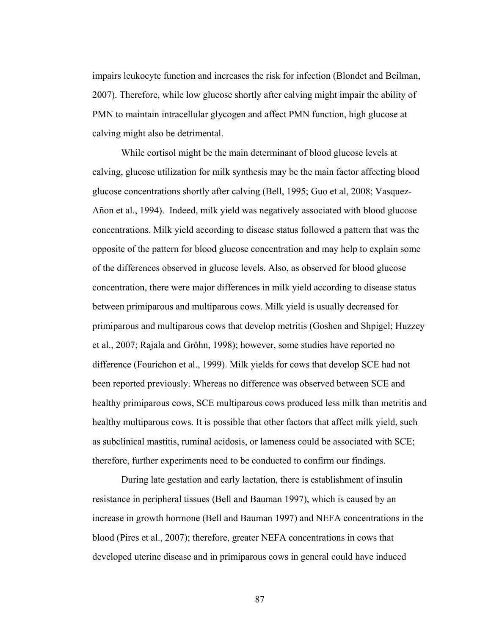impairs leukocyte function and increases the risk for infection (Blondet and Beilman, 2007). Therefore, while low glucose shortly after calving might impair the ability of PMN to maintain intracellular glycogen and affect PMN function, high glucose at calving might also be detrimental.

While cortisol might be the main determinant of blood glucose levels at calving, glucose utilization for milk synthesis may be the main factor affecting blood glucose concentrations shortly after calving (Bell, 1995; Guo et al, 2008; Vasquez-Añon et al., 1994). Indeed, milk yield was negatively associated with blood glucose concentrations. Milk yield according to disease status followed a pattern that was the opposite of the pattern for blood glucose concentration and may help to explain some of the differences observed in glucose levels. Also, as observed for blood glucose concentration, there were major differences in milk yield according to disease status between primiparous and multiparous cows. Milk yield is usually decreased for primiparous and multiparous cows that develop metritis (Goshen and Shpigel; Huzzey et al., 2007; Rajala and Gröhn, 1998); however, some studies have reported no difference (Fourichon et al., 1999). Milk yields for cows that develop SCE had not been reported previously. Whereas no difference was observed between SCE and healthy primiparous cows, SCE multiparous cows produced less milk than metritis and healthy multiparous cows. It is possible that other factors that affect milk yield, such as subclinical mastitis, ruminal acidosis, or lameness could be associated with SCE; therefore, further experiments need to be conducted to confirm our findings.

During late gestation and early lactation, there is establishment of insulin resistance in peripheral tissues (Bell and Bauman 1997), which is caused by an increase in growth hormone (Bell and Bauman 1997) and NEFA concentrations in the blood (Pires et al., 2007); therefore, greater NEFA concentrations in cows that developed uterine disease and in primiparous cows in general could have induced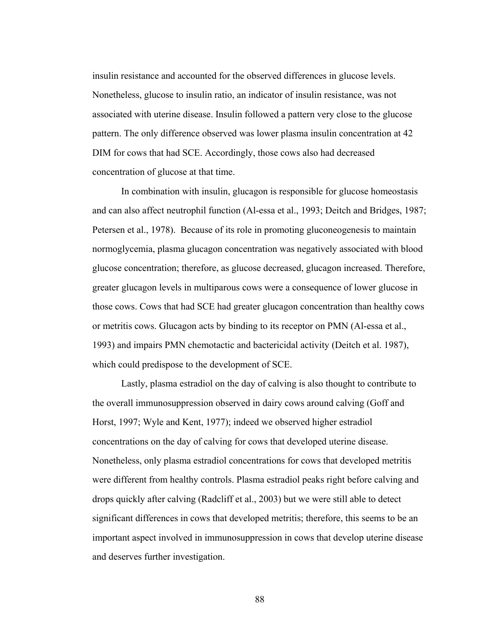insulin resistance and accounted for the observed differences in glucose levels. Nonetheless, glucose to insulin ratio, an indicator of insulin resistance, was not associated with uterine disease. Insulin followed a pattern very close to the glucose pattern. The only difference observed was lower plasma insulin concentration at 42 DIM for cows that had SCE. Accordingly, those cows also had decreased concentration of glucose at that time.

In combination with insulin, glucagon is responsible for glucose homeostasis and can also affect neutrophil function (Al-essa et al., 1993; Deitch and Bridges, 1987; Petersen et al., 1978). Because of its role in promoting gluconeogenesis to maintain normoglycemia, plasma glucagon concentration was negatively associated with blood glucose concentration; therefore, as glucose decreased, glucagon increased. Therefore, greater glucagon levels in multiparous cows were a consequence of lower glucose in those cows. Cows that had SCE had greater glucagon concentration than healthy cows or metritis cows. Glucagon acts by binding to its receptor on PMN (Al-essa et al., 1993) and impairs PMN chemotactic and bactericidal activity (Deitch et al. 1987), which could predispose to the development of SCE.

Lastly, plasma estradiol on the day of calving is also thought to contribute to the overall immunosuppression observed in dairy cows around calving (Goff and Horst, 1997; Wyle and Kent, 1977); indeed we observed higher estradiol concentrations on the day of calving for cows that developed uterine disease. Nonetheless, only plasma estradiol concentrations for cows that developed metritis were different from healthy controls. Plasma estradiol peaks right before calving and drops quickly after calving (Radcliff et al., 2003) but we were still able to detect significant differences in cows that developed metritis; therefore, this seems to be an important aspect involved in immunosuppression in cows that develop uterine disease and deserves further investigation.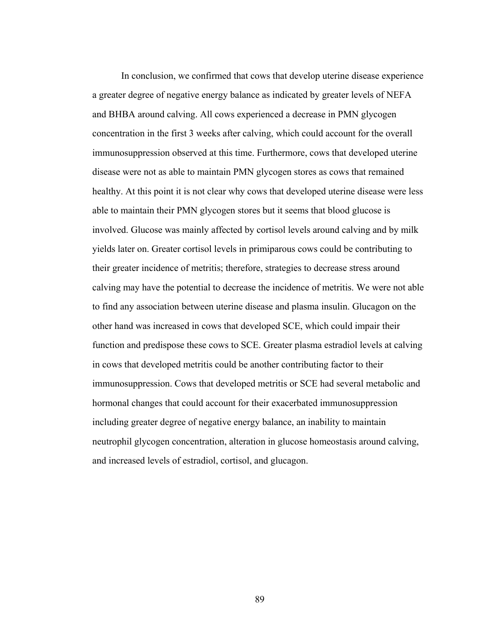In conclusion, we confirmed that cows that develop uterine disease experience a greater degree of negative energy balance as indicated by greater levels of NEFA and BHBA around calving. All cows experienced a decrease in PMN glycogen concentration in the first 3 weeks after calving, which could account for the overall immunosuppression observed at this time. Furthermore, cows that developed uterine disease were not as able to maintain PMN glycogen stores as cows that remained healthy. At this point it is not clear why cows that developed uterine disease were less able to maintain their PMN glycogen stores but it seems that blood glucose is involved. Glucose was mainly affected by cortisol levels around calving and by milk yields later on. Greater cortisol levels in primiparous cows could be contributing to their greater incidence of metritis; therefore, strategies to decrease stress around calving may have the potential to decrease the incidence of metritis. We were not able to find any association between uterine disease and plasma insulin. Glucagon on the other hand was increased in cows that developed SCE, which could impair their function and predispose these cows to SCE. Greater plasma estradiol levels at calving in cows that developed metritis could be another contributing factor to their immunosuppression. Cows that developed metritis or SCE had several metabolic and hormonal changes that could account for their exacerbated immunosuppression including greater degree of negative energy balance, an inability to maintain neutrophil glycogen concentration, alteration in glucose homeostasis around calving, and increased levels of estradiol, cortisol, and glucagon.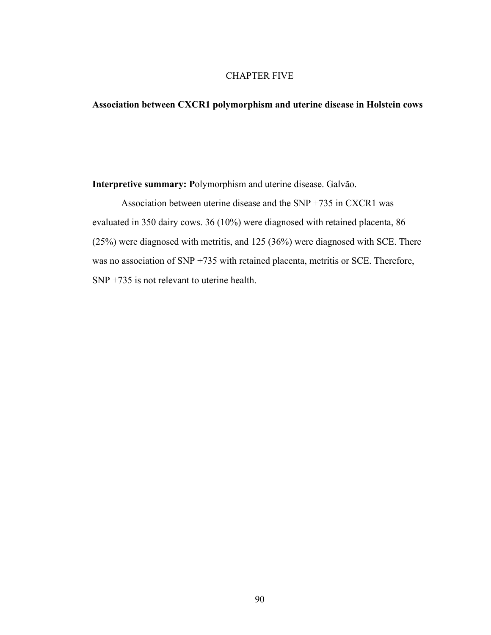# CHAPTER FIVE

# **Association between CXCR1 polymorphism and uterine disease in Holstein cows**

**Interpretive summary: P**olymorphism and uterine disease. Galvão.

Association between uterine disease and the SNP +735 in CXCR1 was evaluated in 350 dairy cows. 36 (10%) were diagnosed with retained placenta, 86 (25%) were diagnosed with metritis, and 125 (36%) were diagnosed with SCE. There was no association of SNP +735 with retained placenta, metritis or SCE. Therefore, SNP +735 is not relevant to uterine health.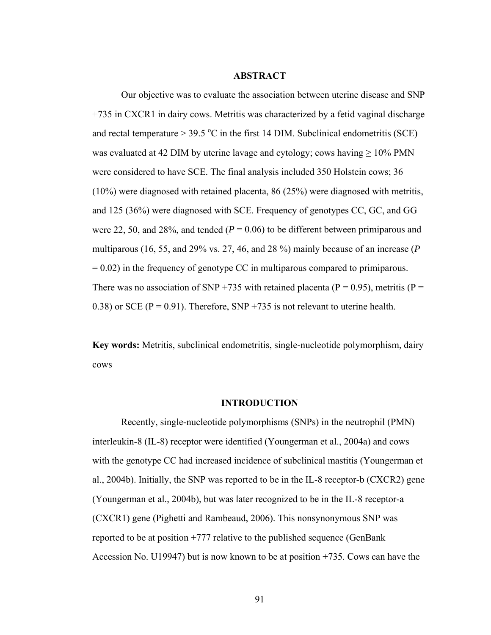## **ABSTRACT**

Our objective was to evaluate the association between uterine disease and SNP +735 in CXCR1 in dairy cows. Metritis was characterized by a fetid vaginal discharge and rectal temperature  $> 39.5 \degree C$  in the first 14 DIM. Subclinical endometritis (SCE) was evaluated at 42 DIM by uterine lavage and cytology; cows having  $\geq 10\%$  PMN were considered to have SCE. The final analysis included 350 Holstein cows; 36 (10%) were diagnosed with retained placenta, 86 (25%) were diagnosed with metritis, and 125 (36%) were diagnosed with SCE. Frequency of genotypes CC, GC, and GG were 22, 50, and 28%, and tended  $(P = 0.06)$  to be different between primiparous and multiparous (16, 55, and 29% vs. 27, 46, and 28 %) mainly because of an increase (*P*  $= 0.02$ ) in the frequency of genotype CC in multiparous compared to primiparous. There was no association of SNP +735 with retained placenta ( $P = 0.95$ ), metritis ( $P =$ 0.38) or SCE ( $P = 0.91$ ). Therefore, SNP +735 is not relevant to uterine health.

**Key words:** Metritis, subclinical endometritis, single-nucleotide polymorphism, dairy cows

#### **INTRODUCTION**

Recently, single-nucleotide polymorphisms (SNPs) in the neutrophil (PMN) interleukin-8 (IL-8) receptor were identified (Youngerman et al., 2004a) and cows with the genotype CC had increased incidence of subclinical mastitis (Youngerman et al., 2004b). Initially, the SNP was reported to be in the IL-8 receptor-b (CXCR2) gene (Youngerman et al., 2004b), but was later recognized to be in the IL-8 receptor-a (CXCR1) gene (Pighetti and Rambeaud, 2006). This nonsynonymous SNP was reported to be at position +777 relative to the published sequence (GenBank Accession No. U19947) but is now known to be at position +735. Cows can have the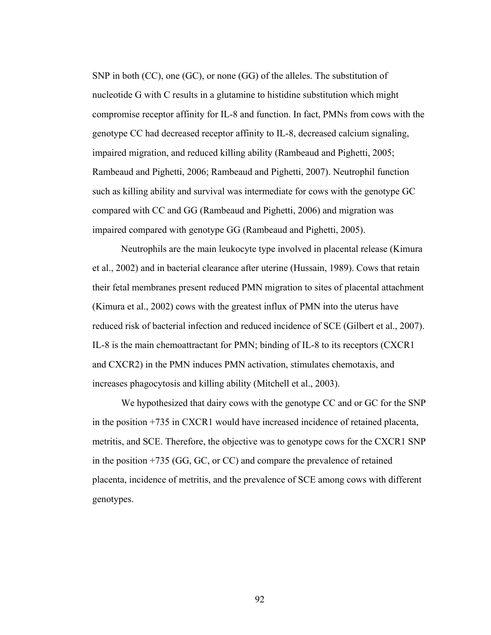SNP in both (CC), one (GC), or none (GG) of the alleles. The substitution of nucleotide G with C results in a glutamine to histidine substitution which might compromise receptor affinity for IL-8 and function. In fact, PMNs from cows with the genotype CC had decreased receptor affinity to IL-8, decreased calcium signaling, impaired migration, and reduced killing ability (Rambeaud and Pighetti, 2005; Rambeaud and Pighetti, 2006; Rambeaud and Pighetti, 2007). Neutrophil function such as killing ability and survival was intermediate for cows with the genotype GC compared with CC and GG (Rambeaud and Pighetti, 2006) and migration was impaired compared with genotype GG (Rambeaud and Pighetti, 2005).

Neutrophils are the main leukocyte type involved in placental release (Kimura et al., 2002) and in bacterial clearance after uterine (Hussain, 1989). Cows that retain their fetal membranes present reduced PMN migration to sites of placental attachment (Kimura et al., 2002) cows with the greatest influx of PMN into the uterus have reduced risk of bacterial infection and reduced incidence of SCE (Gilbert et al., 2007). IL-8 is the main chemoattractant for PMN; binding of IL-8 to its receptors (CXCR1 and CXCR2) in the PMN induces PMN activation, stimulates chemotaxis, and increases phagocytosis and killing ability (Mitchell et al., 2003).

We hypothesized that dairy cows with the genotype CC and or GC for the SNP in the position +735 in CXCR1 would have increased incidence of retained placenta, metritis, and SCE. Therefore, the objective was to genotype cows for the CXCR1 SNP in the position +735 (GG, GC, or CC) and compare the prevalence of retained placenta, incidence of metritis, and the prevalence of SCE among cows with different genotypes.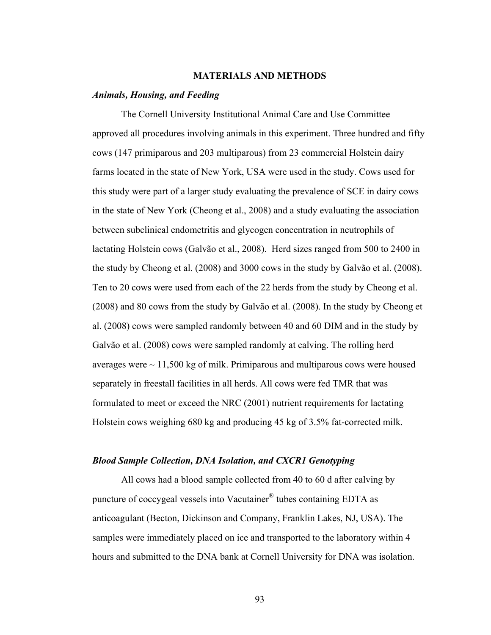# **MATERIALS AND METHODS**

#### *Animals, Housing, and Feeding*

The Cornell University Institutional Animal Care and Use Committee approved all procedures involving animals in this experiment. Three hundred and fifty cows (147 primiparous and 203 multiparous) from 23 commercial Holstein dairy farms located in the state of New York, USA were used in the study. Cows used for this study were part of a larger study evaluating the prevalence of SCE in dairy cows in the state of New York (Cheong et al., 2008) and a study evaluating the association between subclinical endometritis and glycogen concentration in neutrophils of lactating Holstein cows (Galvão et al., 2008). Herd sizes ranged from 500 to 2400 in the study by Cheong et al. (2008) and 3000 cows in the study by Galvão et al. (2008). Ten to 20 cows were used from each of the 22 herds from the study by Cheong et al. (2008) and 80 cows from the study by Galvão et al. (2008). In the study by Cheong et al. (2008) cows were sampled randomly between 40 and 60 DIM and in the study by Galvão et al. (2008) cows were sampled randomly at calving. The rolling herd averages were  $\sim$  11,500 kg of milk. Primiparous and multiparous cows were housed separately in freestall facilities in all herds. All cows were fed TMR that was formulated to meet or exceed the NRC (2001) nutrient requirements for lactating Holstein cows weighing 680 kg and producing 45 kg of 3.5% fat-corrected milk.

## *Blood Sample Collection, DNA Isolation, and CXCR1 Genotyping*

All cows had a blood sample collected from 40 to 60 d after calving by puncture of coccygeal vessels into Vacutainer® tubes containing EDTA as anticoagulant (Becton, Dickinson and Company, Franklin Lakes, NJ, USA). The samples were immediately placed on ice and transported to the laboratory within 4 hours and submitted to the DNA bank at Cornell University for DNA was isolation.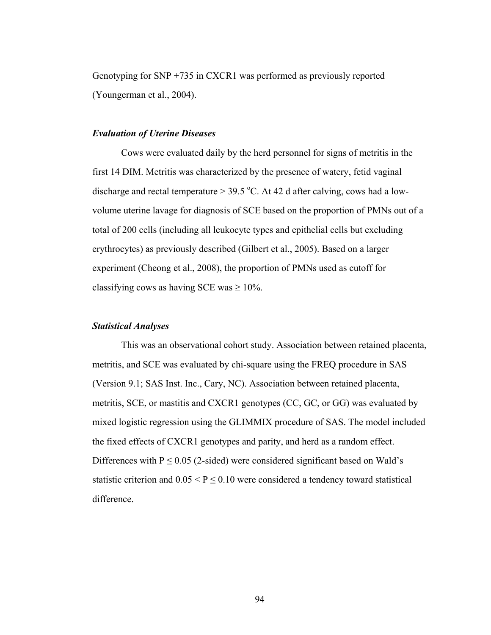Genotyping for SNP +735 in CXCR1 was performed as previously reported (Youngerman et al., 2004).

### *Evaluation of Uterine Diseases*

Cows were evaluated daily by the herd personnel for signs of metritis in the first 14 DIM. Metritis was characterized by the presence of watery, fetid vaginal discharge and rectal temperature  $> 39.5$  °C. At 42 d after calving, cows had a lowvolume uterine lavage for diagnosis of SCE based on the proportion of PMNs out of a total of 200 cells (including all leukocyte types and epithelial cells but excluding erythrocytes) as previously described (Gilbert et al., 2005). Based on a larger experiment (Cheong et al., 2008), the proportion of PMNs used as cutoff for classifying cows as having SCE was  $\geq 10\%$ .

# *Statistical Analyses*

This was an observational cohort study. Association between retained placenta, metritis, and SCE was evaluated by chi-square using the FREQ procedure in SAS (Version 9.1; SAS Inst. Inc., Cary, NC). Association between retained placenta, metritis, SCE, or mastitis and CXCR1 genotypes (CC, GC, or GG) was evaluated by mixed logistic regression using the GLIMMIX procedure of SAS. The model included the fixed effects of CXCR1 genotypes and parity, and herd as a random effect. Differences with  $P \le 0.05$  (2-sided) were considered significant based on Wald's statistic criterion and  $0.05 \le P \le 0.10$  were considered a tendency toward statistical difference.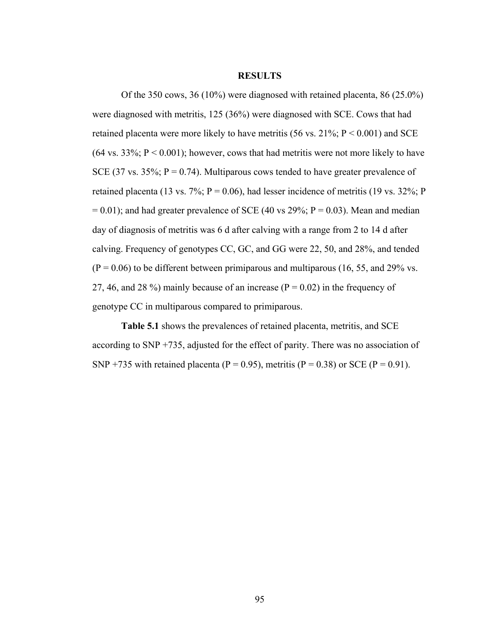#### **RESULTS**

Of the 350 cows, 36 (10%) were diagnosed with retained placenta, 86 (25.0%) were diagnosed with metritis, 125 (36%) were diagnosed with SCE. Cows that had retained placenta were more likely to have metritis (56 vs.  $21\%$ ; P < 0.001) and SCE  $(64 \text{ vs. } 33\%; P < 0.001)$ ; however, cows that had metritis were not more likely to have SCE (37 vs. 35%;  $P = 0.74$ ). Multiparous cows tended to have greater prevalence of retained placenta (13 vs. 7%;  $P = 0.06$ ), had lesser incidence of metritis (19 vs. 32%; P  $= 0.01$ ); and had greater prevalence of SCE (40 vs 29%; P = 0.03). Mean and median day of diagnosis of metritis was 6 d after calving with a range from 2 to 14 d after calving. Frequency of genotypes CC, GC, and GG were 22, 50, and 28%, and tended  $(P = 0.06)$  to be different between primiparous and multiparous (16, 55, and 29% vs. 27, 46, and 28 %) mainly because of an increase ( $P = 0.02$ ) in the frequency of genotype CC in multiparous compared to primiparous.

**Table 5.1** shows the prevalences of retained placenta, metritis, and SCE according to SNP +735, adjusted for the effect of parity. There was no association of SNP +735 with retained placenta (P = 0.95), metritis (P = 0.38) or SCE (P = 0.91).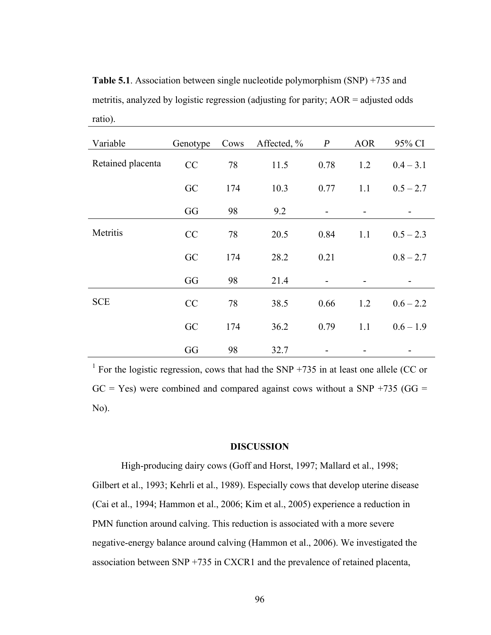**Table 5.1**. Association between single nucleotide polymorphism (SNP) +735 and metritis, analyzed by logistic regression (adjusting for parity; AOR = adjusted odds ratio).

| Variable          | Genotype | Cows | Affected, % | $\boldsymbol{P}$ | <b>AOR</b> | 95% CI      |
|-------------------|----------|------|-------------|------------------|------------|-------------|
| Retained placenta | CC       | 78   | 11.5        | 0.78             | 1.2        | $0.4 - 3.1$ |
|                   | GC       | 174  | 10.3        | 0.77             | 1.1        | $0.5 - 2.7$ |
|                   | GG       | 98   | 9.2         |                  |            |             |
| Metritis          | CC       | 78   | 20.5        | 0.84             | 1.1        | $0.5 - 2.3$ |
|                   | GC       | 174  | 28.2        | 0.21             |            | $0.8 - 2.7$ |
|                   | GG       | 98   | 21.4        |                  |            |             |
| <b>SCE</b>        | CC       | 78   | 38.5        | 0.66             | 1.2        | $0.6 - 2.2$ |
|                   | GC       | 174  | 36.2        | 0.79             | 1.1        | $0.6 - 1.9$ |
|                   | GG       | 98   | 32.7        |                  |            |             |

<sup>1</sup> For the logistic regression, cows that had the SNP +735 in at least one allele (CC or  $GC = Yes$ ) were combined and compared against cows without a SNP +735 ( $GG =$ No).

#### **DISCUSSION**

High-producing dairy cows (Goff and Horst, 1997; Mallard et al., 1998; Gilbert et al., 1993; Kehrli et al., 1989). Especially cows that develop uterine disease (Cai et al., 1994; Hammon et al., 2006; Kim et al., 2005) experience a reduction in PMN function around calving. This reduction is associated with a more severe negative-energy balance around calving (Hammon et al., 2006). We investigated the association between SNP +735 in CXCR1 and the prevalence of retained placenta,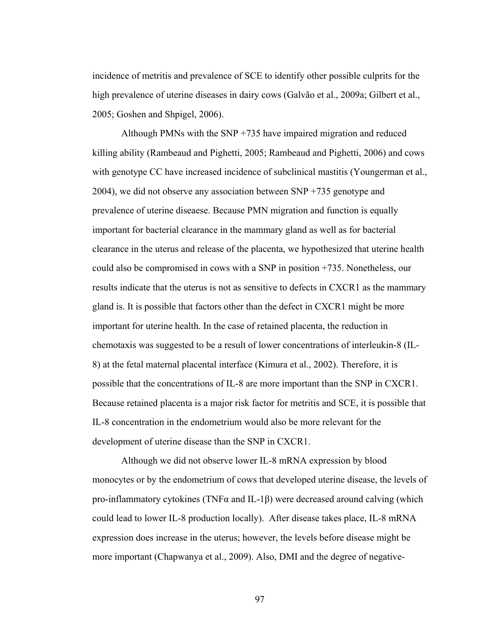incidence of metritis and prevalence of SCE to identify other possible culprits for the high prevalence of uterine diseases in dairy cows (Galvão et al., 2009a; Gilbert et al., 2005; Goshen and Shpigel, 2006).

Although PMNs with the SNP +735 have impaired migration and reduced killing ability (Rambeaud and Pighetti, 2005; Rambeaud and Pighetti, 2006) and cows with genotype CC have increased incidence of subclinical mastitis (Youngerman et al., 2004), we did not observe any association between SNP +735 genotype and prevalence of uterine diseaese. Because PMN migration and function is equally important for bacterial clearance in the mammary gland as well as for bacterial clearance in the uterus and release of the placenta, we hypothesized that uterine health could also be compromised in cows with a SNP in position +735. Nonetheless, our results indicate that the uterus is not as sensitive to defects in CXCR1 as the mammary gland is. It is possible that factors other than the defect in CXCR1 might be more important for uterine health. In the case of retained placenta, the reduction in chemotaxis was suggested to be a result of lower concentrations of interleukin-8 (IL-8) at the fetal maternal placental interface (Kimura et al., 2002). Therefore, it is possible that the concentrations of IL-8 are more important than the SNP in CXCR1. Because retained placenta is a major risk factor for metritis and SCE, it is possible that IL-8 concentration in the endometrium would also be more relevant for the development of uterine disease than the SNP in CXCR1.

Although we did not observe lower IL-8 mRNA expression by blood monocytes or by the endometrium of cows that developed uterine disease, the levels of pro-inflammatory cytokines (TNF $\alpha$  and IL-1 $\beta$ ) were decreased around calving (which could lead to lower IL-8 production locally). After disease takes place, IL-8 mRNA expression does increase in the uterus; however, the levels before disease might be more important (Chapwanya et al., 2009). Also, DMI and the degree of negative-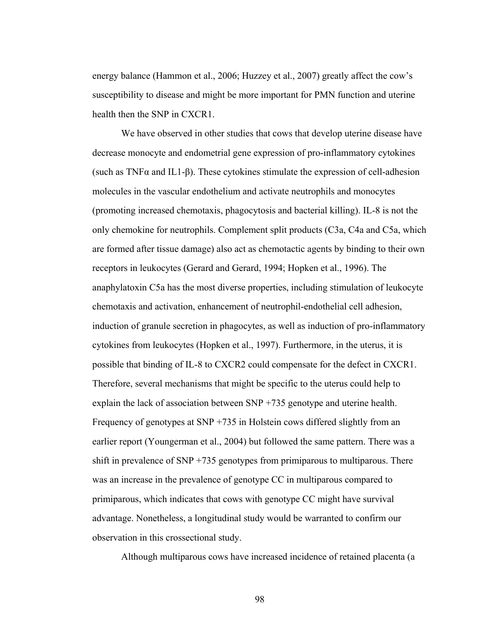energy balance (Hammon et al., 2006; Huzzey et al., 2007) greatly affect the cow's susceptibility to disease and might be more important for PMN function and uterine health then the SNP in CXCR1.

We have observed in other studies that cows that develop uterine disease have decrease monocyte and endometrial gene expression of pro-inflammatory cytokines (such as TNF $\alpha$  and IL1- $\beta$ ). These cytokines stimulate the expression of cell-adhesion molecules in the vascular endothelium and activate neutrophils and monocytes (promoting increased chemotaxis, phagocytosis and bacterial killing). IL-8 is not the only chemokine for neutrophils. Complement split products (C3a, C4a and C5a, which are formed after tissue damage) also act as chemotactic agents by binding to their own receptors in leukocytes (Gerard and Gerard, 1994; Hopken et al., 1996). The anaphylatoxin C5a has the most diverse properties, including stimulation of leukocyte chemotaxis and activation, enhancement of neutrophil-endothelial cell adhesion, induction of granule secretion in phagocytes, as well as induction of pro-inflammatory cytokines from leukocytes (Hopken et al., 1997). Furthermore, in the uterus, it is possible that binding of IL-8 to CXCR2 could compensate for the defect in CXCR1. Therefore, several mechanisms that might be specific to the uterus could help to explain the lack of association between SNP +735 genotype and uterine health. Frequency of genotypes at SNP +735 in Holstein cows differed slightly from an earlier report (Youngerman et al., 2004) but followed the same pattern. There was a shift in prevalence of SNP +735 genotypes from primiparous to multiparous. There was an increase in the prevalence of genotype CC in multiparous compared to primiparous, which indicates that cows with genotype CC might have survival advantage. Nonetheless, a longitudinal study would be warranted to confirm our observation in this crossectional study.

Although multiparous cows have increased incidence of retained placenta (a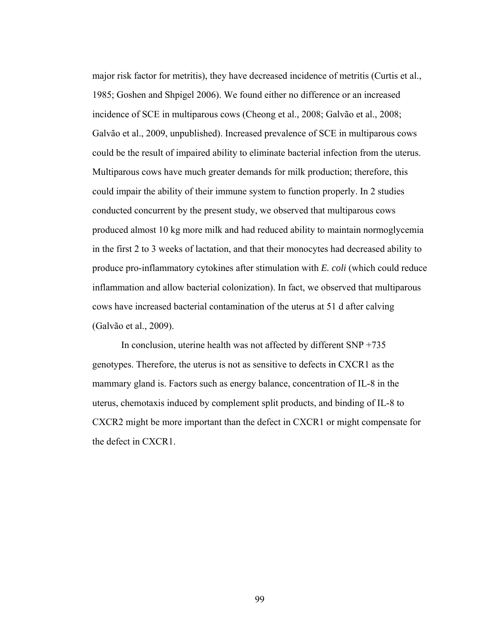major risk factor for metritis), they have decreased incidence of metritis (Curtis et al., 1985; Goshen and Shpigel 2006). We found either no difference or an increased incidence of SCE in multiparous cows (Cheong et al., 2008; Galvão et al., 2008; Galvão et al., 2009, unpublished). Increased prevalence of SCE in multiparous cows could be the result of impaired ability to eliminate bacterial infection from the uterus. Multiparous cows have much greater demands for milk production; therefore, this could impair the ability of their immune system to function properly. In 2 studies conducted concurrent by the present study, we observed that multiparous cows produced almost 10 kg more milk and had reduced ability to maintain normoglycemia in the first 2 to 3 weeks of lactation, and that their monocytes had decreased ability to produce pro-inflammatory cytokines after stimulation with *E. coli* (which could reduce inflammation and allow bacterial colonization). In fact, we observed that multiparous cows have increased bacterial contamination of the uterus at 51 d after calving (Galvão et al., 2009).

In conclusion, uterine health was not affected by different  $SNP +735$ genotypes. Therefore, the uterus is not as sensitive to defects in CXCR1 as the mammary gland is. Factors such as energy balance, concentration of IL-8 in the uterus, chemotaxis induced by complement split products, and binding of IL-8 to CXCR2 might be more important than the defect in CXCR1 or might compensate for the defect in CXCR1.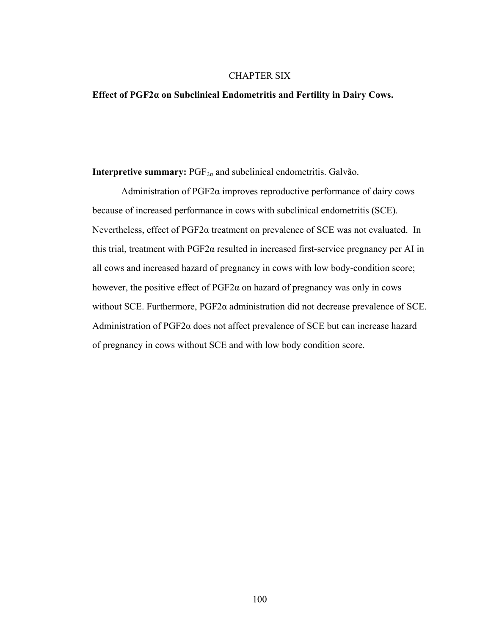# CHAPTER SIX

# **Effect of PGF2α on Subclinical Endometritis and Fertility in Dairy Cows.**

**Interpretive summary:**  $PGF_{2\alpha}$  and subclinical endometritis. Galvão.

Administration of  $PGF2\alpha$  improves reproductive performance of dairy cows because of increased performance in cows with subclinical endometritis (SCE). Nevertheless, effect of PGF2α treatment on prevalence of SCE was not evaluated. In this trial, treatment with PGF2α resulted in increased first-service pregnancy per AI in all cows and increased hazard of pregnancy in cows with low body-condition score; however, the positive effect of  $PGF2\alpha$  on hazard of pregnancy was only in cows without SCE. Furthermore, PGF2α administration did not decrease prevalence of SCE. Administration of  $PGF2\alpha$  does not affect prevalence of SCE but can increase hazard of pregnancy in cows without SCE and with low body condition score.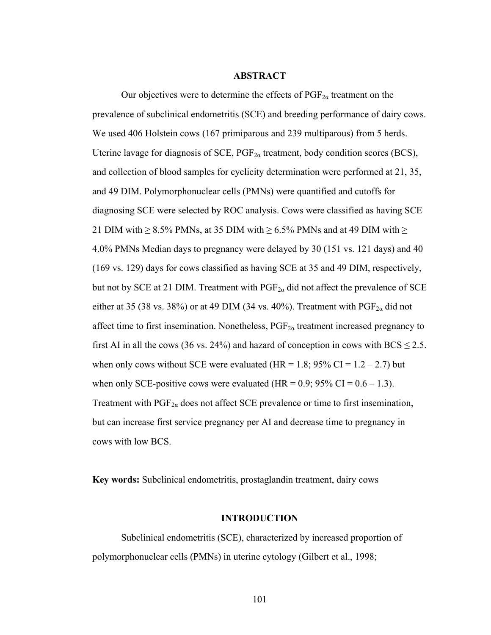## **ABSTRACT**

Our objectives were to determine the effects of  $PGF_{2\alpha}$  treatment on the prevalence of subclinical endometritis (SCE) and breeding performance of dairy cows. We used 406 Holstein cows (167 primiparous and 239 multiparous) from 5 herds. Uterine lavage for diagnosis of SCE,  $PGF_{2\alpha}$  treatment, body condition scores (BCS), and collection of blood samples for cyclicity determination were performed at 21, 35, and 49 DIM. Polymorphonuclear cells (PMNs) were quantified and cutoffs for diagnosing SCE were selected by ROC analysis. Cows were classified as having SCE 21 DIM with  $\geq$  8.5% PMNs, at 35 DIM with  $\geq$  6.5% PMNs and at 49 DIM with  $\geq$ 4.0% PMNs Median days to pregnancy were delayed by 30 (151 vs. 121 days) and 40 (169 vs. 129) days for cows classified as having SCE at 35 and 49 DIM, respectively, but not by SCE at 21 DIM. Treatment with  $PGF_{2\alpha}$  did not affect the prevalence of SCE either at 35 (38 vs. 38%) or at 49 DIM (34 vs. 40%). Treatment with  $PGF_{2\alpha}$  did not affect time to first insemination. Nonetheless,  $PGF_{2\alpha}$  treatment increased pregnancy to first AI in all the cows (36 vs. 24%) and hazard of conception in cows with BCS  $\leq$  2.5. when only cows without SCE were evaluated (HR = 1.8;  $95\%$  CI = 1.2 – 2.7) but when only SCE-positive cows were evaluated (HR =  $0.9$ ; 95% CI =  $0.6 - 1.3$ ). Treatment with  $PGF_{2\alpha}$  does not affect SCE prevalence or time to first insemination, but can increase first service pregnancy per AI and decrease time to pregnancy in cows with low BCS.

**Key words:** Subclinical endometritis, prostaglandin treatment, dairy cows

#### **INTRODUCTION**

Subclinical endometritis (SCE), characterized by increased proportion of polymorphonuclear cells (PMNs) in uterine cytology (Gilbert et al., 1998;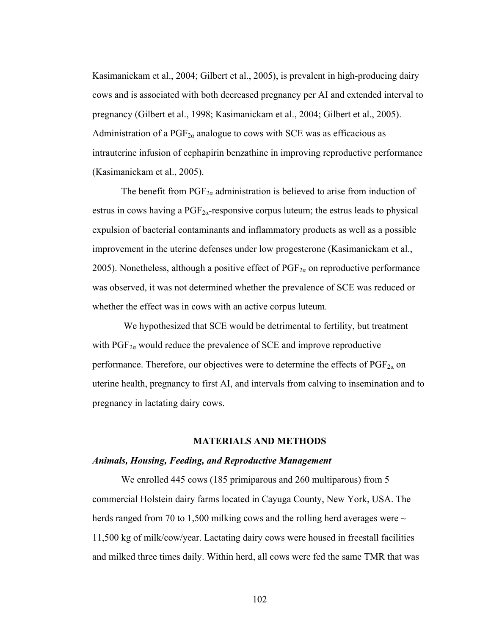Kasimanickam et al., 2004; Gilbert et al., 2005), is prevalent in high-producing dairy cows and is associated with both decreased pregnancy per AI and extended interval to pregnancy (Gilbert et al., 1998; Kasimanickam et al., 2004; Gilbert et al., 2005). Administration of a  $PGF_{2\alpha}$  analogue to cows with SCE was as efficacious as intrauterine infusion of cephapirin benzathine in improving reproductive performance (Kasimanickam et al., 2005).

The benefit from  $PGF_{2\alpha}$  administration is believed to arise from induction of estrus in cows having a  $PGF_{2\alpha}$ -responsive corpus luteum; the estrus leads to physical expulsion of bacterial contaminants and inflammatory products as well as a possible improvement in the uterine defenses under low progesterone (Kasimanickam et al., 2005). Nonetheless, although a positive effect of  $PGF_{2\alpha}$  on reproductive performance was observed, it was not determined whether the prevalence of SCE was reduced or whether the effect was in cows with an active corpus luteum.

 We hypothesized that SCE would be detrimental to fertility, but treatment with  $PGF_{2\alpha}$  would reduce the prevalence of SCE and improve reproductive performance. Therefore, our objectives were to determine the effects of  $PGF_{2\alpha}$  on uterine health, pregnancy to first AI, and intervals from calving to insemination and to pregnancy in lactating dairy cows.

# **MATERIALS AND METHODS**

#### *Animals, Housing, Feeding, and Reproductive Management*

We enrolled 445 cows (185 primiparous and 260 multiparous) from 5 commercial Holstein dairy farms located in Cayuga County, New York, USA. The herds ranged from 70 to 1,500 milking cows and the rolling herd averages were  $\sim$ 11,500 kg of milk/cow/year. Lactating dairy cows were housed in freestall facilities and milked three times daily. Within herd, all cows were fed the same TMR that was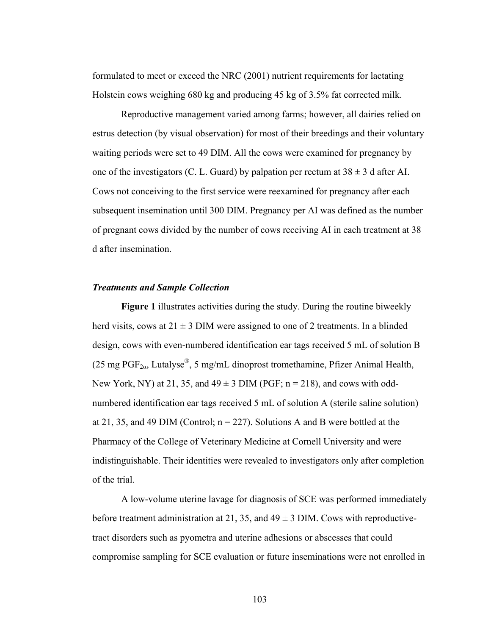formulated to meet or exceed the NRC (2001) nutrient requirements for lactating Holstein cows weighing 680 kg and producing 45 kg of 3.5% fat corrected milk.

Reproductive management varied among farms; however, all dairies relied on estrus detection (by visual observation) for most of their breedings and their voluntary waiting periods were set to 49 DIM. All the cows were examined for pregnancy by one of the investigators (C. L. Guard) by palpation per rectum at  $38 \pm 3$  d after AI. Cows not conceiving to the first service were reexamined for pregnancy after each subsequent insemination until 300 DIM. Pregnancy per AI was defined as the number of pregnant cows divided by the number of cows receiving AI in each treatment at 38 d after insemination.

### *Treatments and Sample Collection*

**Figure 1** illustrates activities during the study. During the routine biweekly herd visits, cows at  $21 \pm 3$  DIM were assigned to one of 2 treatments. In a blinded design, cows with even-numbered identification ear tags received 5 mL of solution B (25 mg PGF<sub>2a</sub>, Lutalyse<sup>®</sup>, 5 mg/mL dinoprost tromethamine, Pfizer Animal Health, New York, NY) at 21, 35, and  $49 \pm 3$  DIM (PGF; n = 218), and cows with oddnumbered identification ear tags received 5 mL of solution A (sterile saline solution) at 21, 35, and 49 DIM (Control;  $n = 227$ ). Solutions A and B were bottled at the Pharmacy of the College of Veterinary Medicine at Cornell University and were indistinguishable. Their identities were revealed to investigators only after completion of the trial.

A low-volume uterine lavage for diagnosis of SCE was performed immediately before treatment administration at 21, 35, and  $49 \pm 3$  DIM. Cows with reproductivetract disorders such as pyometra and uterine adhesions or abscesses that could compromise sampling for SCE evaluation or future inseminations were not enrolled in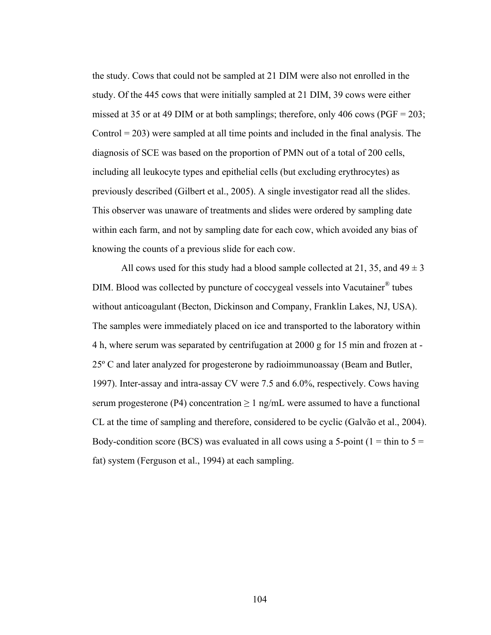the study. Cows that could not be sampled at 21 DIM were also not enrolled in the study. Of the 445 cows that were initially sampled at 21 DIM, 39 cows were either missed at 35 or at 49 DIM or at both samplings; therefore, only 406 cows ( $PGF = 203$ ; Control  $= 203$ ) were sampled at all time points and included in the final analysis. The diagnosis of SCE was based on the proportion of PMN out of a total of 200 cells, including all leukocyte types and epithelial cells (but excluding erythrocytes) as previously described (Gilbert et al., 2005). A single investigator read all the slides. This observer was unaware of treatments and slides were ordered by sampling date within each farm, and not by sampling date for each cow, which avoided any bias of knowing the counts of a previous slide for each cow.

All cows used for this study had a blood sample collected at 21, 35, and  $49 \pm 3$ DIM. Blood was collected by puncture of coccygeal vessels into Vacutainer® tubes without anticoagulant (Becton, Dickinson and Company, Franklin Lakes, NJ, USA). The samples were immediately placed on ice and transported to the laboratory within 4 h, where serum was separated by centrifugation at 2000 g for 15 min and frozen at - 25º C and later analyzed for progesterone by radioimmunoassay (Beam and Butler, 1997). Inter-assay and intra-assay CV were 7.5 and 6.0%, respectively. Cows having serum progesterone (P4) concentration  $\geq 1$  ng/mL were assumed to have a functional CL at the time of sampling and therefore, considered to be cyclic (Galvão et al., 2004). Body-condition score (BCS) was evaluated in all cows using a 5-point ( $1 = \text{thin to } 5 =$ fat) system (Ferguson et al., 1994) at each sampling.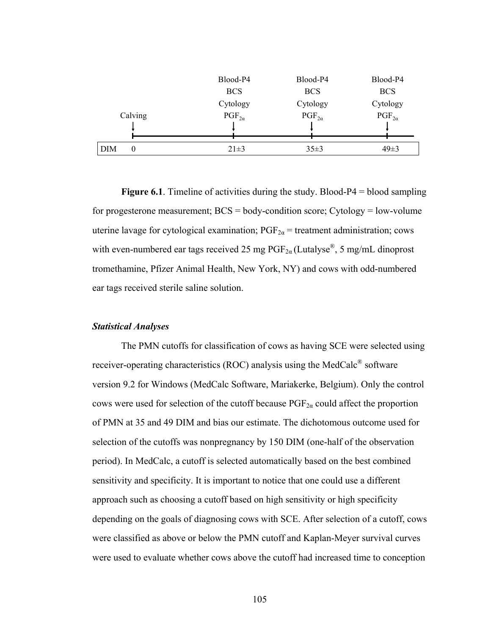|          | Blood-P4        | Blood-P4        | Blood-P4        |
|----------|-----------------|-----------------|-----------------|
|          | <b>BCS</b>      | <b>BCS</b>      | <b>BCS</b>      |
|          | Cytology        | Cytology        | Cytology        |
| Calving  | $PGF_{2\alpha}$ | $PGF_{2\alpha}$ | $PGF_{2\alpha}$ |
|          |                 |                 |                 |
|          |                 |                 |                 |
| DIM<br>0 | $21\pm3$        | $35 \pm 3$      | $49\pm3$        |

**Figure 6.1**. Timeline of activities during the study. Blood-P4 = blood sampling for progesterone measurement;  $BCS = body$ -condition score; Cytology = low-volume uterine lavage for cytological examination;  $PGF_{2\alpha}$  = treatment administration; cows with even-numbered ear tags received 25 mg  $PGF_{2\alpha}$  (Lutalyse<sup>®</sup>, 5 mg/mL dinoprost tromethamine, Pfizer Animal Health, New York, NY) and cows with odd-numbered ear tags received sterile saline solution.

### *Statistical Analyses*

The PMN cutoffs for classification of cows as having SCE were selected using receiver-operating characteristics (ROC) analysis using the MedCalc® software version 9.2 for Windows (MedCalc Software, Mariakerke, Belgium). Only the control cows were used for selection of the cutoff because  $PGF_{2\alpha}$  could affect the proportion of PMN at 35 and 49 DIM and bias our estimate. The dichotomous outcome used for selection of the cutoffs was nonpregnancy by 150 DIM (one-half of the observation period). In MedCalc, a cutoff is selected automatically based on the best combined sensitivity and specificity. It is important to notice that one could use a different approach such as choosing a cutoff based on high sensitivity or high specificity depending on the goals of diagnosing cows with SCE. After selection of a cutoff, cows were classified as above or below the PMN cutoff and Kaplan-Meyer survival curves were used to evaluate whether cows above the cutoff had increased time to conception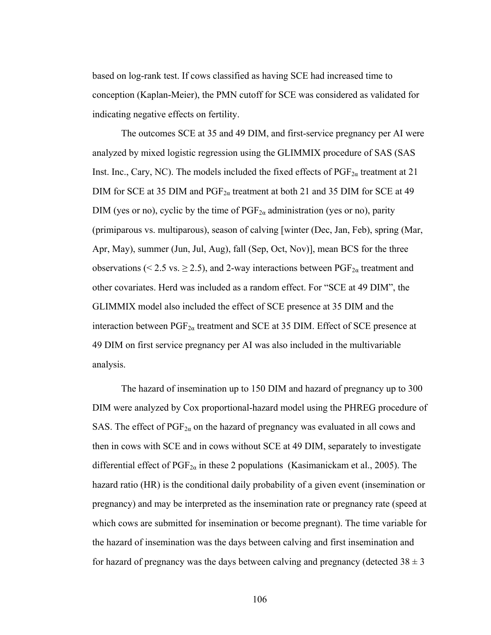based on log-rank test. If cows classified as having SCE had increased time to conception (Kaplan-Meier), the PMN cutoff for SCE was considered as validated for indicating negative effects on fertility.

The outcomes SCE at 35 and 49 DIM, and first-service pregnancy per AI were analyzed by mixed logistic regression using the GLIMMIX procedure of SAS (SAS Inst. Inc., Cary, NC). The models included the fixed effects of  $PGF_{2\alpha}$  treatment at 21 DIM for SCE at 35 DIM and  $PGF_{2\alpha}$  treatment at both 21 and 35 DIM for SCE at 49 DIM (yes or no), cyclic by the time of  $PGF_{2\alpha}$  administration (yes or no), parity (primiparous vs. multiparous), season of calving [winter (Dec, Jan, Feb), spring (Mar, Apr, May), summer (Jun, Jul, Aug), fall (Sep, Oct, Nov)], mean BCS for the three observations (< 2.5 vs.  $\geq$  2.5), and 2-way interactions between PGF<sub>2*a*</sub> treatment and other covariates. Herd was included as a random effect. For "SCE at 49 DIM", the GLIMMIX model also included the effect of SCE presence at 35 DIM and the interaction between  $PGF_{2\alpha}$  treatment and SCE at 35 DIM. Effect of SCE presence at 49 DIM on first service pregnancy per AI was also included in the multivariable analysis.

The hazard of insemination up to 150 DIM and hazard of pregnancy up to 300 DIM were analyzed by Cox proportional-hazard model using the PHREG procedure of SAS. The effect of  $PGF_{2\alpha}$  on the hazard of pregnancy was evaluated in all cows and then in cows with SCE and in cows without SCE at 49 DIM, separately to investigate differential effect of  $PGF_{2\alpha}$  in these 2 populations (Kasimanickam et al., 2005). The hazard ratio (HR) is the conditional daily probability of a given event (insemination or pregnancy) and may be interpreted as the insemination rate or pregnancy rate (speed at which cows are submitted for insemination or become pregnant). The time variable for the hazard of insemination was the days between calving and first insemination and for hazard of pregnancy was the days between calving and pregnancy (detected  $38 \pm 3$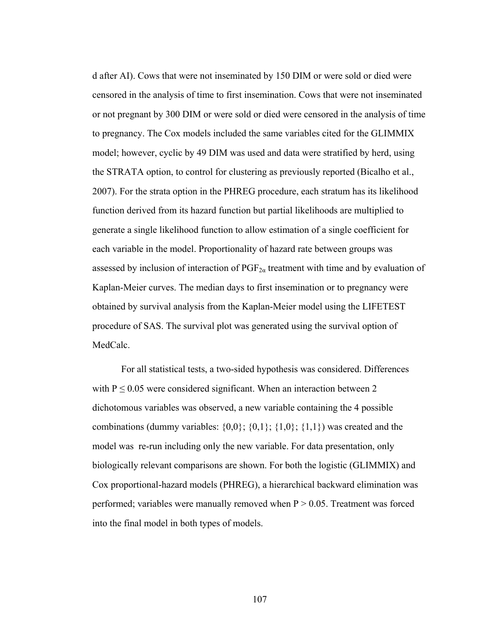d after AI). Cows that were not inseminated by 150 DIM or were sold or died were censored in the analysis of time to first insemination. Cows that were not inseminated or not pregnant by 300 DIM or were sold or died were censored in the analysis of time to pregnancy. The Cox models included the same variables cited for the GLIMMIX model; however, cyclic by 49 DIM was used and data were stratified by herd, using the STRATA option, to control for clustering as previously reported (Bicalho et al., 2007). For the strata option in the PHREG procedure, each stratum has its likelihood function derived from its hazard function but partial likelihoods are multiplied to generate a single likelihood function to allow estimation of a single coefficient for each variable in the model. Proportionality of hazard rate between groups was assessed by inclusion of interaction of  $PGF_{2\alpha}$  treatment with time and by evaluation of Kaplan-Meier curves. The median days to first insemination or to pregnancy were obtained by survival analysis from the Kaplan-Meier model using the LIFETEST procedure of SAS. The survival plot was generated using the survival option of MedCalc.

For all statistical tests, a two-sided hypothesis was considered. Differences with  $P \le 0.05$  were considered significant. When an interaction between 2 dichotomous variables was observed, a new variable containing the 4 possible combinations (dummy variables:  $\{0,0\}$ ;  $\{0,1\}$ ;  $\{1,0\}$ ;  $\{1,1\}$ ) was created and the model was re-run including only the new variable. For data presentation, only biologically relevant comparisons are shown. For both the logistic (GLIMMIX) and Cox proportional-hazard models (PHREG), a hierarchical backward elimination was performed; variables were manually removed when  $P > 0.05$ . Treatment was forced into the final model in both types of models.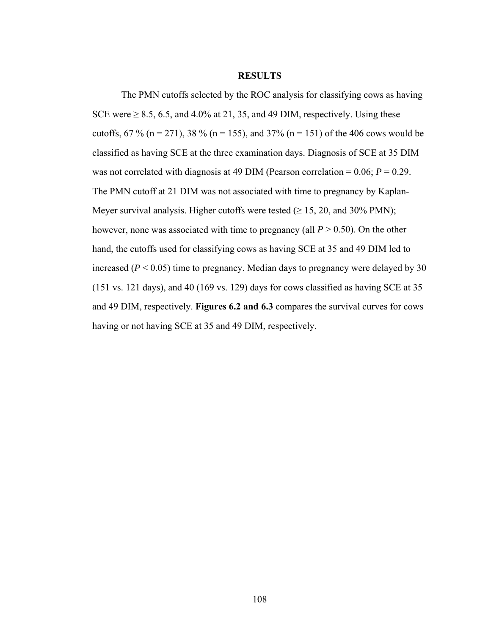### **RESULTS**

The PMN cutoffs selected by the ROC analysis for classifying cows as having SCE were  $\geq 8.5$ , 6.5, and 4.0% at 21, 35, and 49 DIM, respectively. Using these cutoffs, 67 % (n = 271), 38 % (n = 155), and 37% (n = 151) of the 406 cows would be classified as having SCE at the three examination days. Diagnosis of SCE at 35 DIM was not correlated with diagnosis at 49 DIM (Pearson correlation = 0.06; *P* = 0.29. The PMN cutoff at 21 DIM was not associated with time to pregnancy by Kaplan-Meyer survival analysis. Higher cutoffs were tested  $(\geq 15, 20, \text{ and } 30\% \text{ PMN})$ ; however, none was associated with time to pregnancy (all  $P > 0.50$ ). On the other hand, the cutoffs used for classifying cows as having SCE at 35 and 49 DIM led to increased  $(P < 0.05)$  time to pregnancy. Median days to pregnancy were delayed by 30 (151 vs. 121 days), and 40 (169 vs. 129) days for cows classified as having SCE at 35 and 49 DIM, respectively. **Figures 6.2 and 6.3** compares the survival curves for cows having or not having SCE at 35 and 49 DIM, respectively.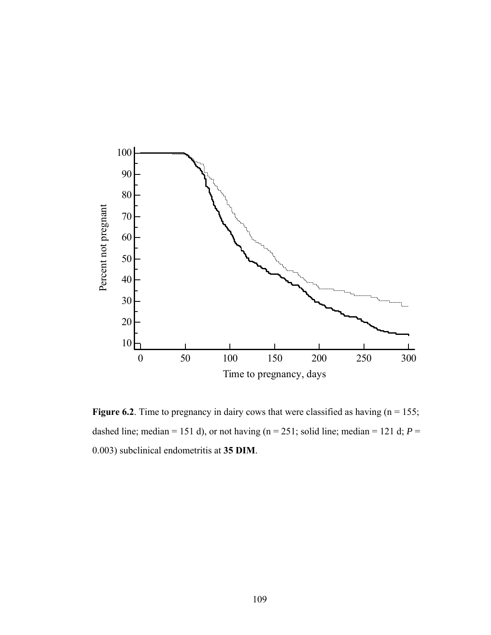

**Figure 6.2**. Time to pregnancy in dairy cows that were classified as having  $(n = 155)$ ; dashed line; median = 151 d), or not having ( $n = 251$ ; solid line; median = 121 d;  $P =$ 0.003) subclinical endometritis at **35 DIM**.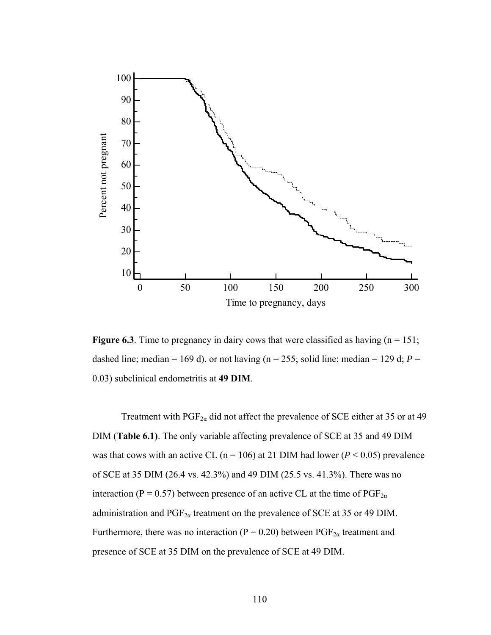

**Figure 6.3**. Time to pregnancy in dairy cows that were classified as having  $(n = 151)$ ; dashed line; median = 169 d), or not having ( $n = 255$ ; solid line; median = 129 d;  $P =$ 0.03) subclinical endometritis at **49 DIM**.

Treatment with  $PGF_{2\alpha}$  did not affect the prevalence of SCE either at 35 or at 49 DIM (**Table 6.1)**. The only variable affecting prevalence of SCE at 35 and 49 DIM was that cows with an active CL ( $n = 106$ ) at 21 DIM had lower ( $P < 0.05$ ) prevalence of SCE at 35 DIM (26.4 vs. 42.3%) and 49 DIM (25.5 vs. 41.3%). There was no interaction (P = 0.57) between presence of an active CL at the time of  $PGF_{2\alpha}$ administration and  $PGF_{2\alpha}$  treatment on the prevalence of SCE at 35 or 49 DIM. Furthermore, there was no interaction ( $P = 0.20$ ) between PGF<sub>2*a*</sub> treatment and presence of SCE at 35 DIM on the prevalence of SCE at 49 DIM.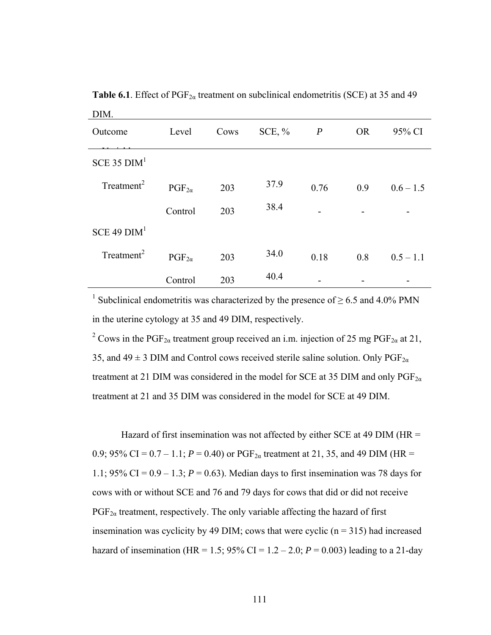| LAITI.                 |                 |      |          |                          |           |             |
|------------------------|-----------------|------|----------|--------------------------|-----------|-------------|
| Outcome                | Level           | Cows | SCE, $%$ | $\boldsymbol{P}$         | <b>OR</b> | 95% CI      |
| $SCE$ 35 $DIM1$        |                 |      |          |                          |           |             |
| Treatment <sup>2</sup> | $PGF_{2\alpha}$ | 203  | 37.9     | 0.76                     | 0.9       | $0.6 - 1.5$ |
|                        | Control         | 203  | 38.4     | $\overline{\phantom{0}}$ |           |             |
| $SCE$ 49 $DIM1$        |                 |      |          |                          |           |             |
| Treatment <sup>2</sup> | $PGF_{2\alpha}$ | 203  | 34.0     | 0.18                     | 0.8       | $0.5 - 1.1$ |
|                        | Control         | 203  | 40.4     |                          |           |             |

**Table 6.1**. Effect of  $PGF_{2\alpha}$  treatment on subclinical endometritis (SCE) at 35 and 49 DIM.

<sup>1</sup> Subclinical endometritis was characterized by the presence of  $\geq$  6.5 and 4.0% PMN in the uterine cytology at 35 and 49 DIM, respectively.

<sup>2</sup> Cows in the PGF<sub>2 $\alpha$ </sub> treatment group received an i.m. injection of 25 mg PGF<sub>2 $\alpha$ </sub> at 21, 35, and  $49 \pm 3$  DIM and Control cows received sterile saline solution. Only PGF<sub>2a</sub> treatment at 21 DIM was considered in the model for SCE at 35 DIM and only  $PGF_{2\alpha}$ treatment at 21 and 35 DIM was considered in the model for SCE at 49 DIM.

Hazard of first insemination was not affected by either SCE at 49 DIM ( $HR =$ 0.9; 95% CI =  $0.7 - 1.1$ ;  $P = 0.40$ ) or PGF<sub>2a</sub> treatment at 21, 35, and 49 DIM (HR = 1.1; 95% CI =  $0.9 - 1.3$ ;  $P = 0.63$ ). Median days to first insemination was 78 days for cows with or without SCE and 76 and 79 days for cows that did or did not receive  $PGF_{2a}$  treatment, respectively. The only variable affecting the hazard of first insemination was cyclicity by 49 DIM; cows that were cyclic  $(n = 315)$  had increased hazard of insemination (HR = 1.5; 95% CI = 1.2 – 2.0;  $P = 0.003$ ) leading to a 21-day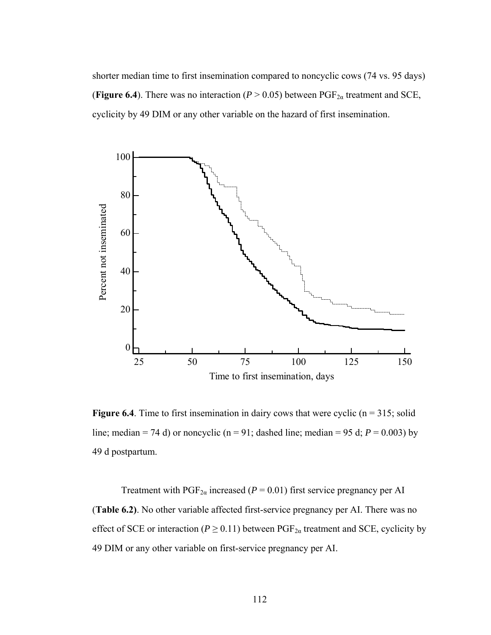shorter median time to first insemination compared to noncyclic cows (74 vs. 95 days) (**Figure 6.4**). There was no interaction ( $P > 0.05$ ) between PGF<sub>2 $\alpha$ </sub> treatment and SCE, cyclicity by 49 DIM or any other variable on the hazard of first insemination.



**Figure 6.4**. Time to first insemination in dairy cows that were cyclic  $(n = 315;$  solid line; median = 74 d) or noncyclic ( $n = 91$ ; dashed line; median = 95 d;  $P = 0.003$ ) by 49 d postpartum.

Treatment with  $PGF_{2\alpha}$  increased ( $P = 0.01$ ) first service pregnancy per AI (**Table 6.2)**. No other variable affected first-service pregnancy per AI. There was no effect of SCE or interaction ( $P \ge 0.11$ ) between PGF<sub>2a</sub> treatment and SCE, cyclicity by 49 DIM or any other variable on first-service pregnancy per AI.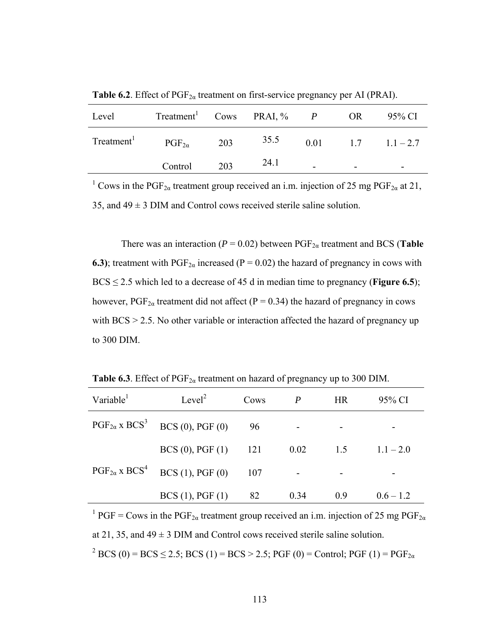| Level                  | Treatment <sup>1</sup> Cows PRAI, $\%$ <i>P</i> OR |     |      |                          | 95% CI                     |
|------------------------|----------------------------------------------------|-----|------|--------------------------|----------------------------|
| Treatment <sup>1</sup> | $\mathrm{PGF}_{2\alpha}$                           | 203 | 35.5 |                          | $0.01 \t 1.7 \t 1.1 - 2.7$ |
|                        | Control                                            | 203 | 24.1 | $\overline{\phantom{0}}$ |                            |

**Table 6.2**. Effect of  $PGF_{2\alpha}$  treatment on first-service pregnancy per AI (PRAI).

<sup>1</sup> Cows in the PGF<sub>2 $\alpha$ </sub> treatment group received an i.m. injection of 25 mg PGF<sub>2 $\alpha$ </sub> at 21, 35, and  $49 \pm 3$  DIM and Control cows received sterile saline solution.

There was an interaction ( $P = 0.02$ ) between PGF<sub>2a</sub> treatment and BCS (**Table 6.3**); treatment with  $PGF_{2\alpha}$  increased (P = 0.02) the hazard of pregnancy in cows with  $BCS \le 2.5$  which led to a decrease of 45 d in median time to pregnancy (**Figure 6.5**); however,  $PGF_{2a}$  treatment did not affect (P = 0.34) the hazard of pregnancy in cows with BCS  $> 2.5$ . No other variable or interaction affected the hazard of pregnancy up to 300 DIM.

**Table 6.3**. Effect of  $PGF_{2\alpha}$  treatment on hazard of pregnancy up to 300 DIM.

| Variable                  | Level <sup>2</sup>                            | Cows | P    | <b>HR</b> | 95% CI      |
|---------------------------|-----------------------------------------------|------|------|-----------|-------------|
|                           | $PGF_{2\alpha} \times BCS^3$ BCS (0), PGF (0) | 96   |      |           |             |
|                           | $BCS(0)$ , $PGF(1)$                           | 121  | 0.02 | 1.5       | $1.1 - 2.0$ |
| $PGF_{2\alpha}$ x $BCS^4$ | BCS(1), PGF(0)                                | 107  |      |           |             |
|                           | BCS(1), PGF(1)                                | 82   | 0.34 | 0.9       | $0.6 - 1.2$ |

<sup>1</sup> PGF = Cows in the PGF<sub>2 $\alpha$ </sub> treatment group received an i.m. injection of 25 mg PGF<sub>2 $\alpha$ </sub> at 21, 35, and  $49 \pm 3$  DIM and Control cows received sterile saline solution.  $2^2$  BCS (0) = BCS  $\leq$  2.5; BCS (1) = BCS > 2.5; PGF (0) = Control; PGF (1) = PGF<sub>2 $\alpha$ </sub>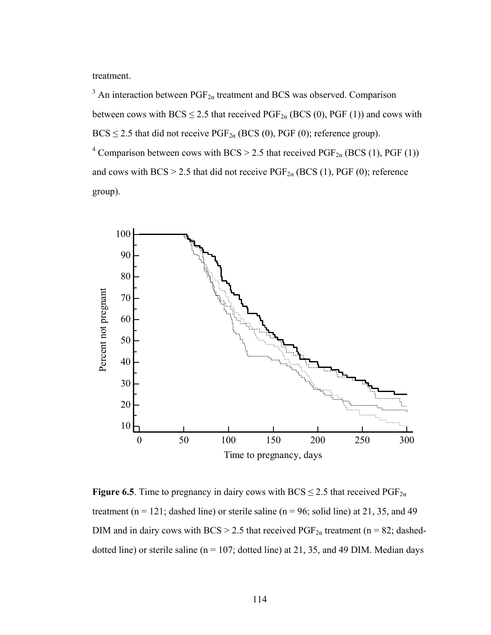treatment.

<sup>3</sup> An interaction between  $PGF_{2\alpha}$  treatment and BCS was observed. Comparison between cows with BCS  $\leq$  2.5 that received PGF<sub>2a</sub> (BCS (0), PGF (1)) and cows with  $BCS \le 2.5$  that did not receive  $PGF_{2\alpha}$  (BCS (0), PGF (0); reference group). <sup>4</sup> Comparison between cows with BCS > 2.5 that received PGF<sub>2 $\alpha$ </sub> (BCS (1), PGF (1)) and cows with BCS > 2.5 that did not receive  $PGF_{2\alpha}$  (BCS (1), PGF (0); reference group).



**Figure 6.5**. Time to pregnancy in dairy cows with BCS  $\leq$  2.5 that received PGF<sub>2 $\alpha$ </sub> treatment ( $n = 121$ ; dashed line) or sterile saline ( $n = 96$ ; solid line) at 21, 35, and 49 DIM and in dairy cows with BCS > 2.5 that received  $PGF_{2\alpha}$  treatment (n = 82; dasheddotted line) or sterile saline ( $n = 107$ ; dotted line) at 21, 35, and 49 DIM. Median days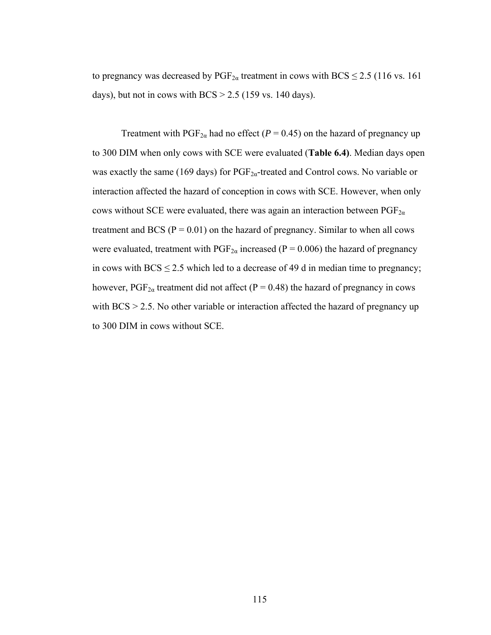to pregnancy was decreased by  $PGF_{2\alpha}$  treatment in cows with BCS  $\leq$  2.5 (116 vs. 161) days), but not in cows with  $BCS > 2.5$  (159 vs. 140 days).

Treatment with  $PGF_{2\alpha}$  had no effect ( $P = 0.45$ ) on the hazard of pregnancy up to 300 DIM when only cows with SCE were evaluated (**Table 6.4)**. Median days open was exactly the same (169 days) for  $PGF_{2a}$ -treated and Control cows. No variable or interaction affected the hazard of conception in cows with SCE. However, when only cows without SCE were evaluated, there was again an interaction between  $PGF_{2\alpha}$ treatment and BCS ( $P = 0.01$ ) on the hazard of pregnancy. Similar to when all cows were evaluated, treatment with  $PGF_{2\alpha}$  increased (P = 0.006) the hazard of pregnancy in cows with  $BCS \le 2.5$  which led to a decrease of 49 d in median time to pregnancy; however,  $PGF_{2\alpha}$  treatment did not affect (P = 0.48) the hazard of pregnancy in cows with BCS  $> 2.5$ . No other variable or interaction affected the hazard of pregnancy up to 300 DIM in cows without SCE.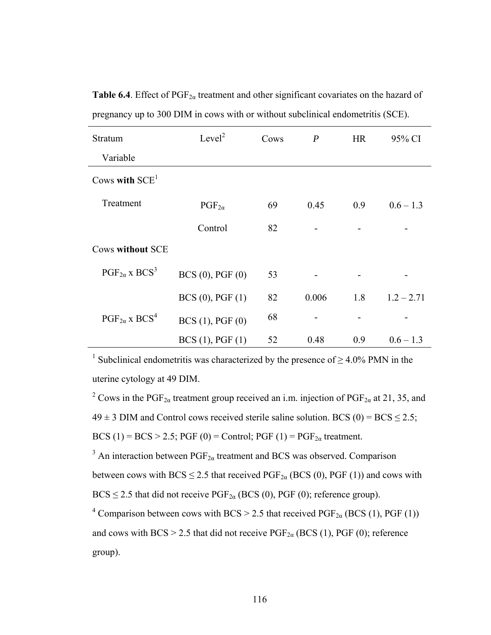| Stratum                            | Level <sup>2</sup>  | Cows | $\boldsymbol{P}$ | <b>HR</b> | 95% CI       |
|------------------------------------|---------------------|------|------------------|-----------|--------------|
| Variable                           |                     |      |                  |           |              |
| Cows with $SCE1$                   |                     |      |                  |           |              |
| Treatment                          | $PGF_{2\alpha}$     | 69   | 0.45             | 0.9       | $0.6 - 1.3$  |
|                                    | Control             | 82   |                  |           |              |
| <b>Cows without SCE</b>            |                     |      |                  |           |              |
| $PGF_{2\alpha}$ x BCS <sup>3</sup> | $BCS(0)$ , $PGF(0)$ | 53   |                  |           |              |
|                                    | BCS(0), PGF(1)      | 82   | 0.006            | 1.8       | $1.2 - 2.71$ |
| $PGF_{2\alpha}$ x BCS <sup>4</sup> | BCS(1), PGF(0)      | 68   |                  |           |              |
|                                    | BCS(1), PGF(1)      | 52   | 0.48             | 0.9       | $0.6 - 1.3$  |

**Table 6.4**. Effect of  $PGF_{2\alpha}$  treatment and other significant covariates on the hazard of pregnancy up to 300 DIM in cows with or without subclinical endometritis (SCE).

<sup>1</sup> Subclinical endometritis was characterized by the presence of  $\geq$  4.0% PMN in the uterine cytology at 49 DIM.

<sup>2</sup> Cows in the PGF<sub>2 $\alpha$ </sub> treatment group received an i.m. injection of PGF<sub>2 $\alpha$ </sub> at 21, 35, and  $49 \pm 3$  DIM and Control cows received sterile saline solution. BCS (0) = BCS  $\leq 2.5$ ; BCS (1) = BCS > 2.5; PGF (0) = Control; PGF (1) =  $PGF_{2\alpha}$  treatment.

<sup>3</sup> An interaction between  $PGF_{2\alpha}$  treatment and BCS was observed. Comparison between cows with BCS  $\leq$  2.5 that received PGF<sub>2 $\alpha$ </sub> (BCS (0), PGF (1)) and cows with  $BCS \le 2.5$  that did not receive  $PGF_{2\alpha}$  (BCS (0), PGF (0); reference group).

<sup>4</sup> Comparison between cows with BCS > 2.5 that received PGF<sub>2 $\alpha$ </sub> (BCS (1), PGF (1)) and cows with BCS > 2.5 that did not receive  $PGF_{2\alpha}$  (BCS (1), PGF (0); reference group).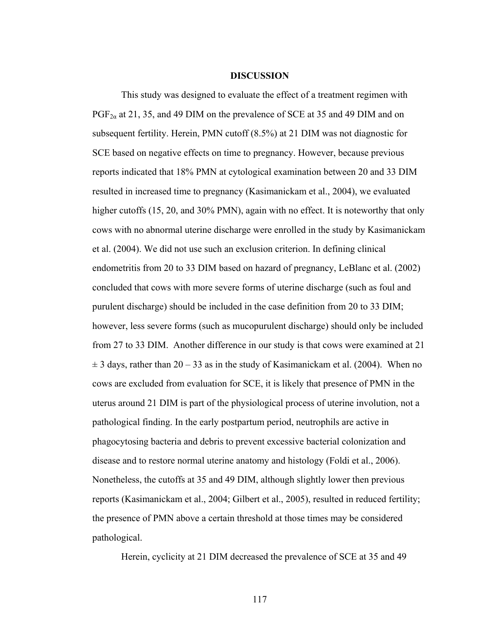#### **DISCUSSION**

This study was designed to evaluate the effect of a treatment regimen with  $PGF_{2\alpha}$  at 21, 35, and 49 DIM on the prevalence of SCE at 35 and 49 DIM and on subsequent fertility. Herein, PMN cutoff (8.5%) at 21 DIM was not diagnostic for SCE based on negative effects on time to pregnancy. However, because previous reports indicated that 18% PMN at cytological examination between 20 and 33 DIM resulted in increased time to pregnancy (Kasimanickam et al., 2004), we evaluated higher cutoffs (15, 20, and 30% PMN), again with no effect. It is noteworthy that only cows with no abnormal uterine discharge were enrolled in the study by Kasimanickam et al. (2004). We did not use such an exclusion criterion. In defining clinical endometritis from 20 to 33 DIM based on hazard of pregnancy, LeBlanc et al. (2002) concluded that cows with more severe forms of uterine discharge (such as foul and purulent discharge) should be included in the case definition from 20 to 33 DIM; however, less severe forms (such as mucopurulent discharge) should only be included from 27 to 33 DIM. Another difference in our study is that cows were examined at 21  $\pm$  3 days, rather than 20 – 33 as in the study of Kasimanickam et al. (2004). When no cows are excluded from evaluation for SCE, it is likely that presence of PMN in the uterus around 21 DIM is part of the physiological process of uterine involution, not a pathological finding. In the early postpartum period, neutrophils are active in phagocytosing bacteria and debris to prevent excessive bacterial colonization and disease and to restore normal uterine anatomy and histology (Foldi et al., 2006). Nonetheless, the cutoffs at 35 and 49 DIM, although slightly lower then previous reports (Kasimanickam et al., 2004; Gilbert et al., 2005), resulted in reduced fertility; the presence of PMN above a certain threshold at those times may be considered pathological.

Herein, cyclicity at 21 DIM decreased the prevalence of SCE at 35 and 49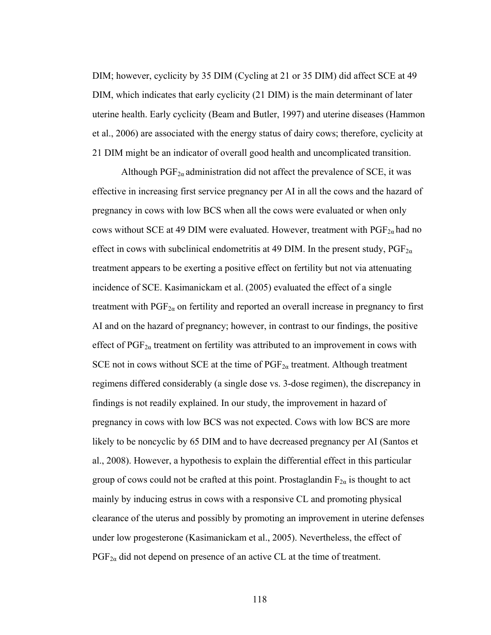DIM; however, cyclicity by 35 DIM (Cycling at 21 or 35 DIM) did affect SCE at 49 DIM, which indicates that early cyclicity (21 DIM) is the main determinant of later uterine health. Early cyclicity (Beam and Butler, 1997) and uterine diseases (Hammon et al., 2006) are associated with the energy status of dairy cows; therefore, cyclicity at 21 DIM might be an indicator of overall good health and uncomplicated transition.

Although  $PGF_{2\alpha}$  administration did not affect the prevalence of SCE, it was effective in increasing first service pregnancy per AI in all the cows and the hazard of pregnancy in cows with low BCS when all the cows were evaluated or when only cows without SCE at 49 DIM were evaluated. However, treatment with  $PGF_{2\alpha}$  had no effect in cows with subclinical endometritis at 49 DIM. In the present study,  $PGF_{2\alpha}$ treatment appears to be exerting a positive effect on fertility but not via attenuating incidence of SCE. Kasimanickam et al. (2005) evaluated the effect of a single treatment with  $PGF_{2\alpha}$  on fertility and reported an overall increase in pregnancy to first AI and on the hazard of pregnancy; however, in contrast to our findings, the positive effect of  $PGF_{2\alpha}$  treatment on fertility was attributed to an improvement in cows with SCE not in cows without SCE at the time of  $PGF_{2\alpha}$  treatment. Although treatment regimens differed considerably (a single dose vs. 3-dose regimen), the discrepancy in findings is not readily explained. In our study, the improvement in hazard of pregnancy in cows with low BCS was not expected. Cows with low BCS are more likely to be noncyclic by 65 DIM and to have decreased pregnancy per AI (Santos et al., 2008). However, a hypothesis to explain the differential effect in this particular group of cows could not be crafted at this point. Prostaglandin  $F_{2\alpha}$  is thought to act mainly by inducing estrus in cows with a responsive CL and promoting physical clearance of the uterus and possibly by promoting an improvement in uterine defenses under low progesterone (Kasimanickam et al., 2005). Nevertheless, the effect of  $PGF_{2\alpha}$  did not depend on presence of an active CL at the time of treatment.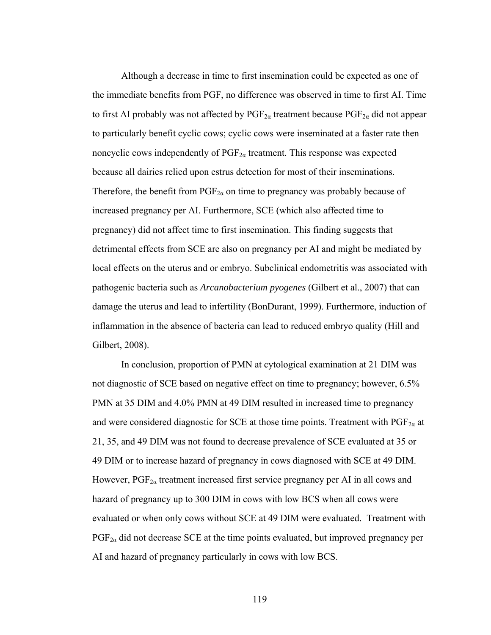Although a decrease in time to first insemination could be expected as one of the immediate benefits from PGF, no difference was observed in time to first AI. Time to first AI probably was not affected by  $PGF_{2\alpha}$  treatment because  $PGF_{2\alpha}$  did not appear to particularly benefit cyclic cows; cyclic cows were inseminated at a faster rate then noncyclic cows independently of  $PGF_{2\alpha}$  treatment. This response was expected because all dairies relied upon estrus detection for most of their inseminations. Therefore, the benefit from  $PGF_{2\alpha}$  on time to pregnancy was probably because of increased pregnancy per AI. Furthermore, SCE (which also affected time to pregnancy) did not affect time to first insemination. This finding suggests that detrimental effects from SCE are also on pregnancy per AI and might be mediated by local effects on the uterus and or embryo. Subclinical endometritis was associated with pathogenic bacteria such as *Arcanobacterium pyogenes* (Gilbert et al., 2007) that can damage the uterus and lead to infertility (BonDurant, 1999). Furthermore, induction of inflammation in the absence of bacteria can lead to reduced embryo quality (Hill and Gilbert, 2008).

In conclusion, proportion of PMN at cytological examination at 21 DIM was not diagnostic of SCE based on negative effect on time to pregnancy; however, 6.5% PMN at 35 DIM and 4.0% PMN at 49 DIM resulted in increased time to pregnancy and were considered diagnostic for SCE at those time points. Treatment with  $PGF_{2\alpha}$  at 21, 35, and 49 DIM was not found to decrease prevalence of SCE evaluated at 35 or 49 DIM or to increase hazard of pregnancy in cows diagnosed with SCE at 49 DIM. However,  $PGF_{2\alpha}$  treatment increased first service pregnancy per AI in all cows and hazard of pregnancy up to 300 DIM in cows with low BCS when all cows were evaluated or when only cows without SCE at 49 DIM were evaluated. Treatment with  $PGF_{2\alpha}$  did not decrease SCE at the time points evaluated, but improved pregnancy per AI and hazard of pregnancy particularly in cows with low BCS.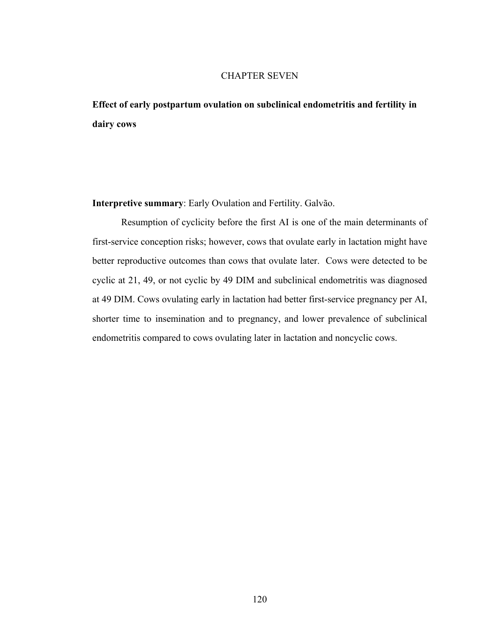# CHAPTER SEVEN

**Effect of early postpartum ovulation on subclinical endometritis and fertility in dairy cows** 

**Interpretive summary**: Early Ovulation and Fertility. Galvão.

Resumption of cyclicity before the first AI is one of the main determinants of first-service conception risks; however, cows that ovulate early in lactation might have better reproductive outcomes than cows that ovulate later. Cows were detected to be cyclic at 21, 49, or not cyclic by 49 DIM and subclinical endometritis was diagnosed at 49 DIM. Cows ovulating early in lactation had better first-service pregnancy per AI, shorter time to insemination and to pregnancy, and lower prevalence of subclinical endometritis compared to cows ovulating later in lactation and noncyclic cows.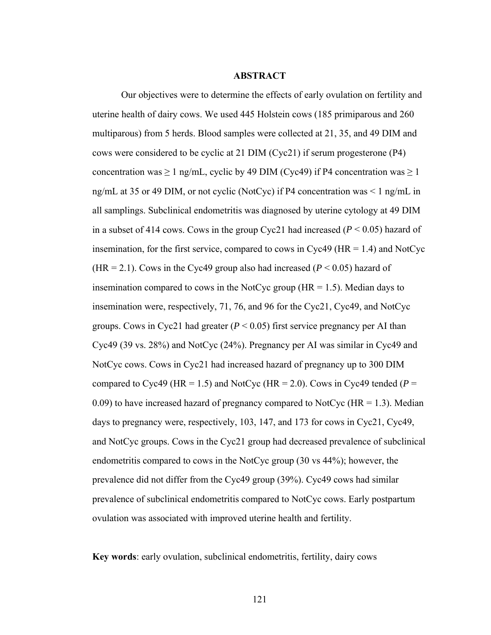## **ABSTRACT**

Our objectives were to determine the effects of early ovulation on fertility and uterine health of dairy cows. We used 445 Holstein cows (185 primiparous and 260 multiparous) from 5 herds. Blood samples were collected at 21, 35, and 49 DIM and cows were considered to be cyclic at 21 DIM (Cyc21) if serum progesterone (P4) concentration was  $\geq 1$  ng/mL, cyclic by 49 DIM (Cyc49) if P4 concentration was  $\geq 1$ ng/mL at 35 or 49 DIM, or not cyclic (NotCyc) if P4 concentration was < 1 ng/mL in all samplings. Subclinical endometritis was diagnosed by uterine cytology at 49 DIM in a subset of 414 cows. Cows in the group Cyc21 had increased (*P* < 0.05) hazard of insemination, for the first service, compared to cows in Cyc49 ( $HR = 1.4$ ) and NotCyc (HR = 2.1). Cows in the Cyc49 group also had increased ( $P < 0.05$ ) hazard of insemination compared to cows in the NotCyc group ( $HR = 1.5$ ). Median days to insemination were, respectively, 71, 76, and 96 for the Cyc21, Cyc49, and NotCyc groups. Cows in Cyc21 had greater  $(P < 0.05)$  first service pregnancy per AI than Cyc49 (39 vs. 28%) and NotCyc (24%). Pregnancy per AI was similar in Cyc49 and NotCyc cows. Cows in Cyc21 had increased hazard of pregnancy up to 300 DIM compared to Cyc49 (HR = 1.5) and NotCyc (HR = 2.0). Cows in Cyc49 tended ( $P =$ 0.09) to have increased hazard of pregnancy compared to NotCyc ( $HR = 1.3$ ). Median days to pregnancy were, respectively, 103, 147, and 173 for cows in Cyc21, Cyc49, and NotCyc groups. Cows in the Cyc21 group had decreased prevalence of subclinical endometritis compared to cows in the NotCyc group (30 vs 44%); however, the prevalence did not differ from the Cyc49 group (39%). Cyc49 cows had similar prevalence of subclinical endometritis compared to NotCyc cows. Early postpartum ovulation was associated with improved uterine health and fertility.

**Key words**: early ovulation, subclinical endometritis, fertility, dairy cows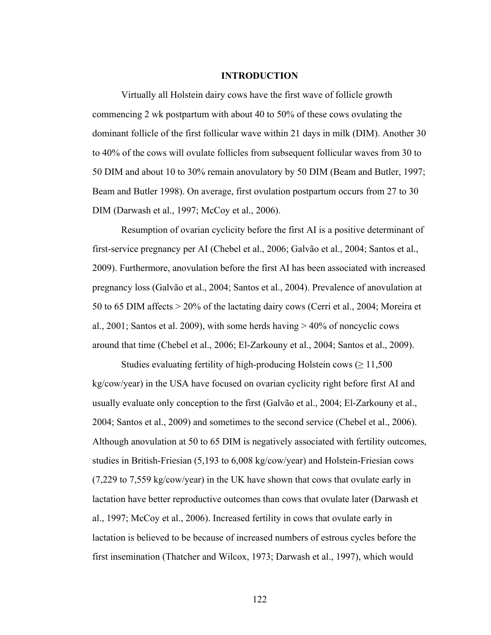#### **INTRODUCTION**

Virtually all Holstein dairy cows have the first wave of follicle growth commencing 2 wk postpartum with about 40 to 50% of these cows ovulating the dominant follicle of the first follicular wave within 21 days in milk (DIM). Another 30 to 40% of the cows will ovulate follicles from subsequent follicular waves from 30 to 50 DIM and about 10 to 30% remain anovulatory by 50 DIM (Beam and Butler, 1997; Beam and Butler 1998). On average, first ovulation postpartum occurs from 27 to 30 DIM (Darwash et al., 1997; McCoy et al., 2006).

Resumption of ovarian cyclicity before the first AI is a positive determinant of first-service pregnancy per AI (Chebel et al., 2006; Galvão et al., 2004; Santos et al., 2009). Furthermore, anovulation before the first AI has been associated with increased pregnancy loss (Galvão et al., 2004; Santos et al., 2004). Prevalence of anovulation at 50 to 65 DIM affects > 20% of the lactating dairy cows (Cerri et al., 2004; Moreira et al., 2001; Santos et al. 2009), with some herds having > 40% of noncyclic cows around that time (Chebel et al., 2006; El-Zarkouny et al., 2004; Santos et al., 2009).

Studies evaluating fertility of high-producing Holstein cows ( $\geq 11,500$ ) kg/cow/year) in the USA have focused on ovarian cyclicity right before first AI and usually evaluate only conception to the first (Galvão et al., 2004; El-Zarkouny et al., 2004; Santos et al., 2009) and sometimes to the second service (Chebel et al., 2006). Although anovulation at 50 to 65 DIM is negatively associated with fertility outcomes, studies in British-Friesian (5,193 to 6,008 kg/cow/year) and Holstein-Friesian cows (7,229 to 7,559 kg/cow/year) in the UK have shown that cows that ovulate early in lactation have better reproductive outcomes than cows that ovulate later (Darwash et al., 1997; McCoy et al., 2006). Increased fertility in cows that ovulate early in lactation is believed to be because of increased numbers of estrous cycles before the first insemination (Thatcher and Wilcox, 1973; Darwash et al., 1997), which would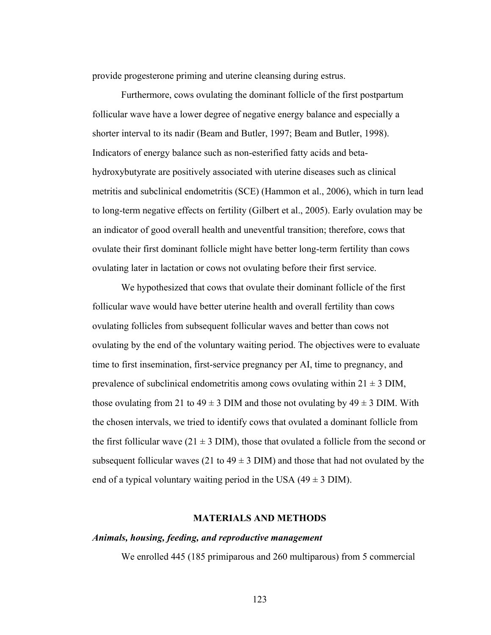provide progesterone priming and uterine cleansing during estrus.

Furthermore, cows ovulating the dominant follicle of the first postpartum follicular wave have a lower degree of negative energy balance and especially a shorter interval to its nadir (Beam and Butler, 1997; Beam and Butler, 1998). Indicators of energy balance such as non-esterified fatty acids and betahydroxybutyrate are positively associated with uterine diseases such as clinical metritis and subclinical endometritis (SCE) (Hammon et al., 2006), which in turn lead to long-term negative effects on fertility (Gilbert et al., 2005). Early ovulation may be an indicator of good overall health and uneventful transition; therefore, cows that ovulate their first dominant follicle might have better long-term fertility than cows ovulating later in lactation or cows not ovulating before their first service.

We hypothesized that cows that ovulate their dominant follicle of the first follicular wave would have better uterine health and overall fertility than cows ovulating follicles from subsequent follicular waves and better than cows not ovulating by the end of the voluntary waiting period. The objectives were to evaluate time to first insemination, first-service pregnancy per AI, time to pregnancy, and prevalence of subclinical endometritis among cows ovulating within  $21 \pm 3$  DIM, those ovulating from 21 to  $49 \pm 3$  DIM and those not ovulating by  $49 \pm 3$  DIM. With the chosen intervals, we tried to identify cows that ovulated a dominant follicle from the first follicular wave (21  $\pm$  3 DIM), those that ovulated a follicle from the second or subsequent follicular waves (21 to  $49 \pm 3$  DIM) and those that had not ovulated by the end of a typical voluntary waiting period in the USA  $(49 \pm 3 \text{ DIM})$ .

# **MATERIALS AND METHODS**

# *Animals, housing, feeding, and reproductive management*

We enrolled 445 (185 primiparous and 260 multiparous) from 5 commercial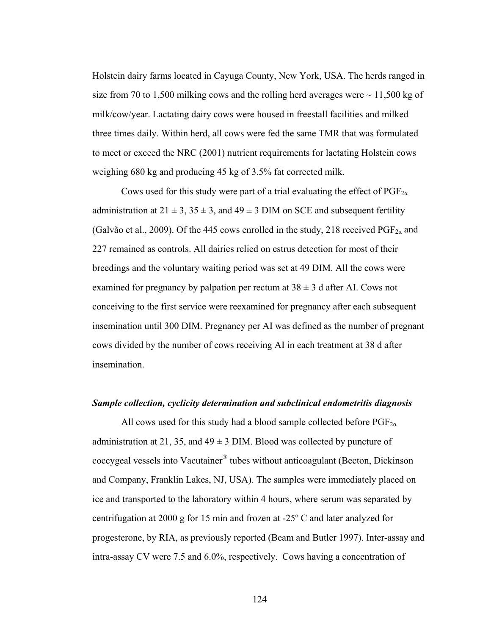Holstein dairy farms located in Cayuga County, New York, USA. The herds ranged in size from 70 to 1,500 milking cows and the rolling herd averages were  $\sim$  11,500 kg of milk/cow/year. Lactating dairy cows were housed in freestall facilities and milked three times daily. Within herd, all cows were fed the same TMR that was formulated to meet or exceed the NRC (2001) nutrient requirements for lactating Holstein cows weighing 680 kg and producing 45 kg of 3.5% fat corrected milk.

Cows used for this study were part of a trial evaluating the effect of  $PGF_{2\alpha}$ administration at  $21 \pm 3$ ,  $35 \pm 3$ , and  $49 \pm 3$  DIM on SCE and subsequent fertility (Galvão et al., 2009). Of the 445 cows enrolled in the study, 218 received  $PGF_{2\alpha}$  and 227 remained as controls. All dairies relied on estrus detection for most of their breedings and the voluntary waiting period was set at 49 DIM. All the cows were examined for pregnancy by palpation per rectum at  $38 \pm 3$  d after AI. Cows not conceiving to the first service were reexamined for pregnancy after each subsequent insemination until 300 DIM. Pregnancy per AI was defined as the number of pregnant cows divided by the number of cows receiving AI in each treatment at 38 d after insemination.

### *Sample collection, cyclicity determination and subclinical endometritis diagnosis*

All cows used for this study had a blood sample collected before  $PGF_{2\alpha}$ administration at 21, 35, and  $49 \pm 3$  DIM. Blood was collected by puncture of coccygeal vessels into Vacutainer® tubes without anticoagulant (Becton, Dickinson and Company, Franklin Lakes, NJ, USA). The samples were immediately placed on ice and transported to the laboratory within 4 hours, where serum was separated by centrifugation at 2000 g for 15 min and frozen at -25º C and later analyzed for progesterone, by RIA, as previously reported (Beam and Butler 1997). Inter-assay and intra-assay CV were 7.5 and 6.0%, respectively. Cows having a concentration of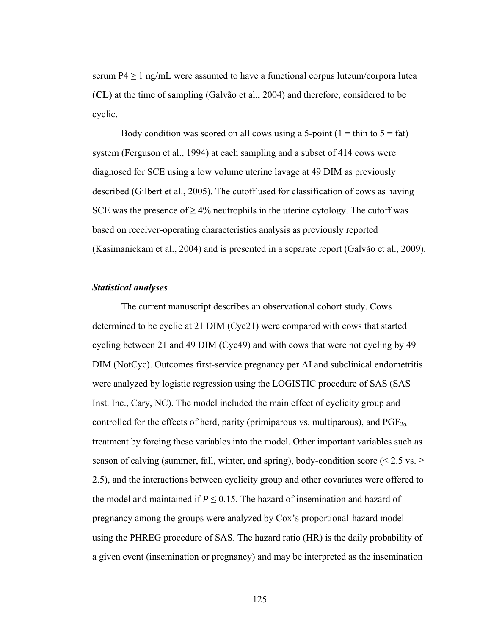serum P4  $\geq$  1 ng/mL were assumed to have a functional corpus luteum/corpora lutea (**CL**) at the time of sampling (Galvão et al., 2004) and therefore, considered to be cyclic.

Body condition was scored on all cows using a 5-point  $(1 = \text{thin to } 5 = \text{fat})$ system (Ferguson et al., 1994) at each sampling and a subset of 414 cows were diagnosed for SCE using a low volume uterine lavage at 49 DIM as previously described (Gilbert et al., 2005). The cutoff used for classification of cows as having SCE was the presence of  $\geq 4\%$  neutrophils in the uterine cytology. The cutoff was based on receiver-operating characteristics analysis as previously reported (Kasimanickam et al., 2004) and is presented in a separate report (Galvão et al., 2009).

## *Statistical analyses*

The current manuscript describes an observational cohort study. Cows determined to be cyclic at 21 DIM (Cyc21) were compared with cows that started cycling between 21 and 49 DIM (Cyc49) and with cows that were not cycling by 49 DIM (NotCyc). Outcomes first-service pregnancy per AI and subclinical endometritis were analyzed by logistic regression using the LOGISTIC procedure of SAS (SAS Inst. Inc., Cary, NC). The model included the main effect of cyclicity group and controlled for the effects of herd, parity (primiparous vs. multiparous), and  $PGF_{2\alpha}$ treatment by forcing these variables into the model. Other important variables such as season of calving (summer, fall, winter, and spring), body-condition score ( $\leq 2.5$  vs.  $\geq$ 2.5), and the interactions between cyclicity group and other covariates were offered to the model and maintained if  $P \le 0.15$ . The hazard of insemination and hazard of pregnancy among the groups were analyzed by Cox's proportional-hazard model using the PHREG procedure of SAS. The hazard ratio (HR) is the daily probability of a given event (insemination or pregnancy) and may be interpreted as the insemination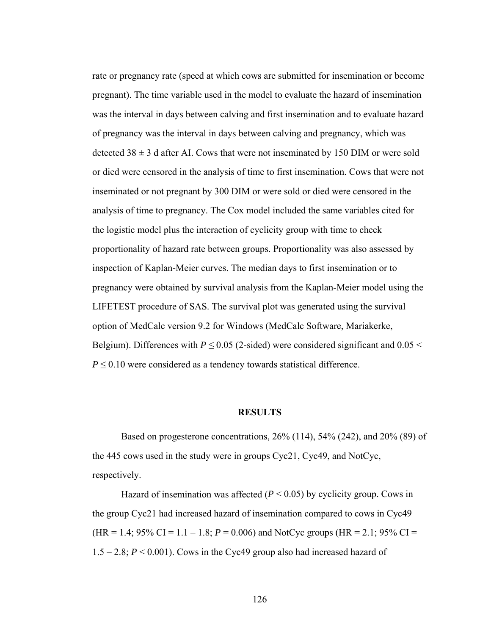rate or pregnancy rate (speed at which cows are submitted for insemination or become pregnant). The time variable used in the model to evaluate the hazard of insemination was the interval in days between calving and first insemination and to evaluate hazard of pregnancy was the interval in days between calving and pregnancy, which was detected  $38 \pm 3$  d after AI. Cows that were not inseminated by 150 DIM or were sold or died were censored in the analysis of time to first insemination. Cows that were not inseminated or not pregnant by 300 DIM or were sold or died were censored in the analysis of time to pregnancy. The Cox model included the same variables cited for the logistic model plus the interaction of cyclicity group with time to check proportionality of hazard rate between groups. Proportionality was also assessed by inspection of Kaplan-Meier curves. The median days to first insemination or to pregnancy were obtained by survival analysis from the Kaplan-Meier model using the LIFETEST procedure of SAS. The survival plot was generated using the survival option of MedCalc version 9.2 for Windows (MedCalc Software, Mariakerke, Belgium). Differences with  $P \le 0.05$  (2-sided) were considered significant and  $0.05 <$  $P \leq 0.10$  were considered as a tendency towards statistical difference.

## **RESULTS**

Based on progesterone concentrations, 26% (114), 54% (242), and 20% (89) of the 445 cows used in the study were in groups Cyc21, Cyc49, and NotCyc, respectively.

Hazard of insemination was affected  $(P < 0.05)$  by cyclicity group. Cows in the group Cyc21 had increased hazard of insemination compared to cows in Cyc49 (HR = 1.4; 95% CI = 1.1 – 1.8;  $P = 0.006$ ) and NotCyc groups (HR = 2.1; 95% CI =  $1.5 - 2.8$ ;  $P \le 0.001$ ). Cows in the Cyc49 group also had increased hazard of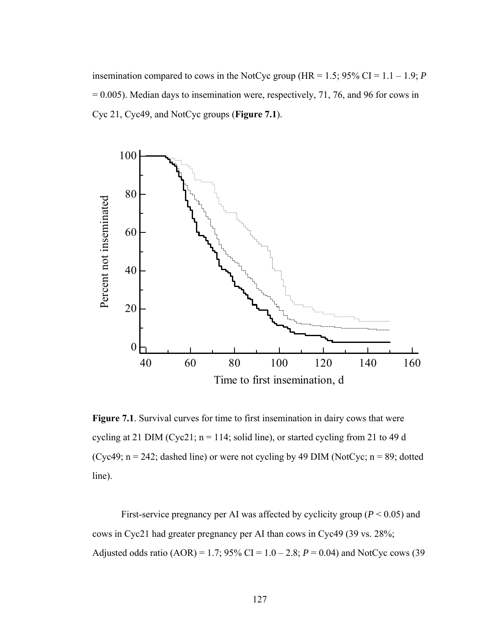insemination compared to cows in the NotCyc group (HR =  $1.5$ ; 95% CI =  $1.1 - 1.9$ ; *P*  $= 0.005$ ). Median days to insemination were, respectively, 71, 76, and 96 for cows in Cyc 21, Cyc49, and NotCyc groups (**Figure 7.1**).



**Figure 7.1**. Survival curves for time to first insemination in dairy cows that were cycling at 21 DIM (Cyc21;  $n = 114$ ; solid line), or started cycling from 21 to 49 d (Cyc49;  $n = 242$ ; dashed line) or were not cycling by 49 DIM (NotCyc;  $n = 89$ ; dotted line).

First-service pregnancy per AI was affected by cyclicity group ( $P < 0.05$ ) and cows in Cyc21 had greater pregnancy per AI than cows in Cyc49 (39 vs. 28%; Adjusted odds ratio (AOR) = 1.7;  $95\%$  CI = 1.0 – 2.8;  $P = 0.04$ ) and NotCyc cows (39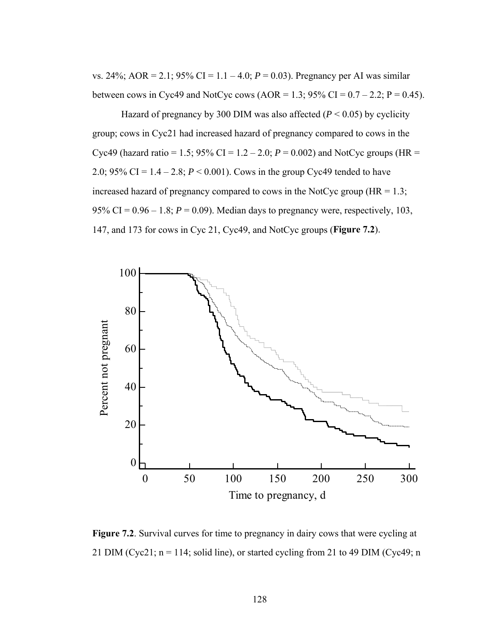vs. 24%; AOR = 2.1; 95% CI = 1.1 – 4.0;  $P = 0.03$ ). Pregnancy per AI was similar between cows in Cyc49 and NotCyc cows (AOR = 1.3;  $95\%$  CI = 0.7 – 2.2; P = 0.45).

Hazard of pregnancy by 300 DIM was also affected  $(P < 0.05)$  by cyclicity group; cows in Cyc21 had increased hazard of pregnancy compared to cows in the Cyc49 (hazard ratio = 1.5; 95% CI = 1.2 – 2.0;  $P = 0.002$ ) and NotCyc groups (HR = 2.0; 95% CI = 1.4 – 2.8; *P* < 0.001). Cows in the group Cyc49 tended to have increased hazard of pregnancy compared to cows in the NotCyc group  $(HR = 1.3;$ 95% CI =  $0.96 - 1.8$ ;  $P = 0.09$ ). Median days to pregnancy were, respectively, 103, 147, and 173 for cows in Cyc 21, Cyc49, and NotCyc groups (**Figure 7.2**).



**Figure 7.2**. Survival curves for time to pregnancy in dairy cows that were cycling at 21 DIM (Cyc21;  $n = 114$ ; solid line), or started cycling from 21 to 49 DIM (Cyc49; n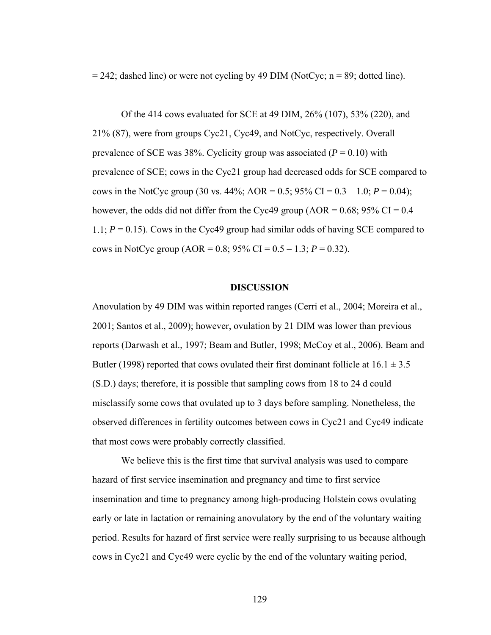$= 242$ ; dashed line) or were not cycling by 49 DIM (NotCyc; n = 89; dotted line).

Of the 414 cows evaluated for SCE at 49 DIM, 26% (107), 53% (220), and 21% (87), were from groups Cyc21, Cyc49, and NotCyc, respectively. Overall prevalence of SCE was 38%. Cyclicity group was associated  $(P = 0.10)$  with prevalence of SCE; cows in the Cyc21 group had decreased odds for SCE compared to cows in the NotCyc group (30 vs.  $44\%$ ; AOR = 0.5; 95% CI = 0.3 – 1.0;  $P = 0.04$ ); however, the odds did not differ from the Cyc49 group (AOR =  $0.68$ ; 95% CI =  $0.4$  – 1.1;  $P = 0.15$ ). Cows in the Cyc49 group had similar odds of having SCE compared to cows in NotCyc group (AOR =  $0.8$ ;  $95\%$  CI =  $0.5 - 1.3$ ;  $P = 0.32$ ).

# **DISCUSSION**

Anovulation by 49 DIM was within reported ranges (Cerri et al., 2004; Moreira et al., 2001; Santos et al., 2009); however, ovulation by 21 DIM was lower than previous reports (Darwash et al., 1997; Beam and Butler, 1998; McCoy et al., 2006). Beam and Butler (1998) reported that cows ovulated their first dominant follicle at  $16.1 \pm 3.5$ (S.D.) days; therefore, it is possible that sampling cows from 18 to 24 d could misclassify some cows that ovulated up to 3 days before sampling. Nonetheless, the observed differences in fertility outcomes between cows in Cyc21 and Cyc49 indicate that most cows were probably correctly classified.

We believe this is the first time that survival analysis was used to compare hazard of first service insemination and pregnancy and time to first service insemination and time to pregnancy among high-producing Holstein cows ovulating early or late in lactation or remaining anovulatory by the end of the voluntary waiting period. Results for hazard of first service were really surprising to us because although cows in Cyc21 and Cyc49 were cyclic by the end of the voluntary waiting period,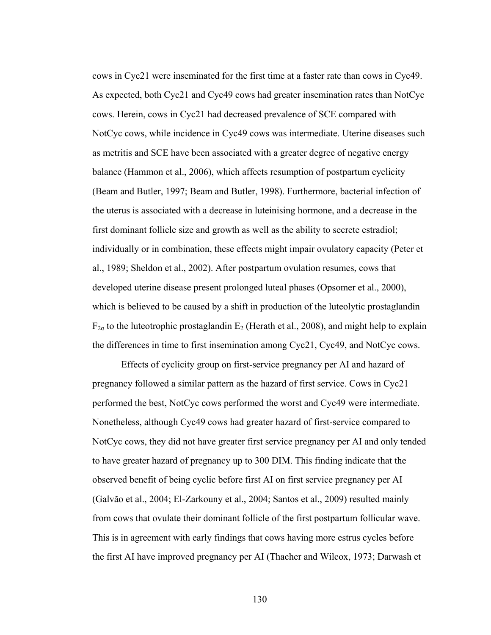cows in Cyc21 were inseminated for the first time at a faster rate than cows in Cyc49. As expected, both Cyc21 and Cyc49 cows had greater insemination rates than NotCyc cows. Herein, cows in Cyc21 had decreased prevalence of SCE compared with NotCyc cows, while incidence in Cyc49 cows was intermediate. Uterine diseases such as metritis and SCE have been associated with a greater degree of negative energy balance (Hammon et al., 2006), which affects resumption of postpartum cyclicity (Beam and Butler, 1997; Beam and Butler, 1998). Furthermore, bacterial infection of the uterus is associated with a decrease in luteinising hormone, and a decrease in the first dominant follicle size and growth as well as the ability to secrete estradiol; individually or in combination, these effects might impair ovulatory capacity (Peter et al., 1989; Sheldon et al., 2002). After postpartum ovulation resumes, cows that developed uterine disease present prolonged luteal phases (Opsomer et al., 2000), which is believed to be caused by a shift in production of the luteolytic prostaglandin  $F_{2\alpha}$  to the luteotrophic prostaglandin  $E_2$  (Herath et al., 2008), and might help to explain the differences in time to first insemination among Cyc21, Cyc49, and NotCyc cows.

Effects of cyclicity group on first-service pregnancy per AI and hazard of pregnancy followed a similar pattern as the hazard of first service. Cows in Cyc21 performed the best, NotCyc cows performed the worst and Cyc49 were intermediate. Nonetheless, although Cyc49 cows had greater hazard of first-service compared to NotCyc cows, they did not have greater first service pregnancy per AI and only tended to have greater hazard of pregnancy up to 300 DIM. This finding indicate that the observed benefit of being cyclic before first AI on first service pregnancy per AI (Galvão et al., 2004; El-Zarkouny et al., 2004; Santos et al., 2009) resulted mainly from cows that ovulate their dominant follicle of the first postpartum follicular wave. This is in agreement with early findings that cows having more estrus cycles before the first AI have improved pregnancy per AI (Thacher and Wilcox, 1973; Darwash et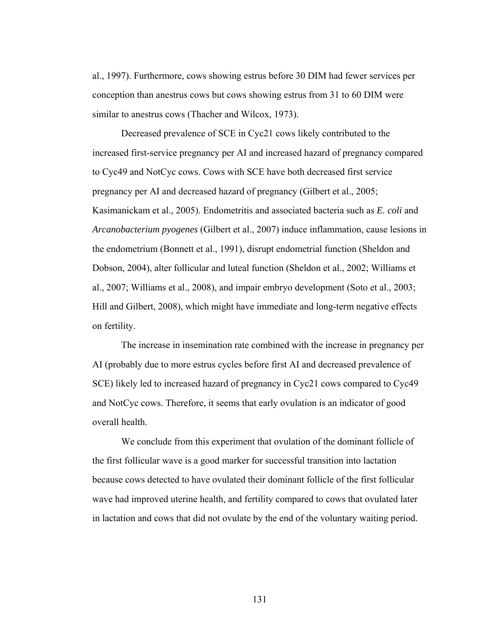al., 1997). Furthermore, cows showing estrus before 30 DIM had fewer services per conception than anestrus cows but cows showing estrus from 31 to 60 DIM were similar to anestrus cows (Thacher and Wilcox, 1973).

Decreased prevalence of SCE in Cyc21 cows likely contributed to the increased first-service pregnancy per AI and increased hazard of pregnancy compared to Cyc49 and NotCyc cows. Cows with SCE have both decreased first service pregnancy per AI and decreased hazard of pregnancy (Gilbert et al., 2005; Kasimanickam et al., 2005). Endometritis and associated bacteria such as *E. coli* and *Arcanobacterium pyogenes* (Gilbert et al., 2007) induce inflammation, cause lesions in the endometrium (Bonnett et al., 1991), disrupt endometrial function (Sheldon and Dobson, 2004), alter follicular and luteal function (Sheldon et al., 2002; Williams et al., 2007; Williams et al., 2008), and impair embryo development (Soto et al., 2003; Hill and Gilbert, 2008), which might have immediate and long-term negative effects on fertility.

The increase in insemination rate combined with the increase in pregnancy per AI (probably due to more estrus cycles before first AI and decreased prevalence of SCE) likely led to increased hazard of pregnancy in Cyc21 cows compared to Cyc49 and NotCyc cows. Therefore, it seems that early ovulation is an indicator of good overall health.

We conclude from this experiment that ovulation of the dominant follicle of the first follicular wave is a good marker for successful transition into lactation because cows detected to have ovulated their dominant follicle of the first follicular wave had improved uterine health, and fertility compared to cows that ovulated later in lactation and cows that did not ovulate by the end of the voluntary waiting period.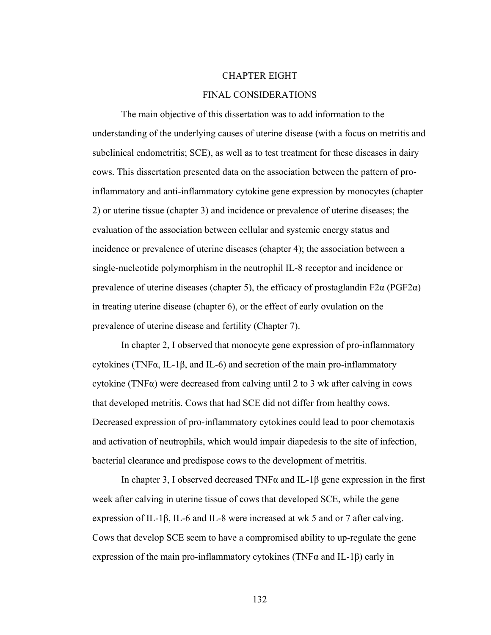# CHAPTER EIGHT

## FINAL CONSIDERATIONS

The main objective of this dissertation was to add information to the understanding of the underlying causes of uterine disease (with a focus on metritis and subclinical endometritis; SCE), as well as to test treatment for these diseases in dairy cows. This dissertation presented data on the association between the pattern of proinflammatory and anti-inflammatory cytokine gene expression by monocytes (chapter 2) or uterine tissue (chapter 3) and incidence or prevalence of uterine diseases; the evaluation of the association between cellular and systemic energy status and incidence or prevalence of uterine diseases (chapter 4); the association between a single-nucleotide polymorphism in the neutrophil IL-8 receptor and incidence or prevalence of uterine diseases (chapter 5), the efficacy of prostaglandin F2 $\alpha$  (PGF2 $\alpha$ ) in treating uterine disease (chapter 6), or the effect of early ovulation on the prevalence of uterine disease and fertility (Chapter 7).

In chapter 2, I observed that monocyte gene expression of pro-inflammatory cytokines (TNF $\alpha$ , IL-1 $\beta$ , and IL-6) and secretion of the main pro-inflammatory cytokine (TNFα) were decreased from calving until 2 to 3 wk after calving in cows that developed metritis. Cows that had SCE did not differ from healthy cows. Decreased expression of pro-inflammatory cytokines could lead to poor chemotaxis and activation of neutrophils, which would impair diapedesis to the site of infection, bacterial clearance and predispose cows to the development of metritis.

In chapter 3, I observed decreased TNF $\alpha$  and IL-1 $\beta$  gene expression in the first week after calving in uterine tissue of cows that developed SCE, while the gene expression of IL-1β, IL-6 and IL-8 were increased at wk 5 and or 7 after calving. Cows that develop SCE seem to have a compromised ability to up-regulate the gene expression of the main pro-inflammatory cytokines (TNF $\alpha$  and IL-1 $\beta$ ) early in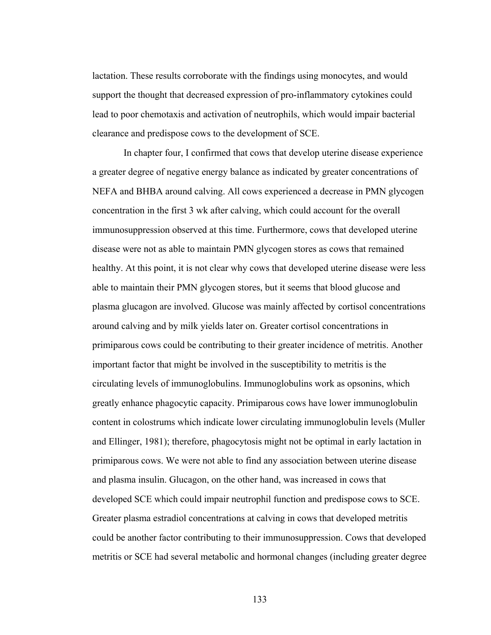lactation. These results corroborate with the findings using monocytes, and would support the thought that decreased expression of pro-inflammatory cytokines could lead to poor chemotaxis and activation of neutrophils, which would impair bacterial clearance and predispose cows to the development of SCE.

 In chapter four, I confirmed that cows that develop uterine disease experience a greater degree of negative energy balance as indicated by greater concentrations of NEFA and BHBA around calving. All cows experienced a decrease in PMN glycogen concentration in the first 3 wk after calving, which could account for the overall immunosuppression observed at this time. Furthermore, cows that developed uterine disease were not as able to maintain PMN glycogen stores as cows that remained healthy. At this point, it is not clear why cows that developed uterine disease were less able to maintain their PMN glycogen stores, but it seems that blood glucose and plasma glucagon are involved. Glucose was mainly affected by cortisol concentrations around calving and by milk yields later on. Greater cortisol concentrations in primiparous cows could be contributing to their greater incidence of metritis. Another important factor that might be involved in the susceptibility to metritis is the circulating levels of immunoglobulins. Immunoglobulins work as opsonins, which greatly enhance phagocytic capacity. Primiparous cows have lower immunoglobulin content in colostrums which indicate lower circulating immunoglobulin levels (Muller and Ellinger, 1981); therefore, phagocytosis might not be optimal in early lactation in primiparous cows. We were not able to find any association between uterine disease and plasma insulin. Glucagon, on the other hand, was increased in cows that developed SCE which could impair neutrophil function and predispose cows to SCE. Greater plasma estradiol concentrations at calving in cows that developed metritis could be another factor contributing to their immunosuppression. Cows that developed metritis or SCE had several metabolic and hormonal changes (including greater degree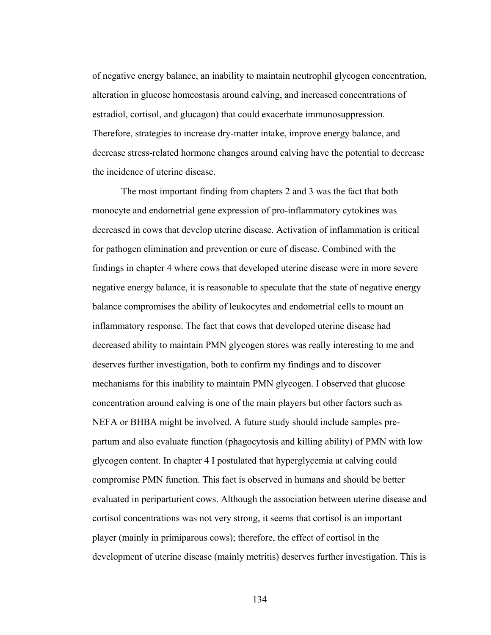of negative energy balance, an inability to maintain neutrophil glycogen concentration, alteration in glucose homeostasis around calving, and increased concentrations of estradiol, cortisol, and glucagon) that could exacerbate immunosuppression. Therefore, strategies to increase dry-matter intake, improve energy balance, and decrease stress-related hormone changes around calving have the potential to decrease the incidence of uterine disease.

The most important finding from chapters 2 and 3 was the fact that both monocyte and endometrial gene expression of pro-inflammatory cytokines was decreased in cows that develop uterine disease. Activation of inflammation is critical for pathogen elimination and prevention or cure of disease. Combined with the findings in chapter 4 where cows that developed uterine disease were in more severe negative energy balance, it is reasonable to speculate that the state of negative energy balance compromises the ability of leukocytes and endometrial cells to mount an inflammatory response. The fact that cows that developed uterine disease had decreased ability to maintain PMN glycogen stores was really interesting to me and deserves further investigation, both to confirm my findings and to discover mechanisms for this inability to maintain PMN glycogen. I observed that glucose concentration around calving is one of the main players but other factors such as NEFA or BHBA might be involved. A future study should include samples prepartum and also evaluate function (phagocytosis and killing ability) of PMN with low glycogen content. In chapter 4 I postulated that hyperglycemia at calving could compromise PMN function. This fact is observed in humans and should be better evaluated in periparturient cows. Although the association between uterine disease and cortisol concentrations was not very strong, it seems that cortisol is an important player (mainly in primiparous cows); therefore, the effect of cortisol in the development of uterine disease (mainly metritis) deserves further investigation. This is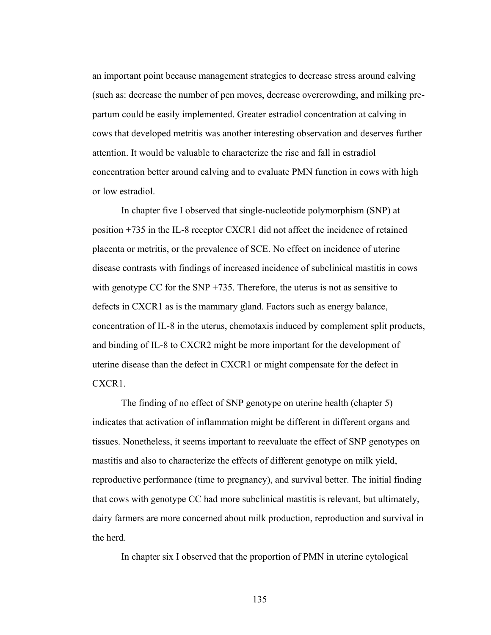an important point because management strategies to decrease stress around calving (such as: decrease the number of pen moves, decrease overcrowding, and milking prepartum could be easily implemented. Greater estradiol concentration at calving in cows that developed metritis was another interesting observation and deserves further attention. It would be valuable to characterize the rise and fall in estradiol concentration better around calving and to evaluate PMN function in cows with high or low estradiol.

In chapter five I observed that single-nucleotide polymorphism (SNP) at position +735 in the IL-8 receptor CXCR1 did not affect the incidence of retained placenta or metritis, or the prevalence of SCE. No effect on incidence of uterine disease contrasts with findings of increased incidence of subclinical mastitis in cows with genotype CC for the SNP +735. Therefore, the uterus is not as sensitive to defects in CXCR1 as is the mammary gland. Factors such as energy balance, concentration of IL-8 in the uterus, chemotaxis induced by complement split products, and binding of IL-8 to CXCR2 might be more important for the development of uterine disease than the defect in CXCR1 or might compensate for the defect in CXCR1.

The finding of no effect of SNP genotype on uterine health (chapter 5) indicates that activation of inflammation might be different in different organs and tissues. Nonetheless, it seems important to reevaluate the effect of SNP genotypes on mastitis and also to characterize the effects of different genotype on milk yield, reproductive performance (time to pregnancy), and survival better. The initial finding that cows with genotype CC had more subclinical mastitis is relevant, but ultimately, dairy farmers are more concerned about milk production, reproduction and survival in the herd.

In chapter six I observed that the proportion of PMN in uterine cytological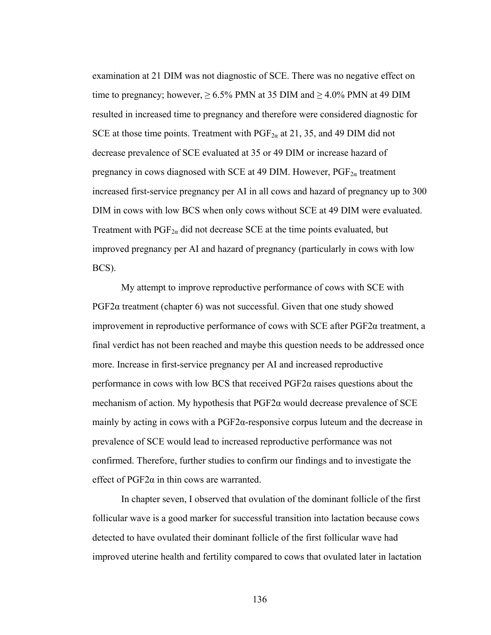examination at 21 DIM was not diagnostic of SCE. There was no negative effect on time to pregnancy; however,  $\geq 6.5\%$  PMN at 35 DIM and  $\geq 4.0\%$  PMN at 49 DIM resulted in increased time to pregnancy and therefore were considered diagnostic for SCE at those time points. Treatment with  $PGF_{2\alpha}$  at 21, 35, and 49 DIM did not decrease prevalence of SCE evaluated at 35 or 49 DIM or increase hazard of pregnancy in cows diagnosed with SCE at 49 DIM. However,  $PGF_{2\alpha}$  treatment increased first-service pregnancy per AI in all cows and hazard of pregnancy up to 300 DIM in cows with low BCS when only cows without SCE at 49 DIM were evaluated. Treatment with  $PGF_{2\alpha}$  did not decrease SCE at the time points evaluated, but improved pregnancy per AI and hazard of pregnancy (particularly in cows with low BCS).

My attempt to improve reproductive performance of cows with SCE with PGF2 $\alpha$  treatment (chapter 6) was not successful. Given that one study showed improvement in reproductive performance of cows with SCE after PGF2α treatment, a final verdict has not been reached and maybe this question needs to be addressed once more. Increase in first-service pregnancy per AI and increased reproductive performance in cows with low BCS that received PGF2α raises questions about the mechanism of action. My hypothesis that  $PGF2\alpha$  would decrease prevalence of SCE mainly by acting in cows with a PGF2α-responsive corpus luteum and the decrease in prevalence of SCE would lead to increased reproductive performance was not confirmed. Therefore, further studies to confirm our findings and to investigate the effect of  $PGF2\alpha$  in thin cows are warranted.

In chapter seven, I observed that ovulation of the dominant follicle of the first follicular wave is a good marker for successful transition into lactation because cows detected to have ovulated their dominant follicle of the first follicular wave had improved uterine health and fertility compared to cows that ovulated later in lactation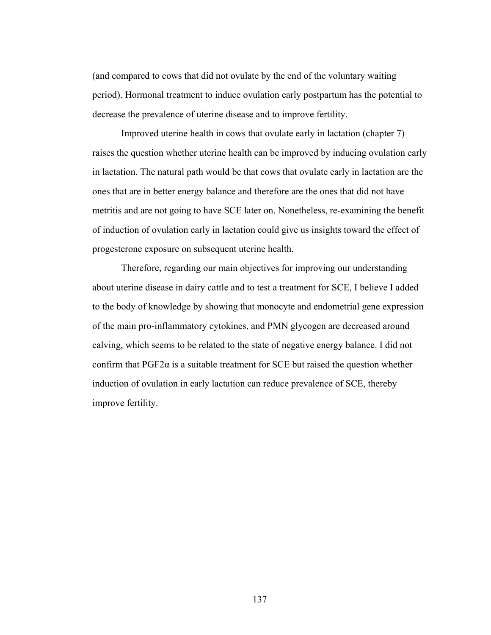(and compared to cows that did not ovulate by the end of the voluntary waiting period). Hormonal treatment to induce ovulation early postpartum has the potential to decrease the prevalence of uterine disease and to improve fertility.

Improved uterine health in cows that ovulate early in lactation (chapter 7) raises the question whether uterine health can be improved by inducing ovulation early in lactation. The natural path would be that cows that ovulate early in lactation are the ones that are in better energy balance and therefore are the ones that did not have metritis and are not going to have SCE later on. Nonetheless, re-examining the benefit of induction of ovulation early in lactation could give us insights toward the effect of progesterone exposure on subsequent uterine health.

Therefore, regarding our main objectives for improving our understanding about uterine disease in dairy cattle and to test a treatment for SCE, I believe I added to the body of knowledge by showing that monocyte and endometrial gene expression of the main pro-inflammatory cytokines, and PMN glycogen are decreased around calving, which seems to be related to the state of negative energy balance. I did not confirm that  $PGF2\alpha$  is a suitable treatment for SCE but raised the question whether induction of ovulation in early lactation can reduce prevalence of SCE, thereby improve fertility.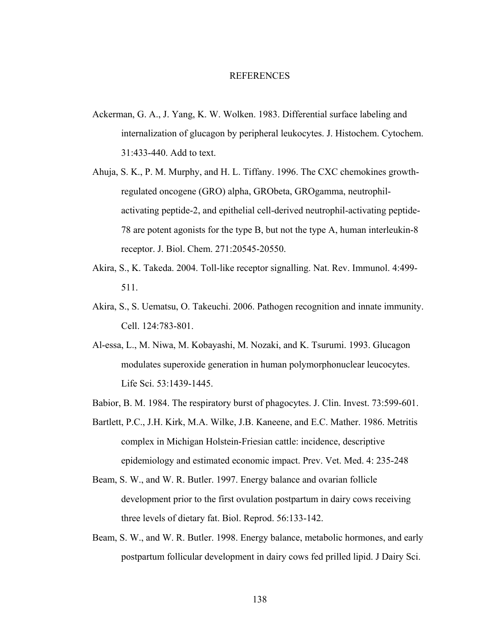### REFERENCES

- Ackerman, G. A., J. Yang, K. W. Wolken. 1983. Differential surface labeling and internalization of glucagon by peripheral leukocytes. J. Histochem. Cytochem. 31:433-440. Add to text.
- Ahuja, S. K., P. M. Murphy, and H. L. Tiffany. 1996. The CXC chemokines growthregulated oncogene (GRO) alpha, GRObeta, GROgamma, neutrophilactivating peptide-2, and epithelial cell-derived neutrophil-activating peptide-78 are potent agonists for the type B, but not the type A, human interleukin-8 receptor. J. Biol. Chem. 271:20545-20550.
- Akira, S., K. Takeda. 2004. Toll-like receptor signalling. Nat. Rev. Immunol. 4:499- 511.
- Akira, S., S. Uematsu, O. Takeuchi. 2006. Pathogen recognition and innate immunity. Cell. 124:783-801.
- Al-essa, L., M. Niwa, M. Kobayashi, M. Nozaki, and K. Tsurumi. 1993. Glucagon modulates superoxide generation in human polymorphonuclear leucocytes. Life Sci. 53:1439-1445.
- Babior, B. M. 1984. The respiratory burst of phagocytes. J. Clin. Invest. 73:599-601.
- Bartlett, P.C., J.H. Kirk, M.A. Wilke, J.B. Kaneene, and E.C. Mather. 1986. Metritis complex in Michigan Holstein-Friesian cattle: incidence, descriptive epidemiology and estimated economic impact. Prev. Vet. Med. 4: 235-248
- Beam, S. W., and W. R. Butler. 1997. Energy balance and ovarian follicle development prior to the first ovulation postpartum in dairy cows receiving three levels of dietary fat. Biol. Reprod. 56:133-142.
- Beam, S. W., and W. R. Butler. 1998. Energy balance, metabolic hormones, and early postpartum follicular development in dairy cows fed prilled lipid. J Dairy Sci.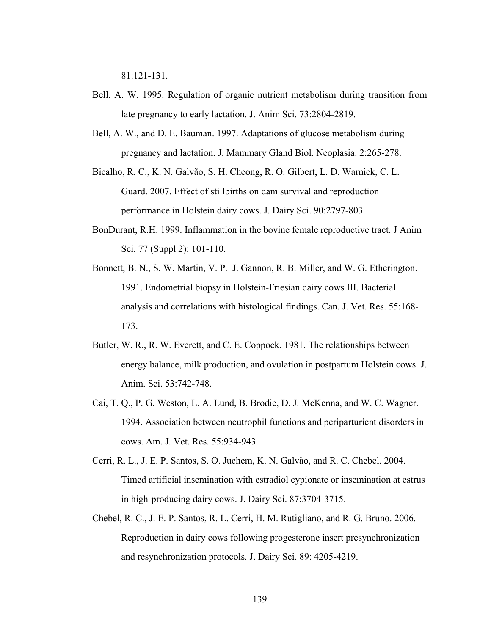81:121-131.

- Bell, A. W. 1995. Regulation of organic nutrient metabolism during transition from late pregnancy to early lactation. J. Anim Sci. 73:2804-2819.
- Bell, A. W., and D. E. Bauman. 1997. Adaptations of glucose metabolism during pregnancy and lactation. J. Mammary Gland Biol. Neoplasia. 2:265-278.
- Bicalho, R. C., K. N. Galvão, S. H. Cheong, R. O. Gilbert, L. D. Warnick, C. L. Guard. 2007. Effect of stillbirths on dam survival and reproduction performance in Holstein dairy cows. J. Dairy Sci. 90:2797-803.
- BonDurant, R.H. 1999. Inflammation in the bovine female reproductive tract. J Anim Sci. 77 (Suppl 2): 101-110.
- Bonnett, B. N., S. W. Martin, V. P. J. Gannon, R. B. Miller, and W. G. Etherington. 1991. Endometrial biopsy in Holstein-Friesian dairy cows III. Bacterial analysis and correlations with histological findings. Can. J. Vet. Res. 55:168- 173.
- Butler, W. R., R. W. Everett, and C. E. Coppock. 1981. The relationships between energy balance, milk production, and ovulation in postpartum Holstein cows. J. Anim. Sci. 53:742-748.
- Cai, T. Q., P. G. Weston, L. A. Lund, B. Brodie, D. J. McKenna, and W. C. Wagner. 1994. Association between neutrophil functions and periparturient disorders in cows. Am. J. Vet. Res. 55:934-943.
- Cerri, R. L., J. E. P. Santos, S. O. Juchem, K. N. Galvão, and R. C. Chebel. 2004. Timed artificial insemination with estradiol cypionate or insemination at estrus in high-producing dairy cows. J. Dairy Sci. 87:3704-3715.
- Chebel, R. C., J. E. P. Santos, R. L. Cerri, H. M. Rutigliano, and R. G. Bruno. 2006. Reproduction in dairy cows following progesterone insert presynchronization and resynchronization protocols. J. Dairy Sci. 89: 4205-4219.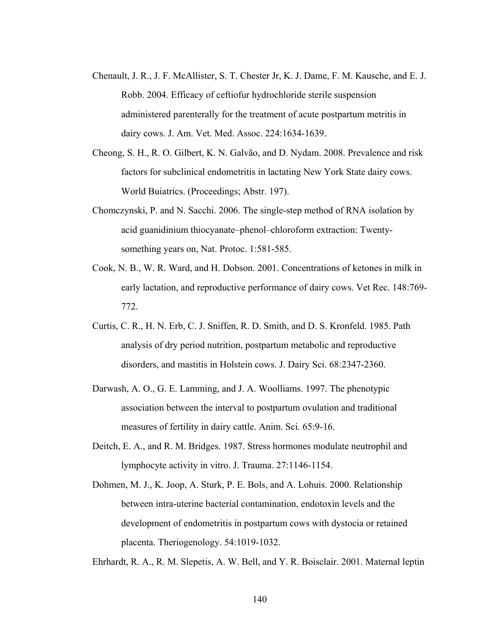- Chenault, J. R., J. F. McAllister, S. T. Chester Jr, K. J. Dame, F. M. Kausche, and E. J. Robb. 2004. Efficacy of ceftiofur hydrochloride sterile suspension administered parenterally for the treatment of acute postpartum metritis in dairy cows. J. Am. Vet. Med. Assoc. 224:1634-1639.
- Cheong, S. H., R. O. Gilbert, K. N. Galvão, and D. Nydam. 2008. Prevalence and risk factors for subclinical endometritis in lactating New York State dairy cows. World Buiatrics. (Proceedings; Abstr. 197).
- Chomczynski, P. and N. Sacchi. 2006. The single-step method of RNA isolation by acid guanidinium thiocyanate–phenol–chloroform extraction: Twentysomething years on, Nat. Protoc. 1:581-585.
- Cook, N. B., W. R. Ward, and H. Dobson. 2001. Concentrations of ketones in milk in early lactation, and reproductive performance of dairy cows. Vet Rec. 148:769- 772.
- Curtis, C. R., H. N. Erb, C. J. Sniffen, R. D. Smith, and D. S. Kronfeld. 1985. Path analysis of dry period nutrition, postpartum metabolic and reproductive disorders, and mastitis in Holstein cows. J. Dairy Sci. 68:2347-2360.
- Darwash, A. O., G. E. Lamming, and J. A. Woolliams. 1997. The phenotypic association between the interval to postpartum ovulation and traditional measures of fertility in dairy cattle. Anim. Sci. 65:9-16.
- Deitch, E. A., and R. M. Bridges. 1987. Stress hormones modulate neutrophil and lymphocyte activity in vitro. J. Trauma. 27:1146-1154.
- Dohmen, M. J., K. Joop, A. Sturk, P. E. Bols, and A. Lohuis. 2000. Relationship between intra-uterine bacterial contamination, endotoxin levels and the development of endometritis in postpartum cows with dystocia or retained placenta. Theriogenology. 54:1019-1032.

Ehrhardt, R. A., R. M. Slepetis, A. W. Bell, and Y. R. Boisclair. 2001. Maternal leptin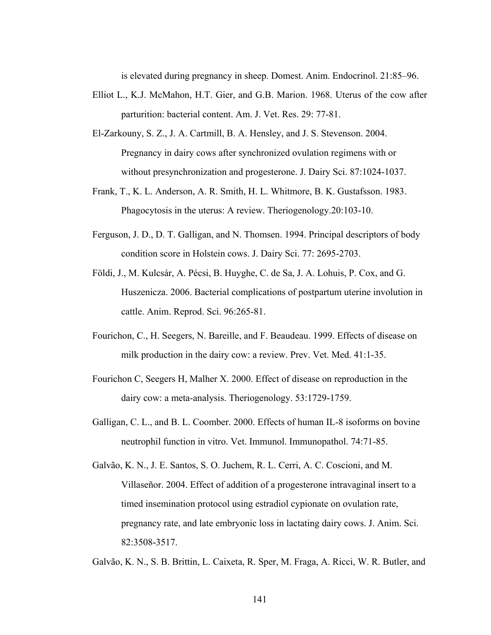is elevated during pregnancy in sheep. Domest. Anim. Endocrinol. 21:85–96.

- Elliot L., K.J. McMahon, H.T. Gier, and G.B. Marion. 1968. Uterus of the cow after parturition: bacterial content. Am. J. Vet. Res. 29: 77-81.
- El-Zarkouny, S. Z., J. A. Cartmill, B. A. Hensley, and J. S. Stevenson. 2004. Pregnancy in dairy cows after synchronized ovulation regimens with or without presynchronization and progesterone. J. Dairy Sci. 87:1024-1037.
- Frank, T., K. L. Anderson, A. R. Smith, H. L. Whitmore, B. K. Gustafsson. 1983. Phagocytosis in the uterus: A review. Theriogenology.20:103-10.
- Ferguson, J. D., D. T. Galligan, and N. Thomsen. 1994. Principal descriptors of body condition score in Holstein cows. J. Dairy Sci. 77: 2695-2703.
- Földi, J., M. Kulcsár, A. Pécsi, B. Huyghe, C. de Sa, J. A. Lohuis, P. Cox, and G. Huszenicza. 2006. Bacterial complications of postpartum uterine involution in cattle. Anim. Reprod. Sci. 96:265-81.
- Fourichon, C., H. Seegers, N. Bareille, and F. Beaudeau. 1999. Effects of disease on milk production in the dairy cow: a review. Prev. Vet. Med. 41:1-35.
- Fourichon C, Seegers H, Malher X. 2000. Effect of disease on reproduction in the dairy cow: a meta-analysis. Theriogenology. 53:1729-1759.
- Galligan, C. L., and B. L. Coomber. 2000. Effects of human IL-8 isoforms on bovine neutrophil function in vitro. Vet. Immunol. Immunopathol. 74:71-85.
- Galvão, K. N., J. E. Santos, S. O. Juchem, R. L. Cerri, A. C. Coscioni, and M. Villaseñor. 2004. Effect of addition of a progesterone intravaginal insert to a timed insemination protocol using estradiol cypionate on ovulation rate, pregnancy rate, and late embryonic loss in lactating dairy cows. J. Anim. Sci. 82:3508-3517.

Galvão, K. N., S. B. Brittin, L. Caixeta, R. Sper, M. Fraga, A. Ricci, W. R. Butler, and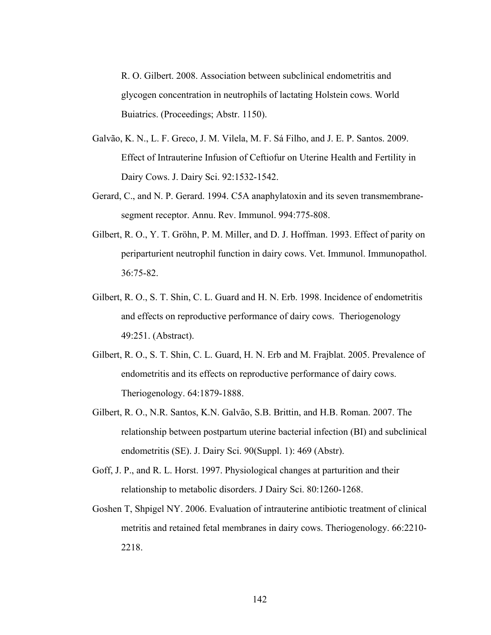R. O. Gilbert. 2008. Association between subclinical endometritis and glycogen concentration in neutrophils of lactating Holstein cows. World Buiatrics. (Proceedings; Abstr. 1150).

- Galvão, K. N., L. F. Greco, J. M. Vilela, M. F. Sá Filho, and J. E. P. Santos. 2009. Effect of Intrauterine Infusion of Ceftiofur on Uterine Health and Fertility in Dairy Cows. J. Dairy Sci. 92:1532-1542.
- Gerard, C., and N. P. Gerard. 1994. C5A anaphylatoxin and its seven transmembranesegment receptor. Annu. Rev. Immunol. 994:775-808.
- Gilbert, R. O., Y. T. Gröhn, P. M. Miller, and D. J. Hoffman. 1993. Effect of parity on periparturient neutrophil function in dairy cows. Vet. Immunol. Immunopathol. 36:75-82.
- Gilbert, R. O., S. T. Shin, C. L. Guard and H. N. Erb. 1998. Incidence of endometritis and effects on reproductive performance of dairy cows. Theriogenology 49:251. (Abstract).
- Gilbert, R. O., S. T. Shin, C. L. Guard, H. N. Erb and M. Frajblat. 2005. Prevalence of endometritis and its effects on reproductive performance of dairy cows. Theriogenology. 64:1879-1888.
- Gilbert, R. O., N.R. Santos, K.N. Galvão, S.B. Brittin, and H.B. Roman. 2007. The relationship between postpartum uterine bacterial infection (BI) and subclinical endometritis (SE). J. Dairy Sci. 90(Suppl. 1): 469 (Abstr).
- Goff, J. P., and R. L. Horst. 1997. Physiological changes at parturition and their relationship to metabolic disorders. J Dairy Sci. 80:1260-1268.
- Goshen T, Shpigel NY. 2006. Evaluation of intrauterine antibiotic treatment of clinical metritis and retained fetal membranes in dairy cows. Theriogenology. 66:2210- 2218.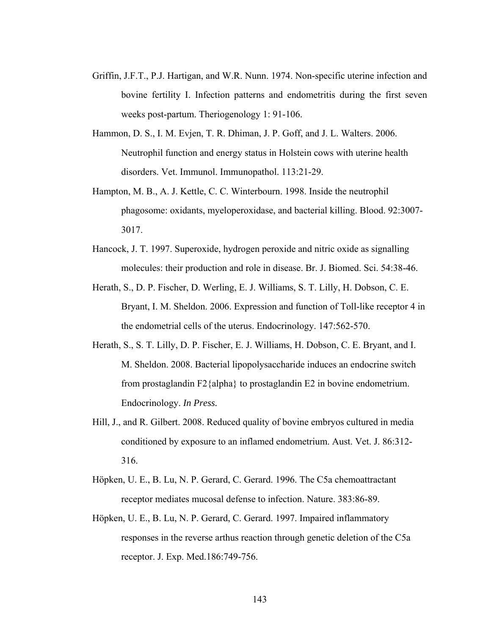- Griffin, J.F.T., P.J. Hartigan, and W.R. Nunn. 1974. Non-specific uterine infection and bovine fertility I. Infection patterns and endometritis during the first seven weeks post-partum. Theriogenology 1: 91-106.
- Hammon, D. S., I. M. Evjen, T. R. Dhiman, J. P. Goff, and J. L. Walters. 2006. Neutrophil function and energy status in Holstein cows with uterine health disorders. Vet. Immunol. Immunopathol. 113:21-29.
- Hampton, M. B., A. J. Kettle, C. C. Winterbourn. 1998. Inside the neutrophil phagosome: oxidants, myeloperoxidase, and bacterial killing. Blood. 92:3007- 3017.
- Hancock, J. T. 1997. Superoxide, hydrogen peroxide and nitric oxide as signalling molecules: their production and role in disease. Br. J. Biomed. Sci. 54:38-46.
- Herath, S., D. P. Fischer, D. Werling, E. J. Williams, S. T. Lilly, H. Dobson, C. E. Bryant, I. M. Sheldon. 2006. Expression and function of Toll-like receptor 4 in the endometrial cells of the uterus. Endocrinology. 147:562-570.
- Herath, S., S. T. Lilly, D. P. Fischer, E. J. Williams, H. Dobson, C. E. Bryant, and I. M. Sheldon. 2008. Bacterial lipopolysaccharide induces an endocrine switch from prostaglandin F2{alpha} to prostaglandin E2 in bovine endometrium. Endocrinology. *In Press.*
- Hill, J., and R. Gilbert. 2008. Reduced quality of bovine embryos cultured in media conditioned by exposure to an inflamed endometrium. Aust. Vet. J. 86:312- 316.
- Höpken, U. E., B. Lu, N. P. Gerard, C. Gerard. 1996. The C5a chemoattractant receptor mediates mucosal defense to infection. Nature. 383:86-89.
- Höpken, U. E., B. Lu, N. P. Gerard, C. Gerard. 1997. Impaired inflammatory responses in the reverse arthus reaction through genetic deletion of the C5a receptor. J. Exp. Med.186:749-756.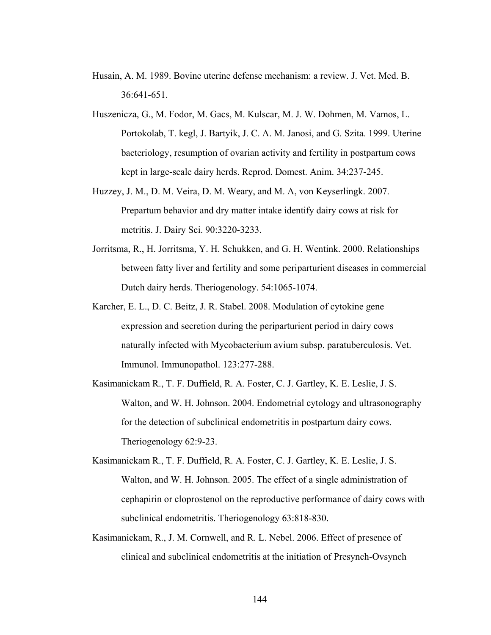- Husain, A. M. 1989. Bovine uterine defense mechanism: a review. J. Vet. Med. B. 36:641-651.
- Huszenicza, G., M. Fodor, M. Gacs, M. Kulscar, M. J. W. Dohmen, M. Vamos, L. Portokolab, T. kegl, J. Bartyik, J. C. A. M. Janosi, and G. Szita. 1999. Uterine bacteriology, resumption of ovarian activity and fertility in postpartum cows kept in large-scale dairy herds. Reprod. Domest. Anim. 34:237-245.
- Huzzey, J. M., D. M. Veira, D. M. Weary, and M. A, von Keyserlingk. 2007. Prepartum behavior and dry matter intake identify dairy cows at risk for metritis. J. Dairy Sci. 90:3220-3233.
- Jorritsma, R., H. Jorritsma, Y. H. Schukken, and G. H. Wentink. 2000. Relationships between fatty liver and fertility and some periparturient diseases in commercial Dutch dairy herds. Theriogenology. 54:1065-1074.
- Karcher, E. L., D. C. Beitz, J. R. Stabel. 2008. Modulation of cytokine gene expression and secretion during the periparturient period in dairy cows naturally infected with Mycobacterium avium subsp. paratuberculosis. Vet. Immunol. Immunopathol. 123:277-288.
- Kasimanickam R., T. F. Duffield, R. A. Foster, C. J. Gartley, K. E. Leslie, J. S. Walton, and W. H. Johnson. 2004. Endometrial cytology and ultrasonography for the detection of subclinical endometritis in postpartum dairy cows. Theriogenology 62:9-23.
- Kasimanickam R., T. F. Duffield, R. A. Foster, C. J. Gartley, K. E. Leslie, J. S. Walton, and W. H. Johnson. 2005. The effect of a single administration of cephapirin or cloprostenol on the reproductive performance of dairy cows with subclinical endometritis. Theriogenology 63:818-830.
- Kasimanickam, R., J. M. Cornwell, and R. L. Nebel. 2006. Effect of presence of clinical and subclinical endometritis at the initiation of Presynch-Ovsynch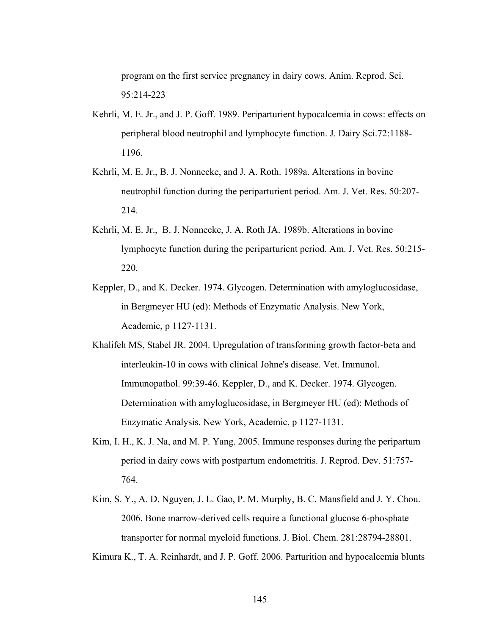program on the first service pregnancy in dairy cows. Anim. Reprod. Sci. 95:214-223

- Kehrli, M. E. Jr., and J. P. Goff. 1989. Periparturient hypocalcemia in cows: effects on peripheral blood neutrophil and lymphocyte function. J. Dairy Sci.72:1188- 1196.
- Kehrli, M. E. Jr., B. J. Nonnecke, and J. A. Roth. 1989a. Alterations in bovine neutrophil function during the periparturient period. Am. J. Vet. Res. 50:207- 214.
- Kehrli, M. E. Jr., B. J. Nonnecke, J. A. Roth JA. 1989b. Alterations in bovine lymphocyte function during the periparturient period. Am. J. Vet. Res. 50:215- 220.
- Keppler, D., and K. Decker. 1974. Glycogen. Determination with amyloglucosidase, in Bergmeyer HU (ed): Methods of Enzymatic Analysis. New York, Academic, p 1127-1131.
- Khalifeh MS, Stabel JR. 2004. Upregulation of transforming growth factor-beta and interleukin-10 in cows with clinical Johne's disease. Vet. Immunol. Immunopathol. 99:39-46. Keppler, D., and K. Decker. 1974. Glycogen. Determination with amyloglucosidase, in Bergmeyer HU (ed): Methods of Enzymatic Analysis. New York, Academic, p 1127-1131.
- Kim, I. H., K. J. Na, and M. P. Yang. 2005. Immune responses during the peripartum period in dairy cows with postpartum endometritis. J. Reprod. Dev. 51:757- 764.
- Kim, S. Y., A. D. Nguyen, J. L. Gao, P. M. Murphy, B. C. Mansfield and J. Y. Chou. 2006. Bone marrow-derived cells require a functional glucose 6-phosphate transporter for normal myeloid functions. J. Biol. Chem. 281:28794-28801.

Kimura K., T. A. Reinhardt, and J. P. Goff. 2006. Parturition and hypocalcemia blunts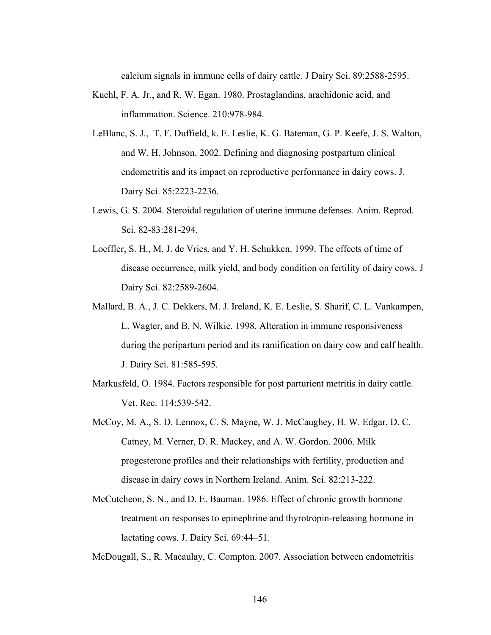calcium signals in immune cells of dairy cattle. J Dairy Sci. 89:2588-2595.

- Kuehl, F. A. Jr., and R. W. Egan. 1980. Prostaglandins, arachidonic acid, and inflammation. Science. 210:978-984.
- LeBlanc, S. J., T. F. Duffield, k. E. Leslie, K. G. Bateman, G. P. Keefe, J. S. Walton, and W. H. Johnson. 2002. Defining and diagnosing postpartum clinical endometritis and its impact on reproductive performance in dairy cows. J. Dairy Sci. 85:2223-2236.
- Lewis, G. S. 2004. Steroidal regulation of uterine immune defenses. Anim. Reprod. Sci. 82-83:281-294.
- Loeffler, S. H., M. J. de Vries, and Y. H. Schukken. 1999. The effects of time of disease occurrence, milk yield, and body condition on fertility of dairy cows. J Dairy Sci. 82:2589-2604.
- Mallard, B. A., J. C. Dekkers, M. J. Ireland, K. E. Leslie, S. Sharif, C. L. Vankampen, L. Wagter, and B. N. Wilkie. 1998. Alteration in immune responsiveness during the peripartum period and its ramification on dairy cow and calf health. J. Dairy Sci. 81:585-595.
- Markusfeld, O. 1984. Factors responsible for post parturient metritis in dairy cattle. Vet. Rec. 114:539-542.
- McCoy, M. A., S. D. Lennox, C. S. Mayne, W. J. McCaughey, H. W. Edgar, D. C. Catney, M. Verner, D. R. Mackey, and A. W. Gordon. 2006. Milk progesterone profiles and their relationships with fertility, production and disease in dairy cows in Northern Ireland. Anim. Sci. 82:213-222.
- McCutcheon, S. N., and D. E. Bauman. 1986. Effect of chronic growth hormone treatment on responses to epinephrine and thyrotropin-releasing hormone in lactating cows. J. Dairy Sci. 69:44–51.

McDougall, S., R. Macaulay, C. Compton. 2007. Association between endometritis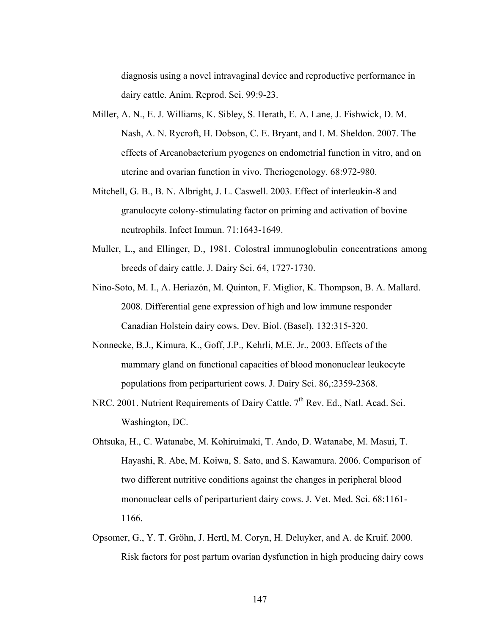diagnosis using a novel intravaginal device and reproductive performance in dairy cattle. Anim. Reprod. Sci. 99:9-23.

- Miller, A. N., E. J. Williams, K. Sibley, S. Herath, E. A. Lane, J. Fishwick, D. M. Nash, A. N. Rycroft, H. Dobson, C. E. Bryant, and I. M. Sheldon. 2007. The effects of Arcanobacterium pyogenes on endometrial function in vitro, and on uterine and ovarian function in vivo. Theriogenology. 68:972-980.
- Mitchell, G. B., B. N. Albright, J. L. Caswell. 2003. Effect of interleukin-8 and granulocyte colony-stimulating factor on priming and activation of bovine neutrophils. Infect Immun. 71:1643-1649.
- Muller, L., and Ellinger, D., 1981. Colostral immunoglobulin concentrations among breeds of dairy cattle. J. Dairy Sci. 64, 1727-1730.
- Nino-Soto, M. I., A. Heriazón, M. Quinton, F. Miglior, K. Thompson, B. A. Mallard. 2008. Differential gene expression of high and low immune responder Canadian Holstein dairy cows. Dev. Biol. (Basel). 132:315-320.
- Nonnecke, B.J., Kimura, K., Goff, J.P., Kehrli, M.E. Jr., 2003. Effects of the mammary gland on functional capacities of blood mononuclear leukocyte populations from periparturient cows. J. Dairy Sci. 86,:2359-2368.
- NRC. 2001. Nutrient Requirements of Dairy Cattle. 7<sup>th</sup> Rev. Ed., Natl. Acad. Sci. Washington, DC.
- Ohtsuka, H., C. Watanabe, M. Kohiruimaki, T. Ando, D. Watanabe, M. Masui, T. Hayashi, R. Abe, M. Koiwa, S. Sato, and S. Kawamura. 2006. Comparison of two different nutritive conditions against the changes in peripheral blood mononuclear cells of periparturient dairy cows. J. Vet. Med. Sci. 68:1161- 1166.
- Opsomer, G., Y. T. Gröhn, J. Hertl, M. Coryn, H. Deluyker, and A. de Kruif. 2000. Risk factors for post partum ovarian dysfunction in high producing dairy cows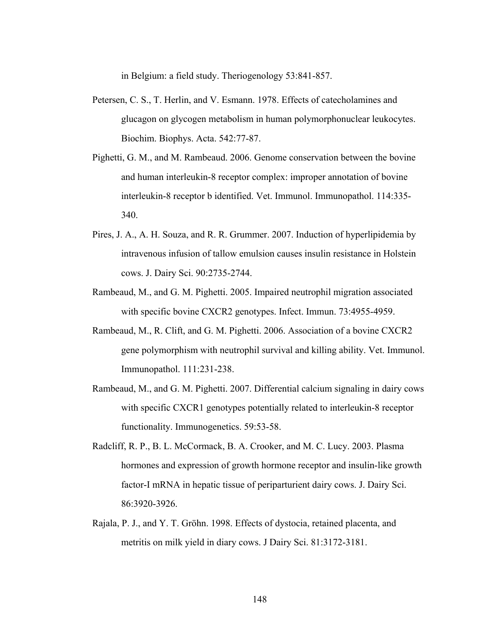in Belgium: a field study. Theriogenology 53:841-857.

- Petersen, C. S., T. Herlin, and V. Esmann. 1978. Effects of catecholamines and glucagon on glycogen metabolism in human polymorphonuclear leukocytes. Biochim. Biophys. Acta. 542:77-87.
- Pighetti, G. M., and M. Rambeaud. 2006. Genome conservation between the bovine and human interleukin-8 receptor complex: improper annotation of bovine interleukin-8 receptor b identified. Vet. Immunol. Immunopathol. 114:335- 340.
- Pires, J. A., A. H. Souza, and R. R. Grummer. 2007. Induction of hyperlipidemia by intravenous infusion of tallow emulsion causes insulin resistance in Holstein cows. J. Dairy Sci. 90:2735-2744.
- Rambeaud, M., and G. M. Pighetti. 2005. Impaired neutrophil migration associated with specific bovine CXCR2 genotypes. Infect. Immun. 73:4955-4959.
- Rambeaud, M., R. Clift, and G. M. Pighetti. 2006. Association of a bovine CXCR2 gene polymorphism with neutrophil survival and killing ability. Vet. Immunol. Immunopathol. 111:231-238.
- Rambeaud, M., and G. M. Pighetti. 2007. Differential calcium signaling in dairy cows with specific CXCR1 genotypes potentially related to interleukin-8 receptor functionality. Immunogenetics. 59:53-58.
- Radcliff, R. P., B. L. McCormack, B. A. Crooker, and M. C. Lucy. 2003. Plasma hormones and expression of growth hormone receptor and insulin-like growth factor-I mRNA in hepatic tissue of periparturient dairy cows. J. Dairy Sci. 86:3920-3926.
- Rajala, P. J., and Y. T. Gröhn. 1998. Effects of dystocia, retained placenta, and metritis on milk yield in diary cows. J Dairy Sci. 81:3172-3181.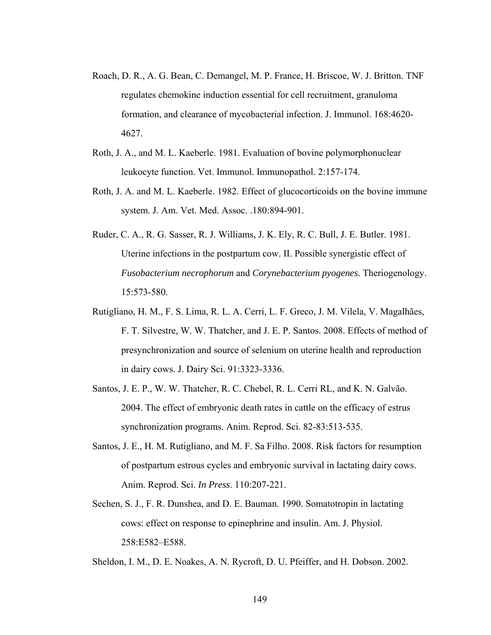- Roach, D. R., A. G. Bean, C. Demangel, M. P. France, H. Briscoe, W. J. Britton. TNF regulates chemokine induction essential for cell recruitment, granuloma formation, and clearance of mycobacterial infection. J. Immunol. 168:4620- 4627.
- Roth, J. A., and M. L. Kaeberle. 1981. Evaluation of bovine polymorphonuclear leukocyte function. Vet. Immunol. Immunopathol. 2:157-174.
- Roth, J. A. and M. L. Kaeberle. 1982. Effect of glucocorticoids on the bovine immune system. J. Am. Vet. Med. Assoc. .180:894-901.
- Ruder, C. A., R. G. Sasser, R. J. Williams, J. K. Ely, R. C. Bull, J. E. Butler. 1981. Uterine infections in the postpartum cow. II. Possible synergistic effect of *Fusobacterium necrophorum* and *Corynebacterium pyogenes*. Theriogenology. 15:573-580.
- Rutigliano, H. M., F. S. Lima, R. L. A. Cerri, L. F. Greco, J. M. Vilela, V. Magalhães, F. T. Silvestre, W. W. Thatcher, and J. E. P. Santos. 2008. Effects of method of presynchronization and source of selenium on uterine health and reproduction in dairy cows. J. Dairy Sci. 91:3323-3336.
- Santos, J. E. P., W. W. Thatcher, R. C. Chebel, R. L. Cerri RL, and K. N. Galvão. 2004. The effect of embryonic death rates in cattle on the efficacy of estrus synchronization programs. Anim. Reprod. Sci. 82-83:513-535.
- Santos, J. E., H. M. Rutigliano, and M. F. Sa Filho. 2008. Risk factors for resumption of postpartum estrous cycles and embryonic survival in lactating dairy cows. Anim. Reprod. Sci. *In Press*. 110:207-221.
- Sechen, S. J., F. R. Dunshea, and D. E. Bauman. 1990. Somatotropin in lactating cows: effect on response to epinephrine and insulin. Am. J. Physiol. 258:E582–E588.

Sheldon, I. M., D. E. Noakes, A. N. Rycroft, D. U. Pfeiffer, and H. Dobson. 2002.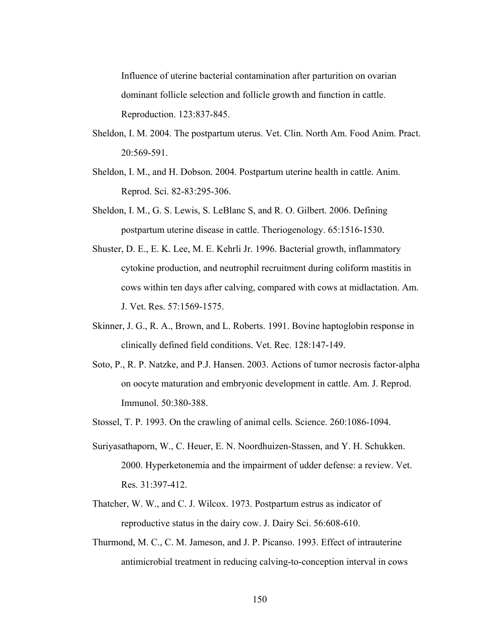Influence of uterine bacterial contamination after parturition on ovarian dominant follicle selection and follicle growth and function in cattle. Reproduction. 123:837-845.

- Sheldon, I. M. 2004. The postpartum uterus. Vet. Clin. North Am. Food Anim. Pract. 20:569-591.
- Sheldon, I. M., and H. Dobson. 2004. Postpartum uterine health in cattle. Anim. Reprod. Sci. 82-83:295-306.
- Sheldon, I. M., G. S. Lewis, S. LeBlanc S, and R. O. Gilbert. 2006. Defining postpartum uterine disease in cattle. Theriogenology. 65:1516-1530.
- Shuster, D. E., E. K. Lee, M. E. Kehrli Jr. 1996. Bacterial growth, inflammatory cytokine production, and neutrophil recruitment during coliform mastitis in cows within ten days after calving, compared with cows at midlactation. Am. J. Vet. Res. 57:1569-1575.
- Skinner, J. G., R. A., Brown, and L. Roberts. 1991. Bovine haptoglobin response in clinically defined field conditions. Vet. Rec. 128:147-149.
- Soto, P., R. P. Natzke, and P.J. Hansen. 2003. Actions of tumor necrosis factor-alpha on oocyte maturation and embryonic development in cattle. Am. J. Reprod. Immunol. 50:380-388.
- Stossel, T. P. 1993. On the crawling of animal cells. Science. 260:1086-1094.
- Suriyasathaporn, W., C. Heuer, E. N. Noordhuizen-Stassen, and Y. H. Schukken. 2000. Hyperketonemia and the impairment of udder defense: a review. Vet. Res. 31:397-412.
- Thatcher, W. W., and C. J. Wilcox. 1973. Postpartum estrus as indicator of reproductive status in the dairy cow. J. Dairy Sci. 56:608-610.
- Thurmond, M. C., C. M. Jameson, and J. P. Picanso. 1993. Effect of intrauterine antimicrobial treatment in reducing calving-to-conception interval in cows